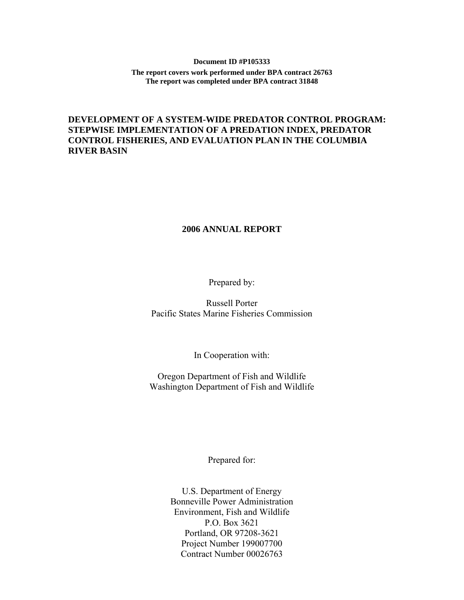## **Document ID #P105333 The report covers work performed under BPA contract 26763 The report was completed under BPA contract 31848**

## **DEVELOPMENT OF A SYSTEM-WIDE PREDATOR CONTROL PROGRAM: STEPWISE IMPLEMENTATION OF A PREDATION INDEX, PREDATOR CONTROL FISHERIES, AND EVALUATION PLAN IN THE COLUMBIA RIVER BASIN**

## **2006 ANNUAL REPORT**

Prepared by:

Russell Porter Pacific States Marine Fisheries Commission

In Cooperation with:

Oregon Department of Fish and Wildlife Washington Department of Fish and Wildlife

Prepared for:

U.S. Department of Energy Bonneville Power Administration Environment, Fish and Wildlife P.O. Box 3621 Portland, OR 97208-3621 Project Number 199007700 Contract Number 00026763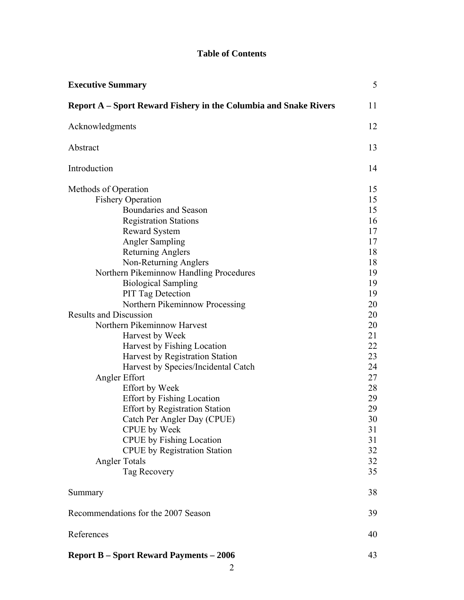## **Table of Contents**

| <b>Executive Summary</b>                                                | 5  |
|-------------------------------------------------------------------------|----|
| <b>Report A</b> – Sport Reward Fishery in the Columbia and Snake Rivers | 11 |
| Acknowledgments                                                         | 12 |
| Abstract                                                                | 13 |
| Introduction                                                            | 14 |
| Methods of Operation                                                    | 15 |
| <b>Fishery Operation</b>                                                | 15 |
| Boundaries and Season                                                   | 15 |
| <b>Registration Stations</b>                                            | 16 |
| <b>Reward System</b>                                                    | 17 |
| <b>Angler Sampling</b>                                                  | 17 |
| <b>Returning Anglers</b>                                                | 18 |
| Non-Returning Anglers                                                   | 18 |
| Northern Pikeminnow Handling Procedures                                 | 19 |
| <b>Biological Sampling</b>                                              | 19 |
| <b>PIT Tag Detection</b>                                                | 19 |
| Northern Pikeminnow Processing                                          | 20 |
| <b>Results and Discussion</b>                                           | 20 |
| Northern Pikeminnow Harvest                                             | 20 |
| Harvest by Week                                                         | 21 |
| Harvest by Fishing Location                                             | 22 |
| Harvest by Registration Station                                         | 23 |
| Harvest by Species/Incidental Catch                                     | 24 |
| Angler Effort                                                           | 27 |
| <b>Effort</b> by Week                                                   | 28 |
| <b>Effort by Fishing Location</b>                                       | 29 |
| <b>Effort by Registration Station</b>                                   | 29 |
| Catch Per Angler Day (CPUE)                                             | 30 |
| <b>CPUE</b> by Week                                                     | 31 |
| <b>CPUE</b> by Fishing Location                                         | 31 |
| <b>CPUE</b> by Registration Station                                     | 32 |
| <b>Angler Totals</b>                                                    | 32 |
| Tag Recovery                                                            | 35 |
| Summary                                                                 | 38 |
| Recommendations for the 2007 Season                                     | 39 |
| References                                                              | 40 |
| <b>Report B – Sport Reward Payments – 2006</b>                          | 43 |

2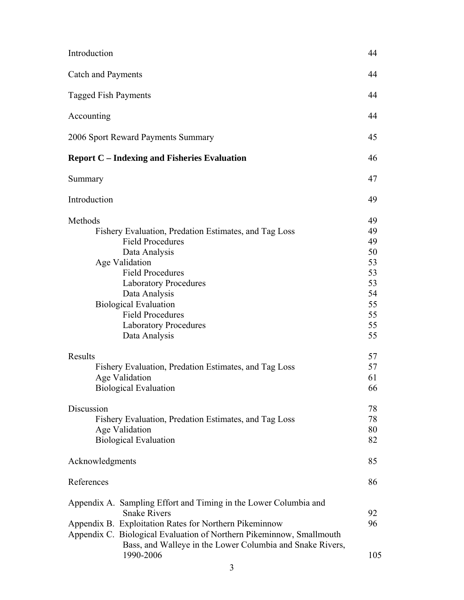| Introduction                                                                                                                                                                                                                                                                                                           | 44                                                                   |
|------------------------------------------------------------------------------------------------------------------------------------------------------------------------------------------------------------------------------------------------------------------------------------------------------------------------|----------------------------------------------------------------------|
| <b>Catch and Payments</b>                                                                                                                                                                                                                                                                                              | 44                                                                   |
| <b>Tagged Fish Payments</b>                                                                                                                                                                                                                                                                                            | 44                                                                   |
| Accounting                                                                                                                                                                                                                                                                                                             | 44                                                                   |
| 2006 Sport Reward Payments Summary                                                                                                                                                                                                                                                                                     | 45                                                                   |
| <b>Report C</b> – Indexing and Fisheries Evaluation                                                                                                                                                                                                                                                                    | 46                                                                   |
| Summary                                                                                                                                                                                                                                                                                                                | 47                                                                   |
| Introduction                                                                                                                                                                                                                                                                                                           | 49                                                                   |
| Methods<br>Fishery Evaluation, Predation Estimates, and Tag Loss<br><b>Field Procedures</b><br>Data Analysis<br>Age Validation<br><b>Field Procedures</b><br><b>Laboratory Procedures</b><br>Data Analysis<br><b>Biological Evaluation</b><br><b>Field Procedures</b><br><b>Laboratory Procedures</b><br>Data Analysis | 49<br>49<br>49<br>50<br>53<br>53<br>53<br>54<br>55<br>55<br>55<br>55 |
| Results<br>Fishery Evaluation, Predation Estimates, and Tag Loss<br>Age Validation<br><b>Biological Evaluation</b>                                                                                                                                                                                                     | 57<br>57<br>61<br>66                                                 |
| Discussion<br>Fishery Evaluation, Predation Estimates, and Tag Loss<br>Age Validation<br><b>Biological Evaluation</b>                                                                                                                                                                                                  | 78<br>78<br>80<br>82                                                 |
| Acknowledgments                                                                                                                                                                                                                                                                                                        | 85                                                                   |
| References                                                                                                                                                                                                                                                                                                             | 86                                                                   |
| Appendix A. Sampling Effort and Timing in the Lower Columbia and<br><b>Snake Rivers</b><br>Appendix B. Exploitation Rates for Northern Pikeminnow<br>Appendix C. Biological Evaluation of Northern Pikeminnow, Smallmouth<br>Bass, and Walleye in the Lower Columbia and Snake Rivers,<br>1990-2006                    | 92<br>96<br>105                                                      |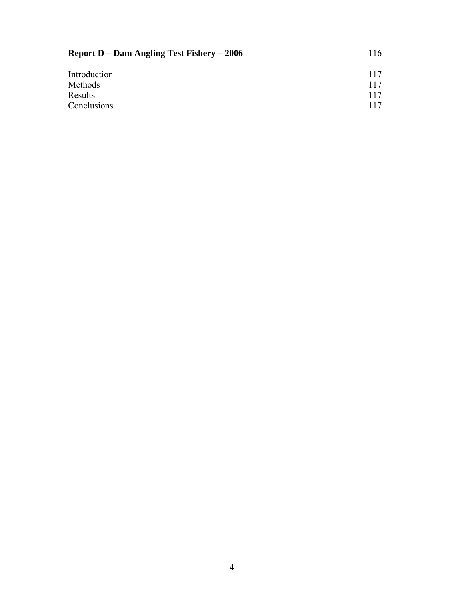| <b>Report D – Dam Angling Test Fishery – 2006</b> | 116 |
|---------------------------------------------------|-----|
| Introduction                                      | 117 |
| Methods                                           | 117 |
| Results                                           | 117 |
| Conclusions                                       | 117 |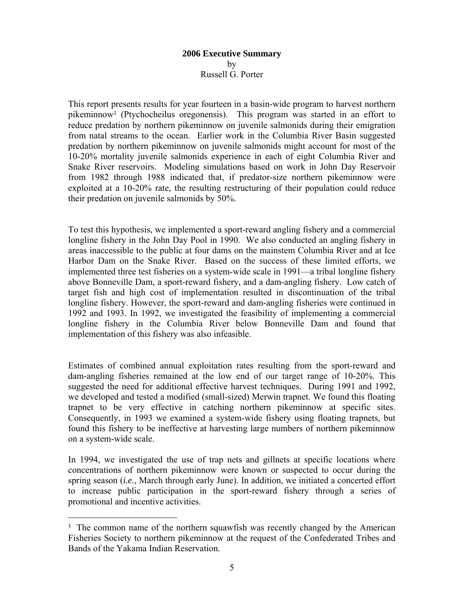## **2006 Executive Summary**  by Russell G. Porter

This report presents results for year fourteen in a basin-wide program to harvest northern pikeminnow<sup>1</sup> (Ptychocheilus oregonensis). This program was started in an effort to reduce predation by northern pikeminnow on juvenile salmonids during their emigration from natal streams to the ocean. Earlier work in the Columbia River Basin suggested predation by northern pikeminnow on juvenile salmonids might account for most of the 10-20% mortality juvenile salmonids experience in each of eight Columbia River and Snake River reservoirs. Modeling simulations based on work in John Day Reservoir from 1982 through 1988 indicated that, if predator-size northern pikeminnow were exploited at a 10-20% rate, the resulting restructuring of their population could reduce their predation on juvenile salmonids by 50%.

To test this hypothesis, we implemented a sport-reward angling fishery and a commercial longline fishery in the John Day Pool in 1990. We also conducted an angling fishery in areas inaccessible to the public at four dams on the mainstem Columbia River and at Ice Harbor Dam on the Snake River. Based on the success of these limited efforts, we implemented three test fisheries on a system-wide scale in 1991—a tribal longline fishery above Bonneville Dam, a sport-reward fishery, and a dam-angling fishery. Low catch of target fish and high cost of implementation resulted in discontinuation of the tribal longline fishery. However, the sport-reward and dam-angling fisheries were continued in 1992 and 1993. In 1992, we investigated the feasibility of implementing a commercial longline fishery in the Columbia River below Bonneville Dam and found that implementation of this fishery was also infeasible.

Estimates of combined annual exploitation rates resulting from the sport-reward and dam-angling fisheries remained at the low end of our target range of 10-20%. This suggested the need for additional effective harvest techniques. During 1991 and 1992, we developed and tested a modified (small-sized) Merwin trapnet. We found this floating trapnet to be very effective in catching northern pikeminnow at specific sites. Consequently, in 1993 we examined a system-wide fishery using floating trapnets, but found this fishery to be ineffective at harvesting large numbers of northern pikeminnow on a system-wide scale.

In 1994, we investigated the use of trap nets and gillnets at specific locations where concentrations of northern pikeminnow were known or suspected to occur during the spring season (*i.e.*, March through early June). In addition, we initiated a concerted effort to increase public participation in the sport-reward fishery through a series of promotional and incentive activities.

 $\overline{a}$ 

<sup>&</sup>lt;sup>1</sup> The common name of the northern squawfish was recently changed by the American Fisheries Society to northern pikeminnow at the request of the Confederated Tribes and Bands of the Yakama Indian Reservation.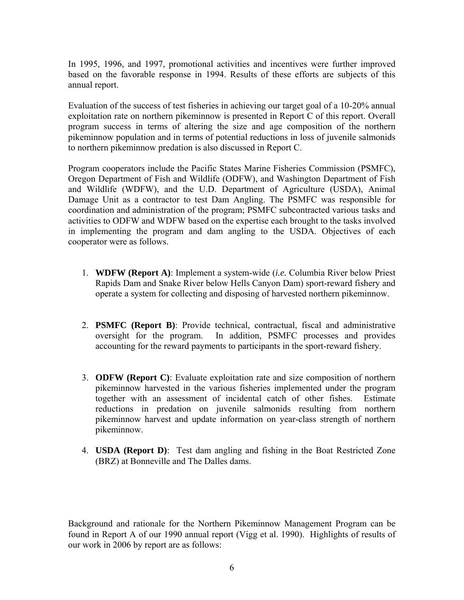In 1995, 1996, and 1997, promotional activities and incentives were further improved based on the favorable response in 1994. Results of these efforts are subjects of this annual report.

Evaluation of the success of test fisheries in achieving our target goal of a 10-20% annual exploitation rate on northern pikeminnow is presented in Report C of this report. Overall program success in terms of altering the size and age composition of the northern pikeminnow population and in terms of potential reductions in loss of juvenile salmonids to northern pikeminnow predation is also discussed in Report C.

Program cooperators include the Pacific States Marine Fisheries Commission (PSMFC), Oregon Department of Fish and Wildlife (ODFW), and Washington Department of Fish and Wildlife (WDFW), and the U.D. Department of Agriculture (USDA), Animal Damage Unit as a contractor to test Dam Angling. The PSMFC was responsible for coordination and administration of the program; PSMFC subcontracted various tasks and activities to ODFW and WDFW based on the expertise each brought to the tasks involved in implementing the program and dam angling to the USDA. Objectives of each cooperator were as follows.

- 1. **WDFW (Report A)**: Implement a system-wide (*i.e.* Columbia River below Priest Rapids Dam and Snake River below Hells Canyon Dam) sport-reward fishery and operate a system for collecting and disposing of harvested northern pikeminnow.
- 2. **PSMFC (Report B)**: Provide technical, contractual, fiscal and administrative oversight for the program. In addition, PSMFC processes and provides accounting for the reward payments to participants in the sport-reward fishery.
- 3. **ODFW (Report C)**: Evaluate exploitation rate and size composition of northern pikeminnow harvested in the various fisheries implemented under the program together with an assessment of incidental catch of other fishes. Estimate reductions in predation on juvenile salmonids resulting from northern pikeminnow harvest and update information on year-class strength of northern pikeminnow.
- 4. **USDA (Report D)**: Test dam angling and fishing in the Boat Restricted Zone (BRZ) at Bonneville and The Dalles dams.

Background and rationale for the Northern Pikeminnow Management Program can be found in Report A of our 1990 annual report (Vigg et al. 1990). Highlights of results of our work in 2006 by report are as follows: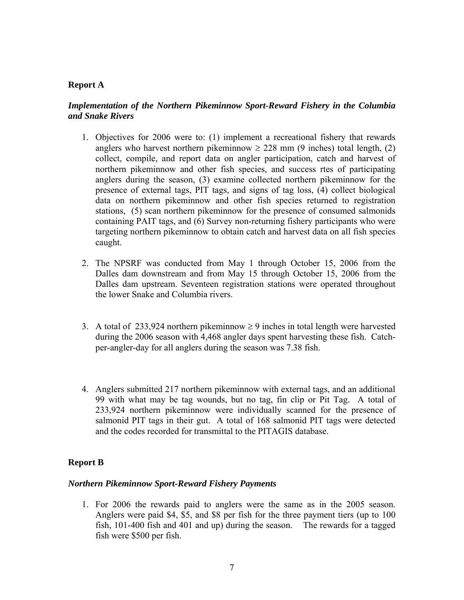## **Report A**

## *Implementation of the Northern Pikeminnow Sport-Reward Fishery in the Columbia and Snake Rivers*

- 1. Objectives for 2006 were to: (1) implement a recreational fishery that rewards anglers who harvest northern pikeminnow  $\geq$  228 mm (9 inches) total length, (2) collect, compile, and report data on angler participation, catch and harvest of northern pikeminnow and other fish species, and success rtes of participating anglers during the season, (3) examine collected northern pikeminnow for the presence of external tags, PIT tags, and signs of tag loss, (4) collect biological data on northern pikeminnow and other fish species returned to registration stations, (5) scan northern pikeminnow for the presence of consumed salmonids containing PAIT tags, and (6) Survey non-returning fishery participants who were targeting northern pikeminnow to obtain catch and harvest data on all fish species caught.
- 2. The NPSRF was conducted from May 1 through October 15, 2006 from the Dalles dam downstream and from May 15 through October 15, 2006 from the Dalles dam upstream. Seventeen registration stations were operated throughout the lower Snake and Columbia rivers.
- 3. A total of 233,924 northern pikeminnow  $\geq$  9 inches in total length were harvested during the 2006 season with 4,468 angler days spent harvesting these fish. Catchper-angler-day for all anglers during the season was 7.38 fish.
- 4. Anglers submitted 217 northern pikeminnow with external tags, and an additional 99 with what may be tag wounds, but no tag, fin clip or Pit Tag. A total of 233,924 northern pikeminnow were individually scanned for the presence of salmonid PIT tags in their gut. A total of 168 salmonid PIT tags were detected and the codes recorded for transmittal to the PITAGIS database.

## **Report B**

## *Northern Pikeminnow Sport-Reward Fishery Payments*

1. For 2006 the rewards paid to anglers were the same as in the 2005 season. Anglers were paid \$4, \$5, and \$8 per fish for the three payment tiers (up to 100 fish, 101-400 fish and 401 and up) during the season. The rewards for a tagged fish were \$500 per fish.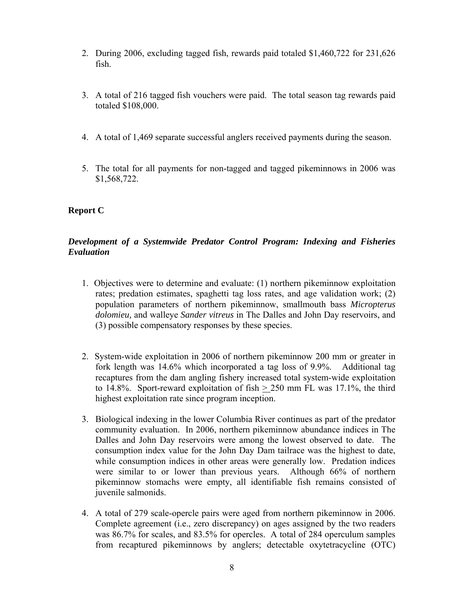- 2. During 2006, excluding tagged fish, rewards paid totaled \$1,460,722 for 231,626 fish.
- 3. A total of 216 tagged fish vouchers were paid. The total season tag rewards paid totaled \$108,000.
- 4. A total of 1,469 separate successful anglers received payments during the season.
- 5. The total for all payments for non-tagged and tagged pikeminnows in 2006 was \$1,568,722.

## **Report C**

## *Development of a Systemwide Predator Control Program: Indexing and Fisheries Evaluation*

- 1. Objectives were to determine and evaluate: (1) northern pikeminnow exploitation rates; predation estimates, spaghetti tag loss rates, and age validation work; (2) population parameters of northern pikeminnow, smallmouth bass *Micropterus dolomieu,* and walleye *Sander vitreus* in The Dalles and John Day reservoirs, and (3) possible compensatory responses by these species.
- 2. System-wide exploitation in 2006 of northern pikeminnow 200 mm or greater in fork length was 14.6% which incorporated a tag loss of 9.9%. Additional tag recaptures from the dam angling fishery increased total system-wide exploitation to 14.8%. Sport-reward exploitation of fish  $> 250$  mm FL was 17.1%, the third highest exploitation rate since program inception.
- 3. Biological indexing in the lower Columbia River continues as part of the predator community evaluation. In 2006, northern pikeminnow abundance indices in The Dalles and John Day reservoirs were among the lowest observed to date. The consumption index value for the John Day Dam tailrace was the highest to date, while consumption indices in other areas were generally low. Predation indices were similar to or lower than previous years. Although 66% of northern pikeminnow stomachs were empty, all identifiable fish remains consisted of juvenile salmonids.
- 4. A total of 279 scale-opercle pairs were aged from northern pikeminnow in 2006. Complete agreement (i.e., zero discrepancy) on ages assigned by the two readers was 86.7% for scales, and 83.5% for opercles. A total of 284 operculum samples from recaptured pikeminnows by anglers; detectable oxytetracycline (OTC)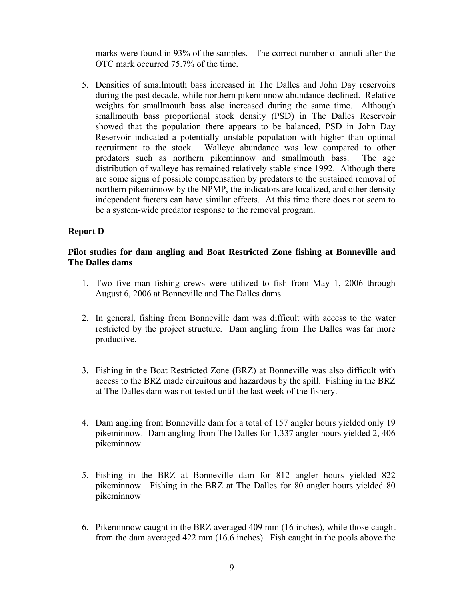marks were found in 93% of the samples. The correct number of annuli after the OTC mark occurred 75.7% of the time.

5. Densities of smallmouth bass increased in The Dalles and John Day reservoirs during the past decade, while northern pikeminnow abundance declined. Relative weights for smallmouth bass also increased during the same time. Although smallmouth bass proportional stock density (PSD) in The Dalles Reservoir showed that the population there appears to be balanced, PSD in John Day Reservoir indicated a potentially unstable population with higher than optimal recruitment to the stock. Walleye abundance was low compared to other predators such as northern pikeminnow and smallmouth bass. The age distribution of walleye has remained relatively stable since 1992. Although there are some signs of possible compensation by predators to the sustained removal of northern pikeminnow by the NPMP, the indicators are localized, and other density independent factors can have similar effects. At this time there does not seem to be a system-wide predator response to the removal program.

## **Report D**

## **Pilot studies for dam angling and Boat Restricted Zone fishing at Bonneville and The Dalles dams**

- 1. Two five man fishing crews were utilized to fish from May 1, 2006 through August 6, 2006 at Bonneville and The Dalles dams.
- 2. In general, fishing from Bonneville dam was difficult with access to the water restricted by the project structure. Dam angling from The Dalles was far more productive.
- 3. Fishing in the Boat Restricted Zone (BRZ) at Bonneville was also difficult with access to the BRZ made circuitous and hazardous by the spill. Fishing in the BRZ at The Dalles dam was not tested until the last week of the fishery.
- 4. Dam angling from Bonneville dam for a total of 157 angler hours yielded only 19 pikeminnow. Dam angling from The Dalles for 1,337 angler hours yielded 2, 406 pikeminnow.
- 5. Fishing in the BRZ at Bonneville dam for 812 angler hours yielded 822 pikeminnow. Fishing in the BRZ at The Dalles for 80 angler hours yielded 80 pikeminnow
- 6. Pikeminnow caught in the BRZ averaged 409 mm (16 inches), while those caught from the dam averaged 422 mm (16.6 inches). Fish caught in the pools above the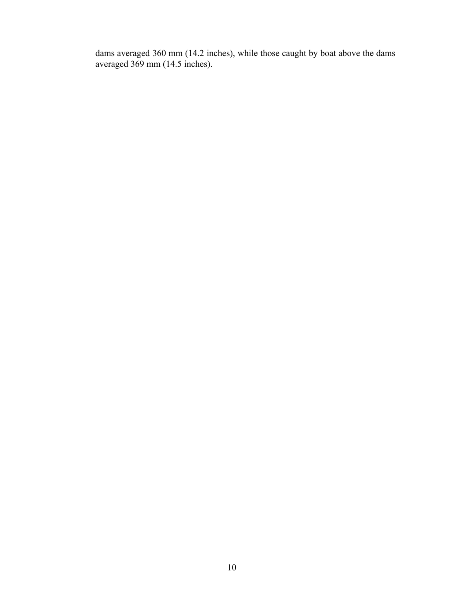dams averaged 360 mm (14.2 inches), while those caught by boat above the dams averaged 369 mm (14.5 inches).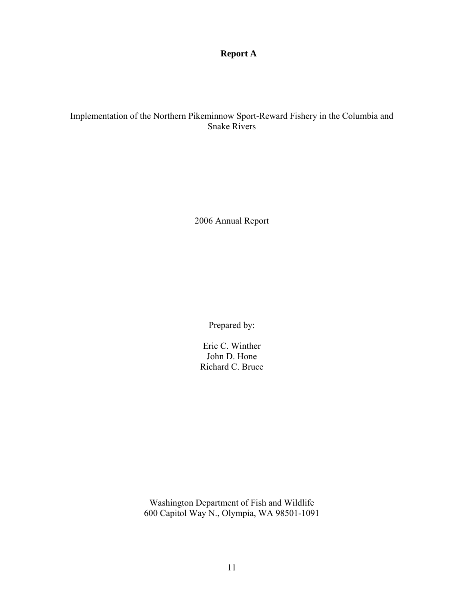**Report A** 

## Implementation of the Northern Pikeminnow Sport-Reward Fishery in the Columbia and Snake Rivers

2006 Annual Report

Prepared by:

Eric C. Winther John D. Hone Richard C. Bruce

Washington Department of Fish and Wildlife 600 Capitol Way N., Olympia, WA 98501-1091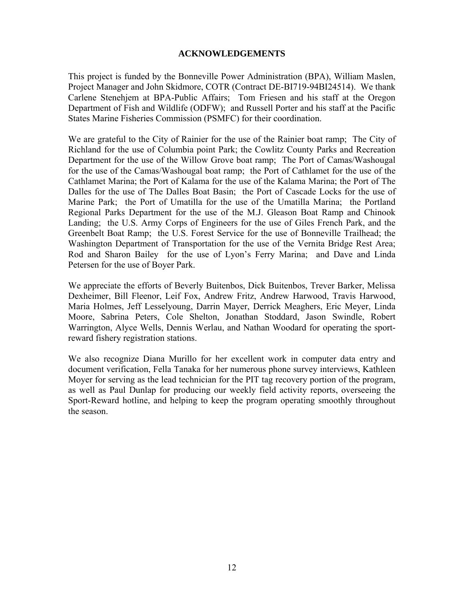## **ACKNOWLEDGEMENTS**

This project is funded by the Bonneville Power Administration (BPA), William Maslen, Project Manager and John Skidmore, COTR (Contract DE-BI719-94BI24514). We thank Carlene Stenehjem at BPA-Public Affairs; Tom Friesen and his staff at the Oregon Department of Fish and Wildlife (ODFW); and Russell Porter and his staff at the Pacific States Marine Fisheries Commission (PSMFC) for their coordination.

We are grateful to the City of Rainier for the use of the Rainier boat ramp; The City of Richland for the use of Columbia point Park; the Cowlitz County Parks and Recreation Department for the use of the Willow Grove boat ramp; The Port of Camas/Washougal for the use of the Camas/Washougal boat ramp; the Port of Cathlamet for the use of the Cathlamet Marina; the Port of Kalama for the use of the Kalama Marina; the Port of The Dalles for the use of The Dalles Boat Basin; the Port of Cascade Locks for the use of Marine Park; the Port of Umatilla for the use of the Umatilla Marina; the Portland Regional Parks Department for the use of the M.J. Gleason Boat Ramp and Chinook Landing; the U.S. Army Corps of Engineers for the use of Giles French Park, and the Greenbelt Boat Ramp; the U.S. Forest Service for the use of Bonneville Trailhead; the Washington Department of Transportation for the use of the Vernita Bridge Rest Area; Rod and Sharon Bailey for the use of Lyon's Ferry Marina; and Dave and Linda Petersen for the use of Boyer Park.

We appreciate the efforts of Beverly Buitenbos, Dick Buitenbos, Trever Barker, Melissa Dexheimer, Bill Fleenor, Leif Fox, Andrew Fritz, Andrew Harwood, Travis Harwood, Maria Holmes, Jeff Lesselyoung, Darrin Mayer, Derrick Meaghers, Eric Meyer, Linda Moore, Sabrina Peters, Cole Shelton, Jonathan Stoddard, Jason Swindle, Robert Warrington, Alyce Wells, Dennis Werlau, and Nathan Woodard for operating the sportreward fishery registration stations.

We also recognize Diana Murillo for her excellent work in computer data entry and document verification, Fella Tanaka for her numerous phone survey interviews, Kathleen Moyer for serving as the lead technician for the PIT tag recovery portion of the program, as well as Paul Dunlap for producing our weekly field activity reports, overseeing the Sport-Reward hotline, and helping to keep the program operating smoothly throughout the season.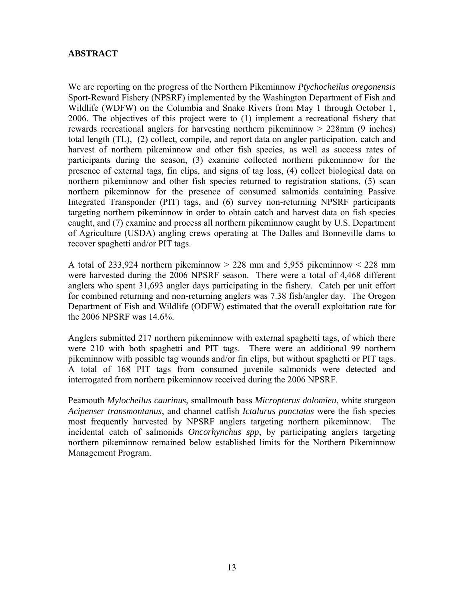## **ABSTRACT**

We are reporting on the progress of the Northern Pikeminnow *Ptychocheilus oregonensis*  Sport-Reward Fishery (NPSRF) implemented by the Washington Department of Fish and Wildlife (WDFW) on the Columbia and Snake Rivers from May 1 through October 1, 2006. The objectives of this project were to (1) implement a recreational fishery that rewards recreational anglers for harvesting northern pikeminnow  $\geq$  228mm (9 inches) total length (TL), (2) collect, compile, and report data on angler participation, catch and harvest of northern pikeminnow and other fish species, as well as success rates of participants during the season, (3) examine collected northern pikeminnow for the presence of external tags, fin clips, and signs of tag loss, (4) collect biological data on northern pikeminnow and other fish species returned to registration stations, (5) scan northern pikeminnow for the presence of consumed salmonids containing Passive Integrated Transponder (PIT) tags, and (6) survey non-returning NPSRF participants targeting northern pikeminnow in order to obtain catch and harvest data on fish species caught, and (7) examine and process all northern pikeminnow caught by U.S. Department of Agriculture (USDA) angling crews operating at The Dalles and Bonneville dams to recover spaghetti and/or PIT tags.

A total of 233,924 northern pikeminnow  $> 228$  mm and 5,955 pikeminnow  $< 228$  mm were harvested during the 2006 NPSRF season. There were a total of 4,468 different anglers who spent 31,693 angler days participating in the fishery. Catch per unit effort for combined returning and non-returning anglers was 7.38 fish/angler day. The Oregon Department of Fish and Wildlife (ODFW) estimated that the overall exploitation rate for the 2006 NPSRF was 14.6%.

Anglers submitted 217 northern pikeminnow with external spaghetti tags, of which there were 210 with both spaghetti and PIT tags. There were an additional 99 northern pikeminnow with possible tag wounds and/or fin clips, but without spaghetti or PIT tags. A total of 168 PIT tags from consumed juvenile salmonids were detected and interrogated from northern pikeminnow received during the 2006 NPSRF.

Peamouth *Mylocheilus caurinus*, smallmouth bass *Micropterus dolomieu*, white sturgeon *Acipenser transmontanus*, and channel catfish *Ictalurus punctatus* were the fish species most frequently harvested by NPSRF anglers targeting northern pikeminnow. The incidental catch of salmonids *Oncorhynchus spp*, by participating anglers targeting northern pikeminnow remained below established limits for the Northern Pikeminnow Management Program.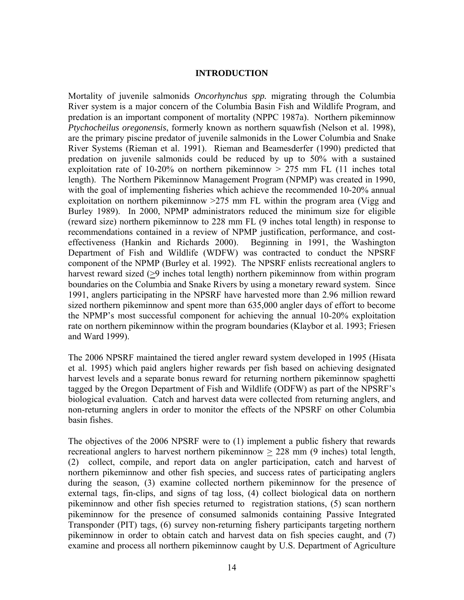## **INTRODUCTION**

Mortality of juvenile salmonids *Oncorhynchus spp.* migrating through the Columbia River system is a major concern of the Columbia Basin Fish and Wildlife Program, and predation is an important component of mortality (NPPC 1987a). Northern pikeminnow *Ptychocheilus oregonensis*, formerly known as northern squawfish (Nelson et al. 1998), are the primary piscine predator of juvenile salmonids in the Lower Columbia and Snake River Systems (Rieman et al. 1991). Rieman and Beamesderfer (1990) predicted that predation on juvenile salmonids could be reduced by up to 50% with a sustained exploitation rate of 10-20% on northern pikeminnow  $> 275$  mm FL (11 inches total length). The Northern Pikeminnow Management Program (NPMP) was created in 1990, with the goal of implementing fisheries which achieve the recommended 10-20% annual exploitation on northern pikeminnow  $>275$  mm FL within the program area (Vigg and Burley 1989). In 2000, NPMP administrators reduced the minimum size for eligible (reward size) northern pikeminnow to 228 mm FL (9 inches total length) in response to recommendations contained in a review of NPMP justification, performance, and costeffectiveness (Hankin and Richards 2000). Beginning in 1991, the Washington Department of Fish and Wildlife (WDFW) was contracted to conduct the NPSRF component of the NPMP (Burley et al. 1992). The NPSRF enlists recreational anglers to harvest reward sized (>9 inches total length) northern pikeminnow from within program boundaries on the Columbia and Snake Rivers by using a monetary reward system. Since 1991, anglers participating in the NPSRF have harvested more than 2.96 million reward sized northern pikeminnow and spent more than 635,000 angler days of effort to become the NPMP's most successful component for achieving the annual 10-20% exploitation rate on northern pikeminnow within the program boundaries (Klaybor et al. 1993; Friesen and Ward 1999).

The 2006 NPSRF maintained the tiered angler reward system developed in 1995 (Hisata et al. 1995) which paid anglers higher rewards per fish based on achieving designated harvest levels and a separate bonus reward for returning northern pikeminnow spaghetti tagged by the Oregon Department of Fish and Wildlife (ODFW) as part of the NPSRF's biological evaluation. Catch and harvest data were collected from returning anglers, and non-returning anglers in order to monitor the effects of the NPSRF on other Columbia basin fishes.

The objectives of the 2006 NPSRF were to (1) implement a public fishery that rewards recreational anglers to harvest northern pikeminnow > 228 mm (9 inches) total length, (2) collect, compile, and report data on angler participation, catch and harvest of northern pikeminnow and other fish species, and success rates of participating anglers during the season, (3) examine collected northern pikeminnow for the presence of external tags, fin-clips, and signs of tag loss, (4) collect biological data on northern pikeminnow and other fish species returned to registration stations, (5) scan northern pikeminnow for the presence of consumed salmonids containing Passive Integrated Transponder (PIT) tags, (6) survey non-returning fishery participants targeting northern pikeminnow in order to obtain catch and harvest data on fish species caught, and (7) examine and process all northern pikeminnow caught by U.S. Department of Agriculture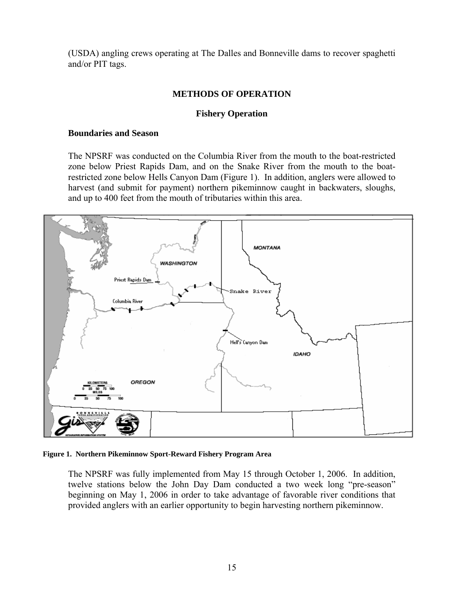(USDA) angling crews operating at The Dalles and Bonneville dams to recover spaghetti and/or PIT tags.

## **METHODS OF OPERATION**

## **Fishery Operation**

## **Boundaries and Season**

The NPSRF was conducted on the Columbia River from the mouth to the boat-restricted zone below Priest Rapids Dam, and on the Snake River from the mouth to the boatrestricted zone below Hells Canyon Dam (Figure 1). In addition, anglers were allowed to harvest (and submit for payment) northern pikeminnow caught in backwaters, sloughs, and up to 400 feet from the mouth of tributaries within this area.



 **Figure 1. Northern Pikeminnow Sport-Reward Fishery Program Area** 

The NPSRF was fully implemented from May 15 through October 1, 2006. In addition, twelve stations below the John Day Dam conducted a two week long "pre-season" beginning on May 1, 2006 in order to take advantage of favorable river conditions that provided anglers with an earlier opportunity to begin harvesting northern pikeminnow.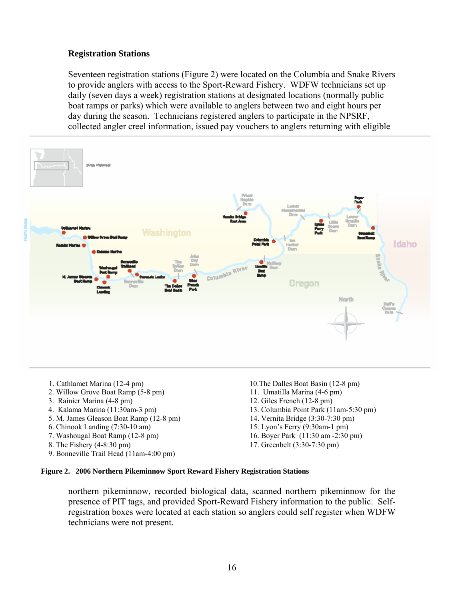## **Registration Stations**

Seventeen registration stations (Figure 2) were located on the Columbia and Snake Rivers to provide anglers with access to the Sport-Reward Fishery. WDFW technicians set up daily (seven days a week) registration stations at designated locations (normally public boat ramps or parks) which were available to anglers between two and eight hours per day during the season. Technicians registered anglers to participate in the NPSRF, collected angler creel information, issued pay vouchers to anglers returning with eligible



- 
- 2. Willow Grove Boat Ramp (5-8 pm) 11. Umatilla Marina (4-6 pm)
- 
- 
- 5. M. James Gleason Boat Ramp (12-8 pm) 14. Vernita Bridge (3:30-7:30 pm)
- 6. Chinook Landing (7:30-10 am) 15. Lyon's Ferry (9:30am-1 pm)
- 
- 
- 9. Bonneville Trail Head (11am-4:00 pm)
- 1. Cathlamet Marina (12-4 pm) 10.The Dalles Boat Basin (12-8 pm)
	-
- 3. Rainier Marina (4-8 pm) 12. Giles French (12-8 pm)
- 4. Kalama Marina (11:30am-3 pm) 13. Columbia Point Park (11am-5:30 pm)
	-
	-
- 7. Washougal Boat Ramp (12-8 pm) 16. Boyer Park (11:30 am -2:30 pm)
- 8. The Fishery (4-8:30 pm) 17. Greenbelt (3:30-7:30 pm)

## **Figure 2. 2006 Northern Pikeminnow Sport Reward Fishery Registration Stations**

northern pikeminnow, recorded biological data, scanned northern pikeminnow for the presence of PIT tags, and provided Sport-Reward Fishery information to the public. Selfregistration boxes were located at each station so anglers could self register when WDFW technicians were not present.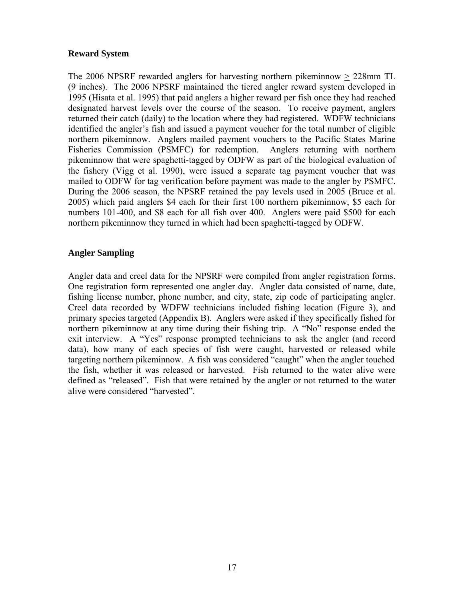## **Reward System**

The 2006 NPSRF rewarded anglers for harvesting northern pikeminnow > 228mm TL (9 inches). The 2006 NPSRF maintained the tiered angler reward system developed in 1995 (Hisata et al. 1995) that paid anglers a higher reward per fish once they had reached designated harvest levels over the course of the season. To receive payment, anglers returned their catch (daily) to the location where they had registered. WDFW technicians identified the angler's fish and issued a payment voucher for the total number of eligible northern pikeminnow. Anglers mailed payment vouchers to the Pacific States Marine Fisheries Commission (PSMFC) for redemption. Anglers returning with northern pikeminnow that were spaghetti-tagged by ODFW as part of the biological evaluation of the fishery (Vigg et al. 1990), were issued a separate tag payment voucher that was mailed to ODFW for tag verification before payment was made to the angler by PSMFC. During the 2006 season, the NPSRF retained the pay levels used in 2005 (Bruce et al. 2005) which paid anglers \$4 each for their first 100 northern pikeminnow, \$5 each for numbers 101-400, and \$8 each for all fish over 400. Anglers were paid \$500 for each northern pikeminnow they turned in which had been spaghetti-tagged by ODFW.

## **Angler Sampling**

Angler data and creel data for the NPSRF were compiled from angler registration forms. One registration form represented one angler day. Angler data consisted of name, date, fishing license number, phone number, and city, state, zip code of participating angler. Creel data recorded by WDFW technicians included fishing location (Figure 3), and primary species targeted (Appendix B). Anglers were asked if they specifically fished for northern pikeminnow at any time during their fishing trip. A "No" response ended the exit interview. A "Yes" response prompted technicians to ask the angler (and record data), how many of each species of fish were caught, harvested or released while targeting northern pikeminnow. A fish was considered "caught" when the angler touched the fish, whether it was released or harvested. Fish returned to the water alive were defined as "released". Fish that were retained by the angler or not returned to the water alive were considered "harvested".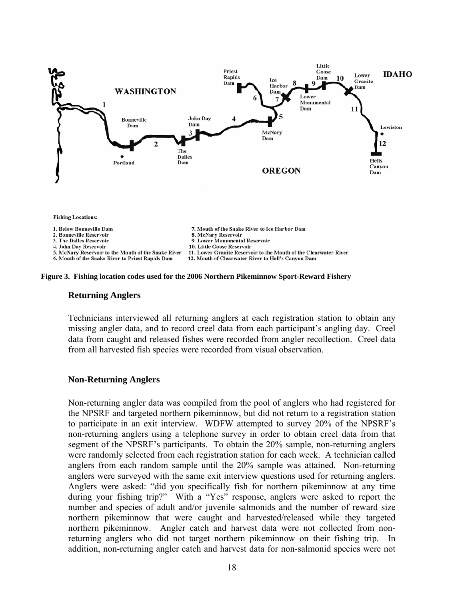



#### **Returning Anglers**

Technicians interviewed all returning anglers at each registration station to obtain any missing angler data, and to record creel data from each participant's angling day. Creel data from caught and released fishes were recorded from angler recollection. Creel data from all harvested fish species were recorded from visual observation.

## **Non-Returning Anglers**

Non-returning angler data was compiled from the pool of anglers who had registered for the NPSRF and targeted northern pikeminnow, but did not return to a registration station to participate in an exit interview. WDFW attempted to survey 20% of the NPSRF's non-returning anglers using a telephone survey in order to obtain creel data from that segment of the NPSRF's participants. To obtain the 20% sample, non-returning anglers were randomly selected from each registration station for each week. A technician called anglers from each random sample until the 20% sample was attained. Non-returning anglers were surveyed with the same exit interview questions used for returning anglers. Anglers were asked: "did you specifically fish for northern pikeminnow at any time during your fishing trip?" With a "Yes" response, anglers were asked to report the number and species of adult and/or juvenile salmonids and the number of reward size northern pikeminnow that were caught and harvested/released while they targeted northern pikeminnow. Angler catch and harvest data were not collected from nonreturning anglers who did not target northern pikeminnow on their fishing trip. In addition, non-returning angler catch and harvest data for non-salmonid species were not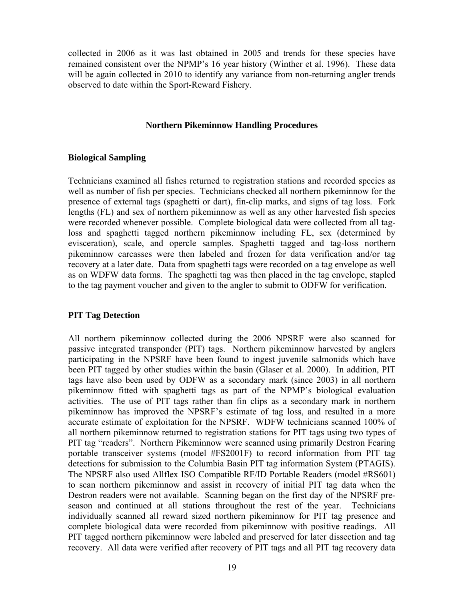collected in 2006 as it was last obtained in 2005 and trends for these species have remained consistent over the NPMP's 16 year history (Winther et al. 1996). These data will be again collected in 2010 to identify any variance from non-returning angler trends observed to date within the Sport-Reward Fishery.

## **Northern Pikeminnow Handling Procedures**

## **Biological Sampling**

Technicians examined all fishes returned to registration stations and recorded species as well as number of fish per species. Technicians checked all northern pikeminnow for the presence of external tags (spaghetti or dart), fin-clip marks, and signs of tag loss. Fork lengths (FL) and sex of northern pikeminnow as well as any other harvested fish species were recorded whenever possible. Complete biological data were collected from all tagloss and spaghetti tagged northern pikeminnow including FL, sex (determined by evisceration), scale, and opercle samples. Spaghetti tagged and tag-loss northern pikeminnow carcasses were then labeled and frozen for data verification and/or tag recovery at a later date. Data from spaghetti tags were recorded on a tag envelope as well as on WDFW data forms. The spaghetti tag was then placed in the tag envelope, stapled to the tag payment voucher and given to the angler to submit to ODFW for verification.

## **PIT Tag Detection**

All northern pikeminnow collected during the 2006 NPSRF were also scanned for passive integrated transponder (PIT) tags. Northern pikeminnow harvested by anglers participating in the NPSRF have been found to ingest juvenile salmonids which have been PIT tagged by other studies within the basin (Glaser et al. 2000). In addition, PIT tags have also been used by ODFW as a secondary mark (since 2003) in all northern pikeminnow fitted with spaghetti tags as part of the NPMP's biological evaluation activities. The use of PIT tags rather than fin clips as a secondary mark in northern pikeminnow has improved the NPSRF's estimate of tag loss, and resulted in a more accurate estimate of exploitation for the NPSRF. WDFW technicians scanned 100% of all northern pikeminnow returned to registration stations for PIT tags using two types of PIT tag "readers". Northern Pikeminnow were scanned using primarily Destron Fearing portable transceiver systems (model #FS2001F) to record information from PIT tag detections for submission to the Columbia Basin PIT tag information System (PTAGIS). The NPSRF also used Allflex ISO Compatible RF/ID Portable Readers (model #RS601) to scan northern pikeminnow and assist in recovery of initial PIT tag data when the Destron readers were not available. Scanning began on the first day of the NPSRF preseason and continued at all stations throughout the rest of the year. Technicians individually scanned all reward sized northern pikeminnow for PIT tag presence and complete biological data were recorded from pikeminnow with positive readings. All PIT tagged northern pikeminnow were labeled and preserved for later dissection and tag recovery. All data were verified after recovery of PIT tags and all PIT tag recovery data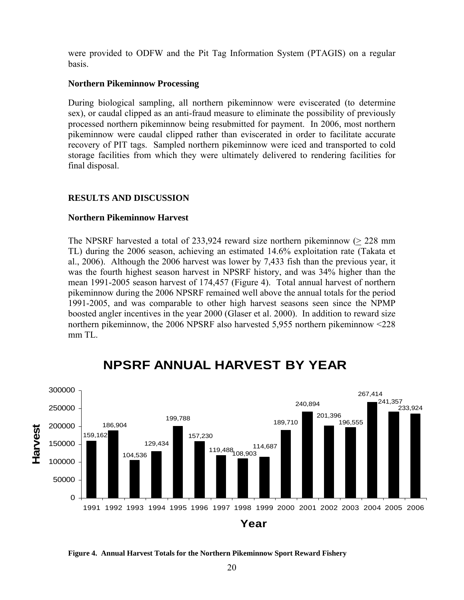were provided to ODFW and the Pit Tag Information System (PTAGIS) on a regular basis.

## **Northern Pikeminnow Processing**

During biological sampling, all northern pikeminnow were eviscerated (to determine sex), or caudal clipped as an anti-fraud measure to eliminate the possibility of previously processed northern pikeminnow being resubmitted for payment. In 2006, most northern pikeminnow were caudal clipped rather than eviscerated in order to facilitate accurate recovery of PIT tags. Sampled northern pikeminnow were iced and transported to cold storage facilities from which they were ultimately delivered to rendering facilities for final disposal.

## **RESULTS AND DISCUSSION**

## **Northern Pikeminnow Harvest**

The NPSRF harvested a total of  $233,924$  reward size northern pikeminnow ( $> 228$  mm TL) during the 2006 season, achieving an estimated 14.6% exploitation rate (Takata et al., 2006). Although the 2006 harvest was lower by 7,433 fish than the previous year, it was the fourth highest season harvest in NPSRF history, and was 34% higher than the mean 1991-2005 season harvest of 174,457 (Figure 4). Total annual harvest of northern pikeminnow during the 2006 NPSRF remained well above the annual totals for the period 1991-2005, and was comparable to other high harvest seasons seen since the NPMP boosted angler incentives in the year 2000 (Glaser et al. 2000). In addition to reward size northern pikeminnow, the 2006 NPSRF also harvested 5,955 northern pikeminnow <228 mm TL.



# **NPSRF ANNUAL HARVEST BY YEAR**

**Figure 4. Annual Harvest Totals for the Northern Pikeminnow Sport Reward Fishery**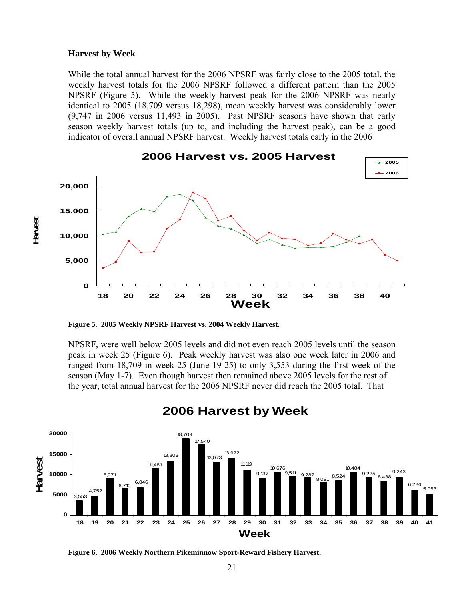#### **Harvest by Week**

**Harvest**

While the total annual harvest for the 2006 NPSRF was fairly close to the 2005 total, the weekly harvest totals for the 2006 NPSRF followed a different pattern than the 2005 NPSRF (Figure 5). While the weekly harvest peak for the 2006 NPSRF was nearly identical to 2005 (18,709 versus 18,298), mean weekly harvest was considerably lower (9,747 in 2006 versus 11,493 in 2005). Past NPSRF seasons have shown that early season weekly harvest totals (up to, and including the harvest peak), can be a good indicator of overall annual NPSRF harvest. Weekly harvest totals early in the 2006



**2006 Harvest vs. 2005 Harvest** 

**Figure 5. 2005 Weekly NPSRF Harvest vs. 2004 Weekly Harvest.**

NPSRF, were well below 2005 levels and did not even reach 2005 levels until the season peak in week 25 (Figure 6). Peak weekly harvest was also one week later in 2006 and ranged from 18,709 in week 25 (June 19-25) to only 3,553 during the first week of the season (May 1-7). Even though harvest then remained above 2005 levels for the rest of the year, total annual harvest for the 2006 NPSRF never did reach the 2005 total. That



## **2006 Harvest by Week**

**Figure 6. 2006 Weekly Northern Pikeminnow Sport-Reward Fishery Harvest.**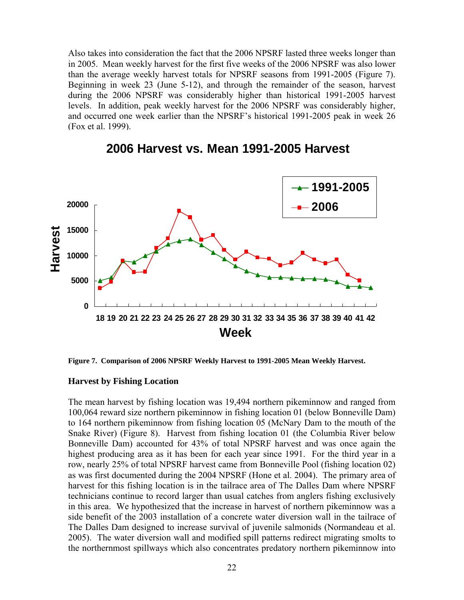Also takes into consideration the fact that the 2006 NPSRF lasted three weeks longer than in 2005. Mean weekly harvest for the first five weeks of the 2006 NPSRF was also lower than the average weekly harvest totals for NPSRF seasons from 1991-2005 (Figure 7). Beginning in week 23 (June 5-12), and through the remainder of the season, harvest during the 2006 NPSRF was considerably higher than historical 1991-2005 harvest levels. In addition, peak weekly harvest for the 2006 NPSRF was considerably higher, and occurred one week earlier than the NPSRF's historical 1991-2005 peak in week 26 (Fox et al. 1999).



## **2006 Harvest vs. Mean 1991-2005 Harvest**

**Figure 7. Comparison of 2006 NPSRF Weekly Harvest to 1991-2005 Mean Weekly Harvest.** 

## **Harvest by Fishing Location**

The mean harvest by fishing location was 19,494 northern pikeminnow and ranged from 100,064 reward size northern pikeminnow in fishing location 01 (below Bonneville Dam) to 164 northern pikeminnow from fishing location 05 (McNary Dam to the mouth of the Snake River) (Figure 8). Harvest from fishing location 01 (the Columbia River below Bonneville Dam) accounted for 43% of total NPSRF harvest and was once again the highest producing area as it has been for each year since 1991. For the third year in a row, nearly 25% of total NPSRF harvest came from Bonneville Pool (fishing location 02) as was first documented during the 2004 NPSRF (Hone et al. 2004). The primary area of harvest for this fishing location is in the tailrace area of The Dalles Dam where NPSRF technicians continue to record larger than usual catches from anglers fishing exclusively in this area. We hypothesized that the increase in harvest of northern pikeminnow was a side benefit of the 2003 installation of a concrete water diversion wall in the tailrace of The Dalles Dam designed to increase survival of juvenile salmonids (Normandeau et al. 2005). The water diversion wall and modified spill patterns redirect migrating smolts to the northernmost spillways which also concentrates predatory northern pikeminnow into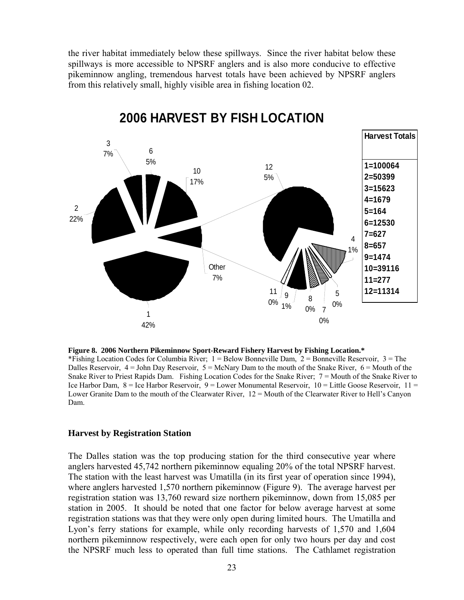the river habitat immediately below these spillways. Since the river habitat below these spillways is more accessible to NPSRF anglers and is also more conducive to effective pikeminnow angling, tremendous harvest totals have been achieved by NPSRF anglers from this relatively small, highly visible area in fishing location 02.



# **2006 HARVEST BY FISH LOCATION**

**Figure 8. 2006 Northern Pikeminnow Sport-Reward Fishery Harvest by Fishing Location.\***  \*Fishing Location Codes for Columbia River; 1 = Below Bonneville Dam, 2 = Bonneville Reservoir, 3 = The Dalles Reservoir,  $4 =$  John Day Reservoir,  $5 =$  McNary Dam to the mouth of the Snake River,  $6 =$  Mouth of the Snake River to Priest Rapids Dam. Fishing Location Codes for the Snake River; 7 = Mouth of the Snake River to Ice Harbor Dam, 8 = Ice Harbor Reservoir, 9 = Lower Monumental Reservoir, 10 = Little Goose Reservoir, 11 = Lower Granite Dam to the mouth of the Clearwater River, 12 = Mouth of the Clearwater River to Hell's Canyon Dam.

## **Harvest by Registration Station**

 The Dalles station was the top producing station for the third consecutive year where anglers harvested 45,742 northern pikeminnow equaling 20% of the total NPSRF harvest. The station with the least harvest was Umatilla (in its first year of operation since 1994), where anglers harvested 1,570 northern pikeminnow (Figure 9). The average harvest per registration station was 13,760 reward size northern pikeminnow, down from 15,085 per station in 2005. It should be noted that one factor for below average harvest at some registration stations was that they were only open during limited hours. The Umatilla and Lyon's ferry stations for example, while only recording harvests of 1,570 and 1,604 northern pikeminnow respectively, were each open for only two hours per day and cost the NPSRF much less to operated than full time stations. The Cathlamet registration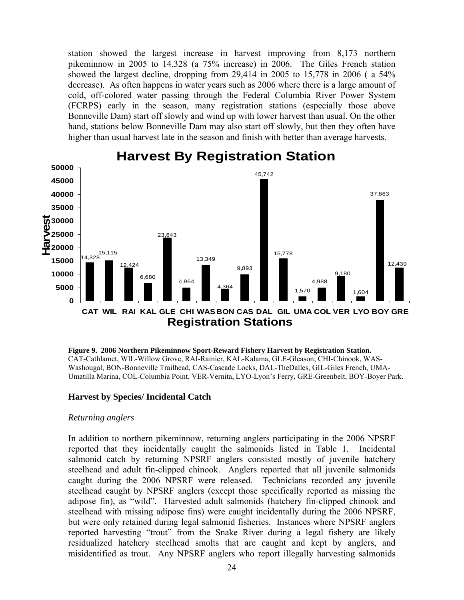station showed the largest increase in harvest improving from 8,173 northern pikeminnow in 2005 to 14,328 (a 75% increase) in 2006. The Giles French station showed the largest decline, dropping from 29,414 in 2005 to 15,778 in 2006 ( a 54% decrease). As often happens in water years such as 2006 where there is a large amount of cold, off-colored water passing through the Federal Columbia River Power System (FCRPS) early in the season, many registration stations (especially those above Bonneville Dam) start off slowly and wind up with lower harvest than usual. On the other hand, stations below Bonneville Dam may also start off slowly, but then they often have higher than usual harvest late in the season and finish with better than average harvests.



# **Harvest By Registration Station**

 **Figure 9. 2006 Northern Pikeminnow Sport-Reward Fishery Harvest by Registration Station.**  CAT-Cathlamet, WIL-Willow Grove, RAI-Rainier, KAL-Kalama, GLE-Gleason, CHI-Chinook, WAS-Washougal, BON-Bonneville Trailhead, CAS-Cascade Locks, DAL-TheDalles, GIL-Giles French, UMA-Umatilla Marina, COL-Columbia Point, VER-Vernita, LYO-Lyon's Ferry, GRE-Greenbelt, BOY-Boyer Park.

## **Harvest by Species/ Incidental Catch**

## *Returning anglers*

In addition to northern pikeminnow, returning anglers participating in the 2006 NPSRF reported that they incidentally caught the salmonids listed in Table 1. Incidental salmonid catch by returning NPSRF anglers consisted mostly of juvenile hatchery steelhead and adult fin-clipped chinook. Anglers reported that all juvenile salmonids caught during the 2006 NPSRF were released. Technicians recorded any juvenile steelhead caught by NPSRF anglers (except those specifically reported as missing the adipose fin), as "wild". Harvested adult salmonids (hatchery fin-clipped chinook and steelhead with missing adipose fins) were caught incidentally during the 2006 NPSRF, but were only retained during legal salmonid fisheries. Instances where NPSRF anglers reported harvesting "trout" from the Snake River during a legal fishery are likely residualized hatchery steelhead smolts that are caught and kept by anglers, and misidentified as trout. Any NPSRF anglers who report illegally harvesting salmonids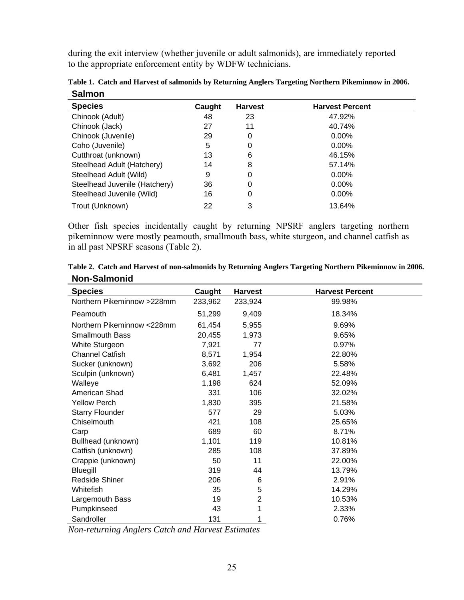during the exit interview (whether juvenile or adult salmonids), are immediately reported to the appropriate enforcement entity by WDFW technicians.

| <b>Species</b>                | Caught | <b>Harvest</b> | <b>Harvest Percent</b> |
|-------------------------------|--------|----------------|------------------------|
| Chinook (Adult)               | 48     | 23             | 47.92%                 |
| Chinook (Jack)                | 27     | 11             | 40.74%                 |
| Chinook (Juvenile)            | 29     | 0              | $0.00\%$               |
| Coho (Juvenile)               | 5      | 0              | $0.00\%$               |
| Cutthroat (unknown)           | 13     | 6              | 46.15%                 |
| Steelhead Adult (Hatchery)    | 14     | 8              | 57.14%                 |
| Steelhead Adult (Wild)        | 9      | 0              | $0.00\%$               |
| Steelhead Juvenile (Hatchery) | 36     | 0              | $0.00\%$               |
| Steelhead Juvenile (Wild)     | 16     | 0              | $0.00\%$               |
| Trout (Unknown)               | 22     | 3              | 13.64%                 |

**Table 1. Catch and Harvest of salmonids by Returning Anglers Targeting Northern Pikeminnow in 2006. Salmon** 

Other fish species incidentally caught by returning NPSRF anglers targeting northern pikeminnow were mostly peamouth, smallmouth bass, white sturgeon, and channel catfish as in all past NPSRF seasons (Table 2).

| יייייטעווויטוויש           |         |                |                        |
|----------------------------|---------|----------------|------------------------|
| <b>Species</b>             | Caught  | <b>Harvest</b> | <b>Harvest Percent</b> |
| Northern Pikeminnow >228mm | 233,962 | 233,924        | 99.98%                 |
| Peamouth                   | 51,299  | 9,409          | 18.34%                 |
| Northern Pikeminnow <228mm | 61,454  | 5,955          | 9.69%                  |
| <b>Smallmouth Bass</b>     | 20,455  | 1,973          | 9.65%                  |
| White Sturgeon             | 7,921   | 77             | 0.97%                  |
| <b>Channel Catfish</b>     | 8,571   | 1,954          | 22.80%                 |
| Sucker (unknown)           | 3,692   | 206            | 5.58%                  |
| Sculpin (unknown)          | 6,481   | 1,457          | 22.48%                 |
| Walleye                    | 1,198   | 624            | 52.09%                 |
| American Shad              | 331     | 106            | 32.02%                 |
| <b>Yellow Perch</b>        | 1,830   | 395            | 21.58%                 |
| <b>Starry Flounder</b>     | 577     | 29             | 5.03%                  |
| Chiselmouth                | 421     | 108            | 25.65%                 |
| Carp                       | 689     | 60             | 8.71%                  |
| Bullhead (unknown)         | 1,101   | 119            | 10.81%                 |
| Catfish (unknown)          | 285     | 108            | 37.89%                 |
| Crappie (unknown)          | 50      | 11             | 22.00%                 |
| Bluegill                   | 319     | 44             | 13.79%                 |
| <b>Redside Shiner</b>      | 206     | 6              | 2.91%                  |
| Whitefish                  | 35      | 5              | 14.29%                 |
| Largemouth Bass            | 19      | $\overline{2}$ | 10.53%                 |
| Pumpkinseed                | 43      | 1              | 2.33%                  |
| Sandroller                 | 131     | 1              | 0.76%                  |

**Table 2. Catch and Harvest of non-salmonids by Returning Anglers Targeting Northern Pikeminnow in 2006. Non-Salmonid** 

*Non-returning Anglers Catch and Harvest Estimates*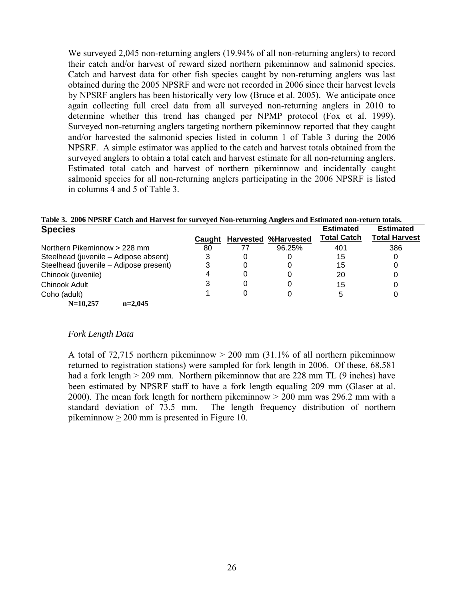We surveyed 2,045 non-returning anglers (19.94% of all non-returning anglers) to record their catch and/or harvest of reward sized northern pikeminnow and salmonid species. Catch and harvest data for other fish species caught by non-returning anglers was last obtained during the 2005 NPSRF and were not recorded in 2006 since their harvest levels by NPSRF anglers has been historically very low (Bruce et al. 2005). We anticipate once again collecting full creel data from all surveyed non-returning anglers in 2010 to determine whether this trend has changed per NPMP protocol (Fox et al. 1999). Surveyed non-returning anglers targeting northern pikeminnow reported that they caught and/or harvested the salmonid species listed in column 1 of Table 3 during the 2006 NPSRF. A simple estimator was applied to the catch and harvest totals obtained from the surveyed anglers to obtain a total catch and harvest estimate for all non-returning anglers. Estimated total catch and harvest of northern pikeminnow and incidentally caught salmonid species for all non-returning anglers participating in the 2006 NPSRF is listed in columns 4 and 5 of Table 3.

| Table 3. 2006 NPSRF Catch and Harvest for surveyed Non-returning Anglers and Estimated non-return totals. |  |  |                             |             |                     |
|-----------------------------------------------------------------------------------------------------------|--|--|-----------------------------|-------------|---------------------|
| <b>Species</b>                                                                                            |  |  |                             | Estimated   | Estimated           |
|                                                                                                           |  |  | Caught Harvested %Harvested | Total Catch | <b>Total Harves</b> |

| <u>.</u>                               | Caught | Harvested %Harvested | <b>Total Catch</b> | <b>Total Harvest</b> |
|----------------------------------------|--------|----------------------|--------------------|----------------------|
| Northern Pikeminnow > 228 mm           | 80     | 96.25%               | 401                | 386                  |
| Steelhead (juvenile – Adipose absent)  |        |                      | 15                 |                      |
| Steelhead (juvenile – Adipose present) |        |                      | 15                 |                      |
| Chinook (juvenile)                     |        |                      | 20                 |                      |
| Chinook Adult                          |        |                      | 15                 |                      |
| Coho (adult)                           |        |                      |                    |                      |
| $N=10.257$<br>$n=2.045$                |        |                      |                    |                      |

## *Fork Length Data*

A total of  $72,715$  northern pikeminnow  $> 200$  mm  $(31.1\%$  of all northern pikeminnow returned to registration stations) were sampled for fork length in 2006. Of these, 68,581 had a fork length  $> 209$  mm. Northern pikeminnow that are 228 mm TL (9 inches) have been estimated by NPSRF staff to have a fork length equaling 209 mm (Glaser at al. 2000). The mean fork length for northern pikeminnow > 200 mm was 296.2 mm with a standard deviation of 73.5 mm. The length frequency distribution of northern pikeminnow > 200 mm is presented in Figure 10.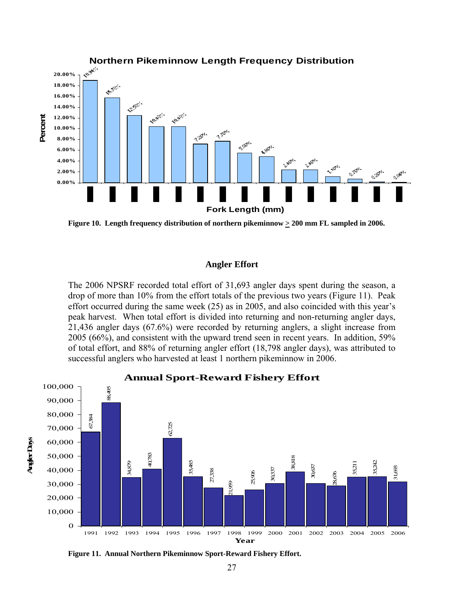

**Figure 10. Length frequency distribution of northern pikeminnow > 200 mm FL sampled in 2006.** 

## **Angler Effort**

The 2006 NPSRF recorded total effort of 31,693 angler days spent during the season, a drop of more than 10% from the effort totals of the previous two years (Figure 11). Peak effort occurred during the same week (25) as in 2005, and also coincided with this year's peak harvest. When total effort is divided into returning and non-returning angler days, 21,436 angler days (67.6%) were recorded by returning anglers, a slight increase from 2005 (66%), and consistent with the upward trend seen in recent years. In addition, 59% of total effort, and 88% of returning angler effort (18,798 angler days), was attributed to successful anglers who harvested at least 1 northern pikeminnow in 2006.



**Figure 11. Annual Northern Pikeminnow Sport-Reward Fishery Effort.**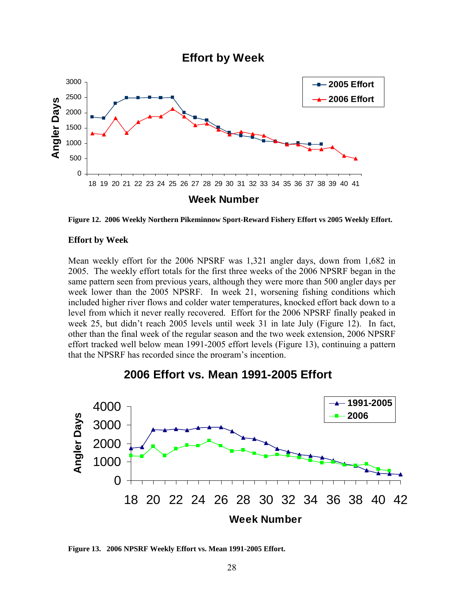## **Effort by Week**



Figure 12. 2006 Weekly Northern Pikeminnow Sport-Reward Fishery Effort vs 2005 Weekly Effort.

## **Effort by Week**

Mean weekly effort for the 2006 NPSRF was 1,321 angler days, down from 1,682 in 2005. The weekly effort totals for the first three weeks of the 2006 NPSRF began in the same pattern seen from previous years, although they were more than 500 angler days per week lower than the 2005 NPSRF. In week 21, worsening fishing conditions which included higher river flows and colder water temperatures, knocked effort back down to a level from which it never really recovered. Effort for the 2006 NPSRF finally peaked in week 25, but didn't reach 2005 levels until week 31 in late July (Figure 12). In fact, other than the final week of the regular season and the two week extension, 2006 NPSRF effort tracked well below mean 1991-2005 effort levels (Figure 13), continuing a pattern that the NPSRF has recorded since the program's inception.

# **2006 Effort vs. Mean 1991-2005 Effort**



**Figure 13. 2006 NPSRF Weekly Effort vs. Mean 1991-2005 Effort.**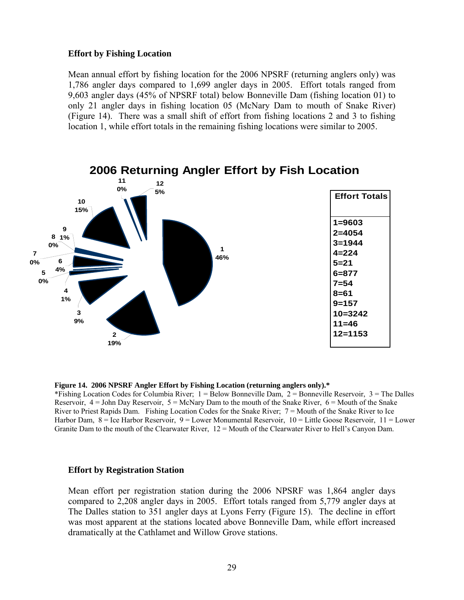#### **Effort by Fishing Location**

Mean annual effort by fishing location for the 2006 NPSRF (returning anglers only) was 1,786 angler days compared to 1,699 angler days in 2005. Effort totals ranged from 9,603 angler days (45% of NPSRF total) below Bonneville Dam (fishing location 01) to only 21 angler days in fishing location 05 (McNary Dam to mouth of Snake River) (Figure 14). There was a small shift of effort from fishing locations 2 and 3 to fishing location 1, while effort totals in the remaining fishing locations were similar to 2005.



## **2006 Returning Angler Effort by Fish Location**

#### **Figure 14. 2006 NPSRF Angler Effort by Fishing Location (returning anglers only).\***

\*Fishing Location Codes for Columbia River;  $1 =$  Below Bonneville Dam,  $2 =$  Bonneville Reservoir,  $3 =$  The Dalles Reservoir,  $4 =$  John Day Reservoir,  $5 =$  McNary Dam to the mouth of the Snake River,  $6 =$  Mouth of the Snake River to Priest Rapids Dam. Fishing Location Codes for the Snake River;  $7 =$  Mouth of the Snake River to Ice Harbor Dam, 8 = Ice Harbor Reservoir, 9 = Lower Monumental Reservoir, 10 = Little Goose Reservoir, 11 = Lower Granite Dam to the mouth of the Clearwater River, 12 = Mouth of the Clearwater River to Hell's Canyon Dam.

#### **Effort by Registration Station**

Mean effort per registration station during the 2006 NPSRF was 1,864 angler days compared to 2,208 angler days in 2005. Effort totals ranged from 5,779 angler days at The Dalles station to 351 angler days at Lyons Ferry (Figure 15). The decline in effort was most apparent at the stations located above Bonneville Dam, while effort increased dramatically at the Cathlamet and Willow Grove stations.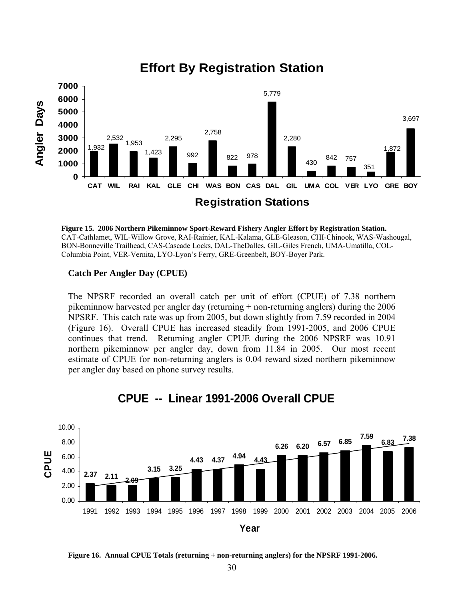

## **Effort By Registration Station**



## **Catch Per Angler Day (CPUE)**

The NPSRF recorded an overall catch per unit of effort (CPUE) of 7.38 northern pikeminnow harvested per angler day (returning  $+$  non-returning anglers) during the  $2006$ NPSRF. This catch rate was up from 2005, but down slightly from 7.59 recorded in 2004 (Figure 16). Overall CPUE has increased steadily from 1991-2005, and 2006 CPUE continues that trend. Returning angler CPUE during the 2006 NPSRF was 10.91 northern pikeminnow per angler day, down from 11.84 in 2005. Our most recent estimate of CPUE for non-returning anglers is 0.04 reward sized northern pikeminnow per angler day based on phone survey results.



## **CPUE -- Linear 1991-2006 Overall CPUE**

**Figure 16. Annual CPUE Totals (returning + non-returning anglers) for the NPSRF 1991-2006.**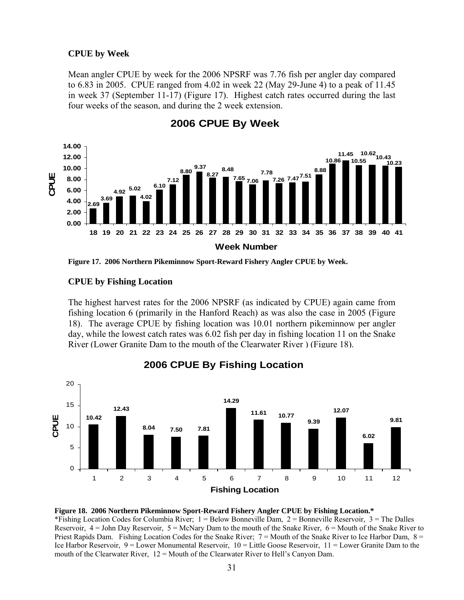## **CPUE by Week**

Mean angler CPUE by week for the 2006 NPSRF was 7.76 fish per angler day compared to 6.83 in 2005. CPUE ranged from 4.02 in week 22 (May 29-June 4) to a peak of 11.45 in week 37 (September 11-17) (Figure 17). Highest catch rates occurred during the last four weeks of the season, and during the 2 week extension.



**2006 CPUE By Week** 

**Figure 17. 2006 Northern Pikeminnow Sport-Reward Fishery Angler CPUE by Week.** 

## **CPUE by Fishing Location**

The highest harvest rates for the 2006 NPSRF (as indicated by CPUE) again came from fishing location 6 (primarily in the Hanford Reach) as was also the case in 2005 (Figure 18). The average CPUE by fishing location was 10.01 northern pikeminnow per angler day, while the lowest catch rates was 6.02 fish per day in fishing location 11 on the Snake River (Lower Granite Dam to the mouth of the Clearwater River ) (Figure 18).



## **2006 CPUE By Fishing Location**

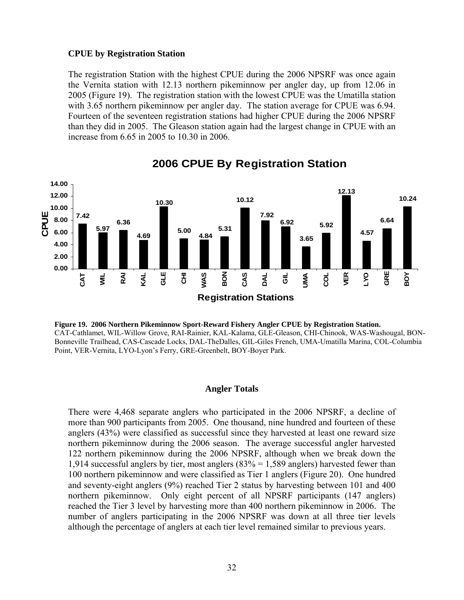## **CPUE by Registration Station**

The registration Station with the highest CPUE during the 2006 NPSRF was once again the Vernita station with 12.13 northern pikeminnow per angler day, up from 12.06 in 2005 (Figure 19). The registration station with the lowest CPUE was the Umatilla station with 3.65 northern pikeminnow per angler day. The station average for CPUE was 6.94. Fourteen of the seventeen registration stations had higher CPUE during the 2006 NPSRF than they did in 2005. The Gleason station again had the largest change in CPUE with an increase from 6.65 in 2005 to 10.30 in 2006.



## **2006 CPUE By Registration Station**



## **Angler Totals**

There were 4,468 separate anglers who participated in the 2006 NPSRF, a decline of more than 900 participants from 2005. One thousand, nine hundred and fourteen of these anglers (43%) were classified as successful since they harvested at least one reward size northern pikeminnow during the 2006 season. The average successful angler harvested 122 northern pikeminnow during the 2006 NPSRF, although when we break down the 1,914 successful anglers by tier, most anglers (83% = 1,589 anglers) harvested fewer than 100 northern pikeminnow and were classified as Tier 1 anglers (Figure 20). One hundred and seventy-eight anglers (9%) reached Tier 2 status by harvesting between 101 and 400 northern pikeminnow. Only eight percent of all NPSRF participants (147 anglers) reached the Tier 3 level by harvesting more than 400 northern pikeminnow in 2006. The number of anglers participating in the 2006 NPSRF was down at all three tier levels although the percentage of anglers at each tier level remained similar to previous years.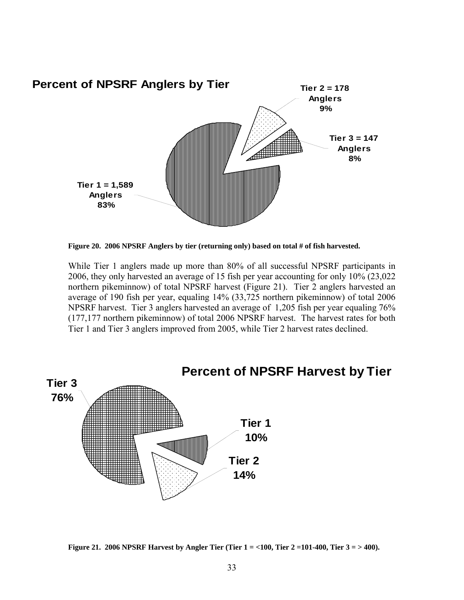

**Figure 20. 2006 NPSRF Anglers by tier (returning only) based on total # of fish harvested.** 

While Tier 1 anglers made up more than 80% of all successful NPSRF participants in 2006, they only harvested an average of 15 fish per year accounting for only 10% (23,022 northern pikeminnow) of total NPSRF harvest (Figure 21). Tier 2 anglers harvested an average of 190 fish per year, equaling 14% (33,725 northern pikeminnow) of total 2006 NPSRF harvest. Tier 3 anglers harvested an average of 1,205 fish per year equaling 76% (177,177 northern pikeminnow) of total 2006 NPSRF harvest. The harvest rates for both Tier 1 and Tier 3 anglers improved from 2005, while Tier 2 harvest rates declined.



**Figure 21. 2006 NPSRF Harvest by Angler Tier (Tier 1 = <100, Tier 2 =101-400, Tier 3 = > 400).**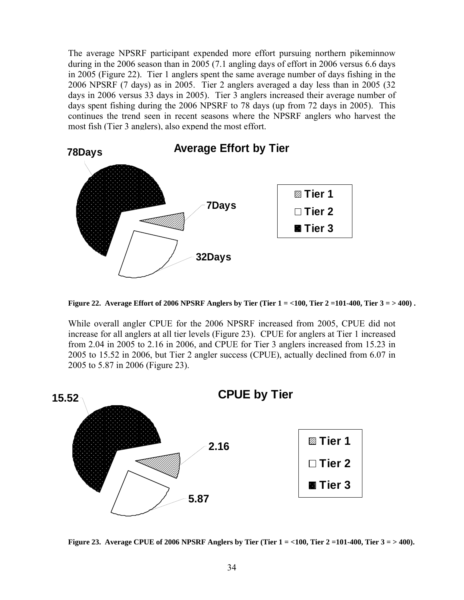The average NPSRF participant expended more effort pursuing northern pikeminnow during in the 2006 season than in 2005 (7.1 angling days of effort in 2006 versus 6.6 days in 2005 (Figure 22). Tier 1 anglers spent the same average number of days fishing in the 2006 NPSRF (7 days) as in 2005. Tier 2 anglers averaged a day less than in 2005 (32 days in 2006 versus 33 days in 2005). Tier 3 anglers increased their average number of days spent fishing during the 2006 NPSRF to 78 days (up from 72 days in 2005). This continues the trend seen in recent seasons where the NPSRF anglers who harvest the most fish (Tier 3 anglers), also expend the most effort.



**Figure 22. Average Effort of 2006 NPSRF Anglers by Tier (Tier 1 = <100, Tier 2 =101-400, Tier 3 = > 400) .** 

While overall angler CPUE for the 2006 NPSRF increased from 2005, CPUE did not increase for all anglers at all tier levels (Figure 23). CPUE for anglers at Tier 1 increased from 2.04 in 2005 to 2.16 in 2006, and CPUE for Tier 3 anglers increased from 15.23 in 2005 to 15.52 in 2006, but Tier 2 angler success (CPUE), actually declined from 6.07 in 2005 to 5.87 in 2006 (Figure 23).



**Figure 23. Average CPUE of 2006 NPSRF Anglers by Tier (Tier 1 = <100, Tier 2 =101-400, Tier 3 = > 400).**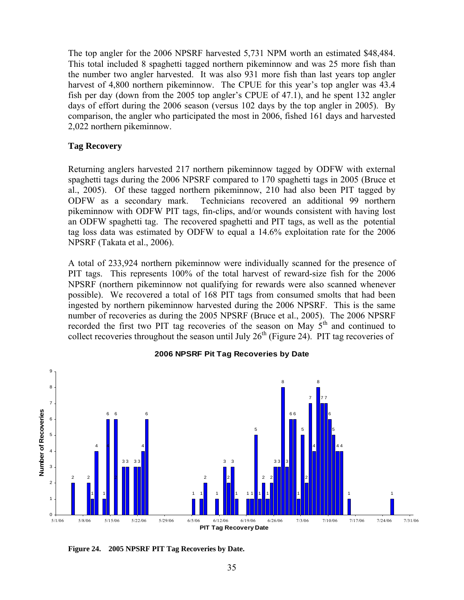The top angler for the 2006 NPSRF harvested 5,731 NPM worth an estimated \$48,484. This total included 8 spaghetti tagged northern pikeminnow and was 25 more fish than the number two angler harvested. It was also 931 more fish than last years top angler harvest of 4,800 northern pikeminnow. The CPUE for this year's top angler was 43.4 fish per day (down from the 2005 top angler's CPUE of 47.1), and he spent 132 angler days of effort during the 2006 season (versus 102 days by the top angler in 2005). By comparison, the angler who participated the most in 2006, fished 161 days and harvested 2,022 northern pikeminnow.

## **Tag Recovery**

Returning anglers harvested 217 northern pikeminnow tagged by ODFW with external spaghetti tags during the 2006 NPSRF compared to 170 spaghetti tags in 2005 (Bruce et al., 2005). Of these tagged northern pikeminnow, 210 had also been PIT tagged by ODFW as a secondary mark. Technicians recovered an additional 99 northern pikeminnow with ODFW PIT tags, fin-clips, and/or wounds consistent with having lost an ODFW spaghetti tag. The recovered spaghetti and PIT tags, as well as the potential tag loss data was estimated by ODFW to equal a 14.6% exploitation rate for the 2006 NPSRF (Takata et al., 2006).

A total of 233,924 northern pikeminnow were individually scanned for the presence of PIT tags. This represents 100% of the total harvest of reward-size fish for the 2006 NPSRF (northern pikeminnow not qualifying for rewards were also scanned whenever possible). We recovered a total of 168 PIT tags from consumed smolts that had been ingested by northern pikeminnow harvested during the 2006 NPSRF. This is the same number of recoveries as during the 2005 NPSRF (Bruce et al., 2005). The 2006 NPSRF recorded the first two PIT tag recoveries of the season on May 5<sup>th</sup> and continued to collect recoveries throughout the season until July  $26<sup>th</sup>$  (Figure 24). PIT tag recoveries of



## **2006 NPSRF Pit Tag Recoveries by Date**

**Figure 24. 2005 NPSRF PIT Tag Recoveries by Date.**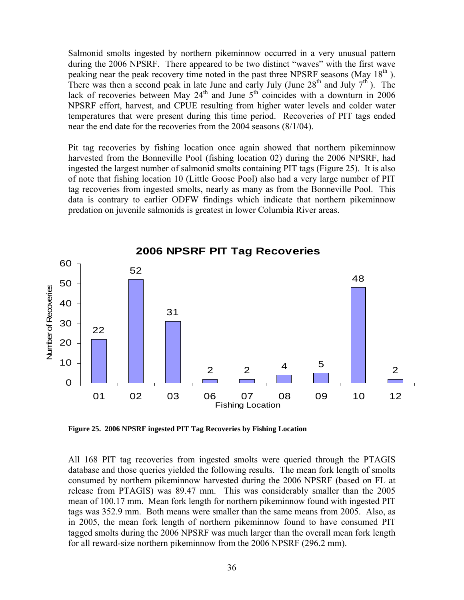Salmonid smolts ingested by northern pikeminnow occurred in a very unusual pattern during the 2006 NPSRF. There appeared to be two distinct "waves" with the first wave peaking near the peak recovery time noted in the past three NPSRF seasons (May 18<sup>th</sup>). There was then a second peak in late June and early July (June  $28<sup>th</sup>$  and July  $7<sup>th</sup>$ ). The lack of recoveries between May  $24<sup>th</sup>$  and June  $5<sup>th</sup>$  coincides with a downturn in 2006 NPSRF effort, harvest, and CPUE resulting from higher water levels and colder water temperatures that were present during this time period. Recoveries of PIT tags ended near the end date for the recoveries from the 2004 seasons (8/1/04).

Pit tag recoveries by fishing location once again showed that northern pikeminnow harvested from the Bonneville Pool (fishing location 02) during the 2006 NPSRF, had ingested the largest number of salmonid smolts containing PIT tags (Figure 25). It is also of note that fishing location 10 (Little Goose Pool) also had a very large number of PIT tag recoveries from ingested smolts, nearly as many as from the Bonneville Pool. This data is contrary to earlier ODFW findings which indicate that northern pikeminnow predation on juvenile salmonids is greatest in lower Columbia River areas.



**Figure 25. 2006 NPSRF ingested PIT Tag Recoveries by Fishing Location** 

All 168 PIT tag recoveries from ingested smolts were queried through the PTAGIS database and those queries yielded the following results. The mean fork length of smolts consumed by northern pikeminnow harvested during the 2006 NPSRF (based on FL at release from PTAGIS) was 89.47 mm. This was considerably smaller than the 2005 mean of 100.17 mm. Mean fork length for northern pikeminnow found with ingested PIT tags was 352.9 mm. Both means were smaller than the same means from 2005. Also, as in 2005, the mean fork length of northern pikeminnow found to have consumed PIT tagged smolts during the 2006 NPSRF was much larger than the overall mean fork length for all reward-size northern pikeminnow from the 2006 NPSRF (296.2 mm).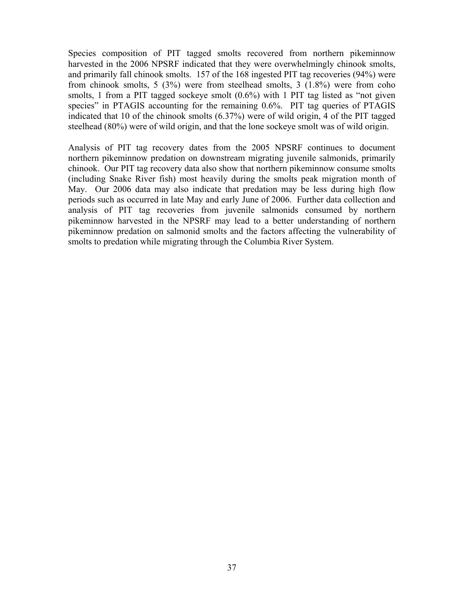Species composition of PIT tagged smolts recovered from northern pikeminnow harvested in the 2006 NPSRF indicated that they were overwhelmingly chinook smolts, and primarily fall chinook smolts. 157 of the 168 ingested PIT tag recoveries (94%) were from chinook smolts, 5 (3%) were from steelhead smolts, 3 (1.8%) were from coho smolts, 1 from a PIT tagged sockeye smolt  $(0.6\%)$  with 1 PIT tag listed as "not given species" in PTAGIS accounting for the remaining 0.6%. PIT tag queries of PTAGIS indicated that 10 of the chinook smolts (6.37%) were of wild origin, 4 of the PIT tagged steelhead (80%) were of wild origin, and that the lone sockeye smolt was of wild origin.

Analysis of PIT tag recovery dates from the 2005 NPSRF continues to document northern pikeminnow predation on downstream migrating juvenile salmonids, primarily chinook. Our PIT tag recovery data also show that northern pikeminnow consume smolts (including Snake River fish) most heavily during the smolts peak migration month of May. Our 2006 data may also indicate that predation may be less during high flow periods such as occurred in late May and early June of 2006. Further data collection and analysis of PIT tag recoveries from juvenile salmonids consumed by northern pikeminnow harvested in the NPSRF may lead to a better understanding of northern pikeminnow predation on salmonid smolts and the factors affecting the vulnerability of smolts to predation while migrating through the Columbia River System.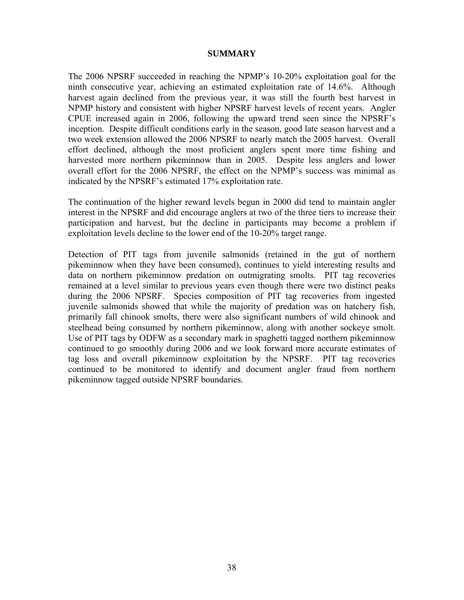# **SUMMARY**

The 2006 NPSRF succeeded in reaching the NPMP's 10-20% exploitation goal for the ninth consecutive year, achieving an estimated exploitation rate of 14.6%. Although harvest again declined from the previous year, it was still the fourth best harvest in NPMP history and consistent with higher NPSRF harvest levels of recent years. Angler CPUE increased again in 2006, following the upward trend seen since the NPSRF's inception. Despite difficult conditions early in the season, good late season harvest and a two week extension allowed the 2006 NPSRF to nearly match the 2005 harvest. Overall effort declined, although the most proficient anglers spent more time fishing and harvested more northern pikeminnow than in 2005. Despite less anglers and lower overall effort for the 2006 NPSRF, the effect on the NPMP's success was minimal as indicated by the NPSRF's estimated 17% exploitation rate.

The continuation of the higher reward levels begun in 2000 did tend to maintain angler interest in the NPSRF and did encourage anglers at two of the three tiers to increase their participation and harvest, but the decline in participants may become a problem if exploitation levels decline to the lower end of the 10-20% target range.

Detection of PIT tags from juvenile salmonids (retained in the gut of northern pikeminnow when they have been consumed), continues to yield interesting results and data on northern pikeminnow predation on outmigrating smolts. PIT tag recoveries remained at a level similar to previous years even though there were two distinct peaks during the 2006 NPSRF. Species composition of PIT tag recoveries from ingested juvenile salmonids showed that while the majority of predation was on hatchery fish, primarily fall chinook smolts, there were also significant numbers of wild chinook and steelhead being consumed by northern pikeminnow, along with another sockeye smolt. Use of PIT tags by ODFW as a secondary mark in spaghetti tagged northern pikeminnow continued to go smoothly during 2006 and we look forward more accurate estimates of tag loss and overall pikeminnow exploitation by the NPSRF. PIT tag recoveries continued to be monitored to identify and document angler fraud from northern pikeminnow tagged outside NPSRF boundaries.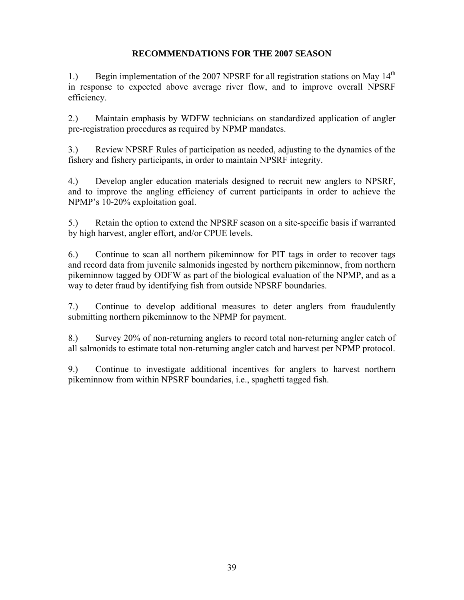# **RECOMMENDATIONS FOR THE 2007 SEASON**

1.) Begin implementation of the 2007 NPSRF for all registration stations on May  $14<sup>th</sup>$ in response to expected above average river flow, and to improve overall NPSRF efficiency.

2.) Maintain emphasis by WDFW technicians on standardized application of angler pre-registration procedures as required by NPMP mandates.

3.) Review NPSRF Rules of participation as needed, adjusting to the dynamics of the fishery and fishery participants, in order to maintain NPSRF integrity.

4.) Develop angler education materials designed to recruit new anglers to NPSRF, and to improve the angling efficiency of current participants in order to achieve the NPMP's 10-20% exploitation goal.

5.) Retain the option to extend the NPSRF season on a site-specific basis if warranted by high harvest, angler effort, and/or CPUE levels.

6.) Continue to scan all northern pikeminnow for PIT tags in order to recover tags and record data from juvenile salmonids ingested by northern pikeminnow, from northern pikeminnow tagged by ODFW as part of the biological evaluation of the NPMP, and as a way to deter fraud by identifying fish from outside NPSRF boundaries.

7.) Continue to develop additional measures to deter anglers from fraudulently submitting northern pikeminnow to the NPMP for payment.

8.) Survey 20% of non-returning anglers to record total non-returning angler catch of all salmonids to estimate total non-returning angler catch and harvest per NPMP protocol.

9.) Continue to investigate additional incentives for anglers to harvest northern pikeminnow from within NPSRF boundaries, i.e., spaghetti tagged fish.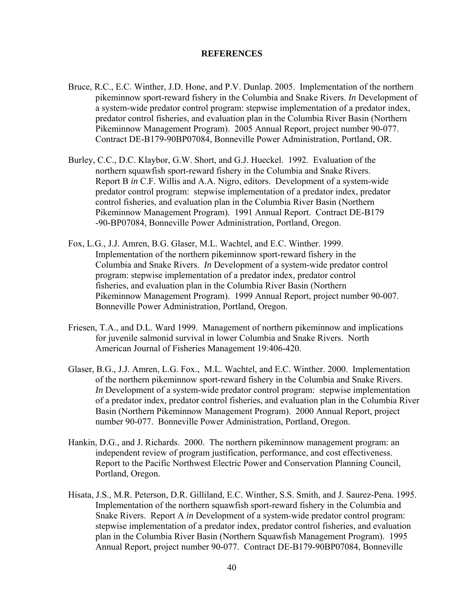## **REFERENCES**

- Bruce, R.C., E.C. Winther, J.D. Hone, and P.V. Dunlap. 2005. Implementation of the northern pikeminnow sport-reward fishery in the Columbia and Snake Rivers. *In* Development of a system-wide predator control program: stepwise implementation of a predator index, predator control fisheries, and evaluation plan in the Columbia River Basin (Northern Pikeminnow Management Program). 2005 Annual Report, project number 90-077. Contract DE-B179-90BP07084, Bonneville Power Administration, Portland, OR.
- Burley, C.C., D.C. Klaybor, G.W. Short, and G.J. Hueckel. 1992. Evaluation of the northern squawfish sport-reward fishery in the Columbia and Snake Rivers. Report B *in* C.F. Willis and A.A. Nigro, editors. Development of a system-wide predator control program: stepwise implementation of a predator index, predator control fisheries, and evaluation plan in the Columbia River Basin (Northern Pikeminnow Management Program). 1991 Annual Report. Contract DE-B179 -90-BP07084, Bonneville Power Administration, Portland, Oregon.
- Fox, L.G., J.J. Amren, B.G. Glaser, M.L. Wachtel, and E.C. Winther. 1999. Implementation of the northern pikeminnow sport-reward fishery in the Columbia and Snake Rivers. *In* Development of a system-wide predator control program: stepwise implementation of a predator index, predator control fisheries, and evaluation plan in the Columbia River Basin (Northern Pikeminnow Management Program). 1999 Annual Report, project number 90-007. Bonneville Power Administration, Portland, Oregon.
- Friesen, T.A., and D.L. Ward 1999. Management of northern pikeminnow and implications for juvenile salmonid survival in lower Columbia and Snake Rivers. North American Journal of Fisheries Management 19:406-420.
- Glaser, B.G., J.J. Amren, L.G. Fox., M.L. Wachtel, and E.C. Winther. 2000. Implementation of the northern pikeminnow sport-reward fishery in the Columbia and Snake Rivers. *In* Development of a system-wide predator control program: stepwise implementation of a predator index, predator control fisheries, and evaluation plan in the Columbia River Basin (Northern Pikeminnow Management Program). 2000 Annual Report, project number 90-077. Bonneville Power Administration, Portland, Oregon.
- Hankin, D.G., and J. Richards. 2000. The northern pikeminnow management program: an independent review of program justification, performance, and cost effectiveness. Report to the Pacific Northwest Electric Power and Conservation Planning Council, Portland, Oregon.
- Hisata, J.S., M.R. Peterson, D.R. Gilliland, E.C. Winther, S.S. Smith, and J. Saurez-Pena. 1995. Implementation of the northern squawfish sport-reward fishery in the Columbia and Snake Rivers. Report A *in* Development of a system-wide predator control program: stepwise implementation of a predator index, predator control fisheries, and evaluation plan in the Columbia River Basin (Northern Squawfish Management Program). 1995 Annual Report, project number 90-077. Contract DE-B179-90BP07084, Bonneville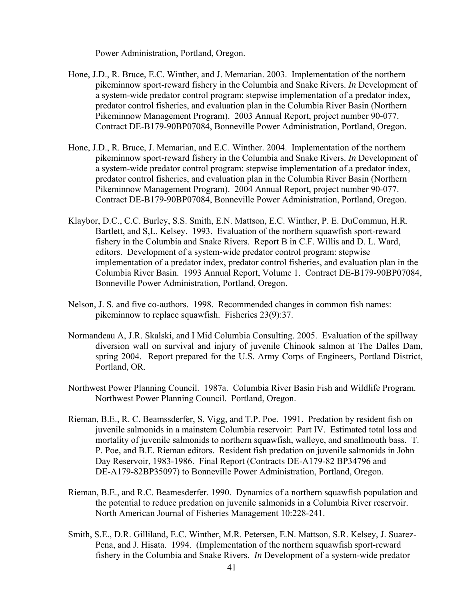Power Administration, Portland, Oregon.

- Hone, J.D., R. Bruce, E.C. Winther, and J. Memarian. 2003. Implementation of the northern pikeminnow sport-reward fishery in the Columbia and Snake Rivers. *In* Development of a system-wide predator control program: stepwise implementation of a predator index, predator control fisheries, and evaluation plan in the Columbia River Basin (Northern Pikeminnow Management Program). 2003 Annual Report, project number 90-077. Contract DE-B179-90BP07084, Bonneville Power Administration, Portland, Oregon.
- Hone, J.D., R. Bruce, J. Memarian, and E.C. Winther. 2004. Implementation of the northern pikeminnow sport-reward fishery in the Columbia and Snake Rivers. *In* Development of a system-wide predator control program: stepwise implementation of a predator index, predator control fisheries, and evaluation plan in the Columbia River Basin (Northern Pikeminnow Management Program). 2004 Annual Report, project number 90-077. Contract DE-B179-90BP07084, Bonneville Power Administration, Portland, Oregon.
- Klaybor, D.C., C.C. Burley, S.S. Smith, E.N. Mattson, E.C. Winther, P. E. DuCommun, H.R. Bartlett, and S,L. Kelsey. 1993. Evaluation of the northern squawfish sport-reward fishery in the Columbia and Snake Rivers. Report B in C.F. Willis and D. L. Ward, editors. Development of a system-wide predator control program: stepwise implementation of a predator index, predator control fisheries, and evaluation plan in the Columbia River Basin. 1993 Annual Report, Volume 1. Contract DE-B179-90BP07084, Bonneville Power Administration, Portland, Oregon.
- Nelson, J. S. and five co-authors. 1998. Recommended changes in common fish names: pikeminnow to replace squawfish. Fisheries 23(9):37.
- Normandeau A, J.R. Skalski, and I Mid Columbia Consulting. 2005. Evaluation of the spillway diversion wall on survival and injury of juvenile Chinook salmon at The Dalles Dam, spring 2004. Report prepared for the U.S. Army Corps of Engineers, Portland District, Portland, OR.
- Northwest Power Planning Council. 1987a. Columbia River Basin Fish and Wildlife Program. Northwest Power Planning Council. Portland, Oregon.
- Rieman, B.E., R. C. Beamssderfer, S. Vigg, and T.P. Poe. 1991. Predation by resident fish on juvenile salmonids in a mainstem Columbia reservoir: Part IV. Estimated total loss and mortality of juvenile salmonids to northern squawfish, walleye, and smallmouth bass. T. P. Poe, and B.E. Rieman editors. Resident fish predation on juvenile salmonids in John Day Reservoir, 1983-1986. Final Report (Contracts DE-A179-82 BP34796 and DE-A179-82BP35097) to Bonneville Power Administration, Portland, Oregon.
- Rieman, B.E., and R.C. Beamesderfer. 1990. Dynamics of a northern squawfish population and the potential to reduce predation on juvenile salmonids in a Columbia River reservoir. North American Journal of Fisheries Management 10:228-241.
- Smith, S.E., D.R. Gilliland, E.C. Winther, M.R. Petersen, E.N. Mattson, S.R. Kelsey, J. Suarez- Pena, and J. Hisata. 1994. (Implementation of the northern squawfish sport-reward fishery in the Columbia and Snake Rivers. *In* Development of a system-wide predator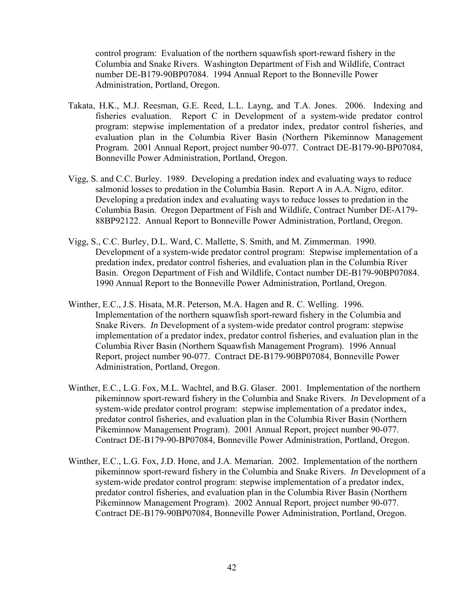control program: Evaluation of the northern squawfish sport-reward fishery in the Columbia and Snake Rivers. Washington Department of Fish and Wildlife, Contract number DE-B179-90BP07084. 1994 Annual Report to the Bonneville Power Administration, Portland, Oregon.

- Takata, H.K., M.J. Reesman, G.E. Reed, L.L. Layng, and T.A. Jones. 2006. Indexing and fisheries evaluation. Report C in Development of a system-wide predator control program: stepwise implementation of a predator index, predator control fisheries, and evaluation plan in the Columbia River Basin (Northern Pikeminnow Management Program. 2001 Annual Report, project number 90-077. Contract DE-B179-90-BP07084, Bonneville Power Administration, Portland, Oregon.
- Vigg, S. and C.C. Burley. 1989. Developing a predation index and evaluating ways to reduce salmonid losses to predation in the Columbia Basin. Report A in A.A. Nigro, editor. Developing a predation index and evaluating ways to reduce losses to predation in the Columbia Basin. Oregon Department of Fish and Wildlife, Contract Number DE-A179- 88BP92122. Annual Report to Bonneville Power Administration, Portland, Oregon.
- Vigg, S., C.C. Burley, D.L. Ward, C. Mallette, S. Smith, and M. Zimmerman. 1990. Development of a system-wide predator control program: Stepwise implementation of a predation index, predator control fisheries, and evaluation plan in the Columbia River Basin. Oregon Department of Fish and Wildlife, Contact number DE-B179-90BP07084. 1990 Annual Report to the Bonneville Power Administration, Portland, Oregon.
- Winther, E.C., J.S. Hisata, M.R. Peterson, M.A. Hagen and R. C. Welling. 1996. Implementation of the northern squawfish sport-reward fishery in the Columbia and Snake Rivers. *In* Development of a system-wide predator control program: stepwise implementation of a predator index, predator control fisheries, and evaluation plan in the Columbia River Basin (Northern Squawfish Management Program). 1996 Annual Report, project number 90-077. Contract DE-B179-90BP07084, Bonneville Power Administration, Portland, Oregon.
- Winther, E.C., L.G. Fox, M.L. Wachtel, and B.G. Glaser. 2001. Implementation of the northern pikeminnow sport-reward fishery in the Columbia and Snake Rivers. *In* Development of a system-wide predator control program: stepwise implementation of a predator index, predator control fisheries, and evaluation plan in the Columbia River Basin (Northern Pikeminnow Management Program). 2001 Annual Report, project number 90-077. Contract DE-B179-90-BP07084, Bonneville Power Administration, Portland, Oregon.
- Winther, E.C., L.G. Fox, J.D. Hone, and J.A. Memarian. 2002. Implementation of the northern pikeminnow sport-reward fishery in the Columbia and Snake Rivers. *In* Development of a system-wide predator control program: stepwise implementation of a predator index, predator control fisheries, and evaluation plan in the Columbia River Basin (Northern Pikeminnow Management Program). 2002 Annual Report, project number 90-077. Contract DE-B179-90BP07084, Bonneville Power Administration, Portland, Oregon.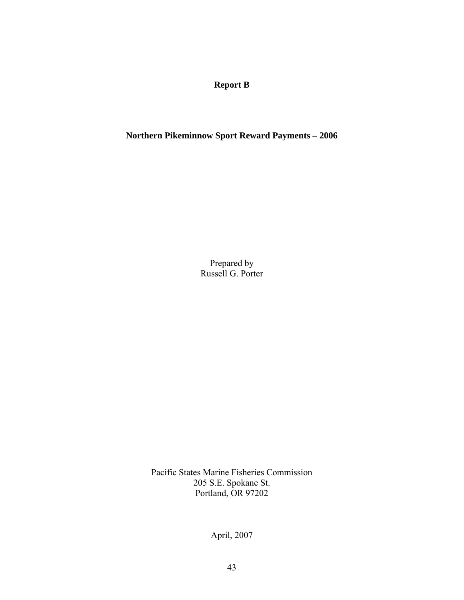**Report B** 

**Northern Pikeminnow Sport Reward Payments – 2006** 

Prepared by Russell G. Porter

Pacific States Marine Fisheries Commission 205 S.E. Spokane St. Portland, OR 97202

April, 2007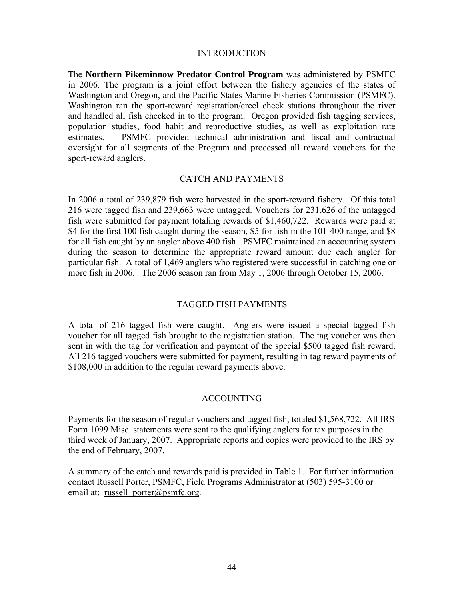# INTRODUCTION

The **Northern Pikeminnow Predator Control Program** was administered by PSMFC in 2006. The program is a joint effort between the fishery agencies of the states of Washington and Oregon, and the Pacific States Marine Fisheries Commission (PSMFC). Washington ran the sport-reward registration/creel check stations throughout the river and handled all fish checked in to the program. Oregon provided fish tagging services, population studies, food habit and reproductive studies, as well as exploitation rate estimates. PSMFC provided technical administration and fiscal and contractual oversight for all segments of the Program and processed all reward vouchers for the sport-reward anglers.

# CATCH AND PAYMENTS

In 2006 a total of 239,879 fish were harvested in the sport-reward fishery. Of this total 216 were tagged fish and 239,663 were untagged. Vouchers for 231,626 of the untagged fish were submitted for payment totaling rewards of \$1,460,722. Rewards were paid at \$4 for the first 100 fish caught during the season, \$5 for fish in the 101-400 range, and \$8 for all fish caught by an angler above 400 fish. PSMFC maintained an accounting system during the season to determine the appropriate reward amount due each angler for particular fish. A total of 1,469 anglers who registered were successful in catching one or more fish in 2006. The 2006 season ran from May 1, 2006 through October 15, 2006.

# TAGGED FISH PAYMENTS

A total of 216 tagged fish were caught. Anglers were issued a special tagged fish voucher for all tagged fish brought to the registration station. The tag voucher was then sent in with the tag for verification and payment of the special \$500 tagged fish reward. All 216 tagged vouchers were submitted for payment, resulting in tag reward payments of \$108,000 in addition to the regular reward payments above.

# ACCOUNTING

Payments for the season of regular vouchers and tagged fish, totaled \$1,568,722. All IRS Form 1099 Misc. statements were sent to the qualifying anglers for tax purposes in the third week of January, 2007. Appropriate reports and copies were provided to the IRS by the end of February, 2007.

A summary of the catch and rewards paid is provided in Table 1. For further information contact Russell Porter, PSMFC, Field Programs Administrator at (503) 595-3100 or email at: russell\_porter@psmfc.org.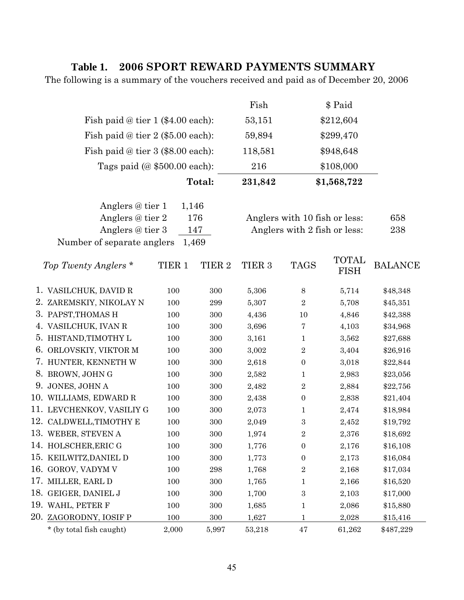# **Table 1. 2006 SPORT REWARD PAYMENTS SUMMARY**

The following is a summary of the vouchers received and paid as of December 20, 2006

|                                     |                                             |                   |                   | Fish                          |                  | \$ Paid              |                |
|-------------------------------------|---------------------------------------------|-------------------|-------------------|-------------------------------|------------------|----------------------|----------------|
| Fish paid @ tier 1 (\$4.00 each):   |                                             |                   |                   | 53,151                        |                  | \$212,604            |                |
| Fish paid $@$ tier 2 (\$5.00 each): |                                             |                   |                   | 59,894                        |                  | \$299,470            |                |
| Fish paid @ tier 3 (\$8.00 each):   |                                             |                   |                   | 118,581                       |                  | \$948,648            |                |
|                                     | Tags paid $(\textcircled{a} $500.00$ each): |                   |                   |                               |                  | \$108,000            |                |
|                                     |                                             |                   | Total:            | 231,842                       |                  | \$1,568,722          |                |
|                                     | Anglers @ tier 1                            | 1,146             |                   |                               |                  |                      |                |
|                                     | Anglers @ tier 2<br>176                     |                   |                   | Anglers with 10 fish or less: |                  |                      | 658            |
| Anglers @ tier 3<br>147             |                                             |                   |                   | Anglers with 2 fish or less:  |                  |                      | 238            |
|                                     | Number of separate anglers                  |                   | 1,469             |                               |                  |                      |                |
|                                     | Top Twenty Anglers *                        | TIER <sub>1</sub> | TIER <sub>2</sub> | TIER <sub>3</sub>             | <b>TAGS</b>      | TOTAL<br><b>FISH</b> | <b>BALANCE</b> |
|                                     | 1. VASILCHUK, DAVID R                       | 100               | 300               | 5,306                         | $8\,$            | 5,714                | \$48,348       |
|                                     | 2. ZAREMSKIY, NIKOLAY N                     | 100               | 299               | 5,307                         | $\overline{2}$   | 5,708                | \$45,351       |
|                                     | 3. PAPST, THOMAS H                          | 100               | 300               | 4,436                         | 10               | 4,846                | \$42,388       |
|                                     | 4. VASILCHUK, IVAN R                        | 100               | 300               | 3,696                         | 7                | 4,103                | \$34,968       |
|                                     | 5. HISTAND, TIMOTHY L                       | 100               | 300               | 3,161                         | 1                | 3,562                | \$27,688       |
|                                     | 6. ORLOVSKIY, VIKTOR M                      | 100               | 300               | 3,002                         | $\overline{2}$   | 3,404                | \$26,916       |
|                                     | 7. HUNTER, KENNETH W                        | 100               | 300               | 2,618                         | $\boldsymbol{0}$ | 3,018                | \$22,844       |
|                                     | 8. BROWN, JOHN G                            | 100               | 300               | 2,582                         | $\mathbf 1$      | 2,983                | \$23,056       |
|                                     | 9. JONES, JOHN A                            | 100               | 300               | 2,482                         | $\overline{2}$   | 2,884                | \$22,756       |
|                                     | 10. WILLIAMS, EDWARD R                      | 100               | 300               | 2,438                         | $\boldsymbol{0}$ | 2,838                | \$21,404       |
|                                     | 11. LEVCHENKOV, VASILIY G                   | 100               | 300               | 2,073                         | 1                | 2,474                | \$18,984       |
|                                     | 12. CALDWELL, TIMOTHY E                     | 100               | 300               | 2,049                         | 3                | 2,452                | \$19,792       |
|                                     | 13. WEBER, STEVEN A                         | 100               | 300               | 1,974                         | $\boldsymbol{2}$ | 2,376                | \$18,692       |
|                                     | 14. HOLSCHER, ERIC G                        | 100               | 300               | 1,776                         | $\boldsymbol{0}$ | 2,176                | \$16,108       |
|                                     | 15. KEILWITZ, DANIEL D                      | 100               | $300\,$           | 1,773                         | 0                | 2,173                | \$16,084       |
|                                     | 16. GOROV, VADYM V                          | 100               | 298               | 1,768                         | $\boldsymbol{2}$ | 2,168                | \$17,034       |
|                                     | 17. MILLER, EARL D                          | 100               | 300               | 1,765                         | $\mathbf 1$      | 2,166                | \$16,520       |
|                                     | 18. GEIGER, DANIEL J                        | 100               | 300               | 1,700                         | 3                | 2,103                | \$17,000       |
|                                     | 19. WAHL, PETER F                           | 100               | 300               | 1,685                         | $\mathbf{1}$     | 2,086                | \$15,880       |
|                                     | 20. ZAGORODNY, IOSIF P                      | 100               | 300               | 1,627                         | $\mathbf 1$      | 2,028                | \$15,416       |
|                                     | * (by total fish caught)                    | 2,000             | 5,997             | 53,218                        | 47               | 61,262               | \$487,229      |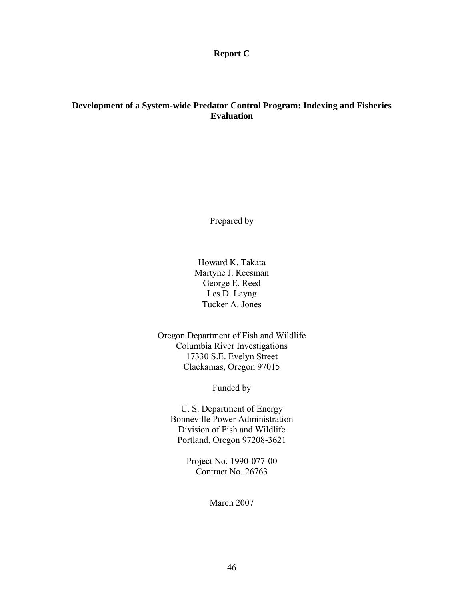**Report C** 

# **Development of a System-wide Predator Control Program: Indexing and Fisheries Evaluation**

Prepared by

Howard K. Takata Martyne J. Reesman George E. Reed Les D. Layng Tucker A. Jones

Oregon Department of Fish and Wildlife Columbia River Investigations 17330 S.E. Evelyn Street Clackamas, Oregon 97015

Funded by

U. S. Department of Energy Bonneville Power Administration Division of Fish and Wildlife Portland, Oregon 97208-3621

> Project No. 1990-077-00 Contract No. 26763

> > March 2007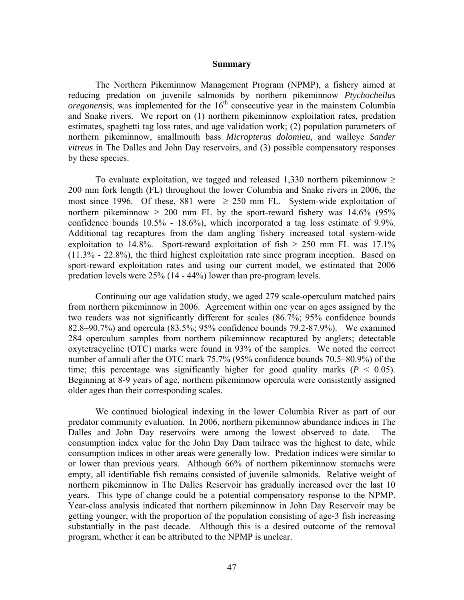#### **Summary**

The Northern Pikeminnow Management Program (NPMP), a fishery aimed at reducing predation on juvenile salmonids by northern pikeminnow *Ptychocheilus*   $oregonensis$ , was implemented for the  $16<sup>th</sup>$  consecutive year in the mainstem Columbia and Snake rivers. We report on (1) northern pikeminnow exploitation rates, predation estimates, spaghetti tag loss rates, and age validation work; (2) population parameters of northern pikeminnow, smallmouth bass *Micropterus dolomieu*, and walleye *Sander vitreus* in The Dalles and John Day reservoirs, and (3) possible compensatory responses by these species.

To evaluate exploitation, we tagged and released 1,330 northern pikeminnow  $\geq$ 200 mm fork length (FL) throughout the lower Columbia and Snake rivers in 2006, the most since 1996. Of these, 881 were  $\geq$  250 mm FL. System-wide exploitation of northern pikeminnow  $\geq 200$  mm FL by the sport-reward fishery was 14.6% (95% confidence bounds 10.5% - 18.6%), which incorporated a tag loss estimate of 9.9%. Additional tag recaptures from the dam angling fishery increased total system-wide exploitation to 14.8%. Sport-reward exploitation of fish  $\geq$  250 mm FL was 17.1% (11.3% - 22.8%), the third highest exploitation rate since program inception. Based on sport-reward exploitation rates and using our current model, we estimated that 2006 predation levels were 25% (14 - 44%) lower than pre-program levels.

Continuing our age validation study, we aged 279 scale-operculum matched pairs from northern pikeminnow in 2006. Agreement within one year on ages assigned by the two readers was not significantly different for scales (86.7%; 95% confidence bounds 82.8–90.7%) and opercula (83.5%; 95% confidence bounds 79.2-87.9%). We examined 284 operculum samples from northern pikeminnow recaptured by anglers; detectable oxytetracycline (OTC) marks were found in 93% of the samples. We noted the correct number of annuli after the OTC mark 75.7% (95% confidence bounds 70.5–80.9%) of the time; this percentage was significantly higher for good quality marks  $(P < 0.05)$ . Beginning at 8-9 years of age, northern pikeminnow opercula were consistently assigned older ages than their corresponding scales.

We continued biological indexing in the lower Columbia River as part of our predator community evaluation. In 2006, northern pikeminnow abundance indices in The Dalles and John Day reservoirs were among the lowest observed to date. The consumption index value for the John Day Dam tailrace was the highest to date, while consumption indices in other areas were generally low. Predation indices were similar to or lower than previous years. Although 66% of northern pikeminnow stomachs were empty, all identifiable fish remains consisted of juvenile salmonids. Relative weight of northern pikeminnow in The Dalles Reservoir has gradually increased over the last 10 years. This type of change could be a potential compensatory response to the NPMP. Year-class analysis indicated that northern pikeminnow in John Day Reservoir may be getting younger, with the proportion of the population consisting of age-3 fish increasing substantially in the past decade. Although this is a desired outcome of the removal program, whether it can be attributed to the NPMP is unclear.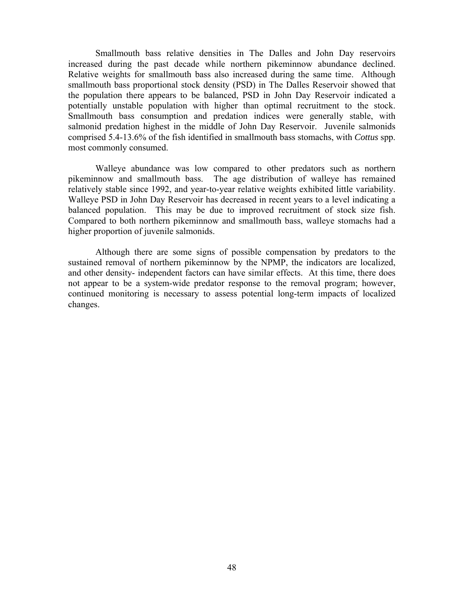Smallmouth bass relative densities in The Dalles and John Day reservoirs increased during the past decade while northern pikeminnow abundance declined. Relative weights for smallmouth bass also increased during the same time. Although smallmouth bass proportional stock density (PSD) in The Dalles Reservoir showed that the population there appears to be balanced, PSD in John Day Reservoir indicated a potentially unstable population with higher than optimal recruitment to the stock. Smallmouth bass consumption and predation indices were generally stable, with salmonid predation highest in the middle of John Day Reservoir. Juvenile salmonids comprised 5.4-13.6% of the fish identified in smallmouth bass stomachs, with *Cottus* spp. most commonly consumed.

Walleye abundance was low compared to other predators such as northern pikeminnow and smallmouth bass. The age distribution of walleye has remained relatively stable since 1992, and year-to-year relative weights exhibited little variability. Walleye PSD in John Day Reservoir has decreased in recent years to a level indicating a balanced population. This may be due to improved recruitment of stock size fish. Compared to both northern pikeminnow and smallmouth bass, walleye stomachs had a higher proportion of juvenile salmonids.

 Although there are some signs of possible compensation by predators to the sustained removal of northern pikeminnow by the NPMP, the indicators are localized, and other density- independent factors can have similar effects. At this time, there does not appear to be a system-wide predator response to the removal program; however, continued monitoring is necessary to assess potential long-term impacts of localized changes.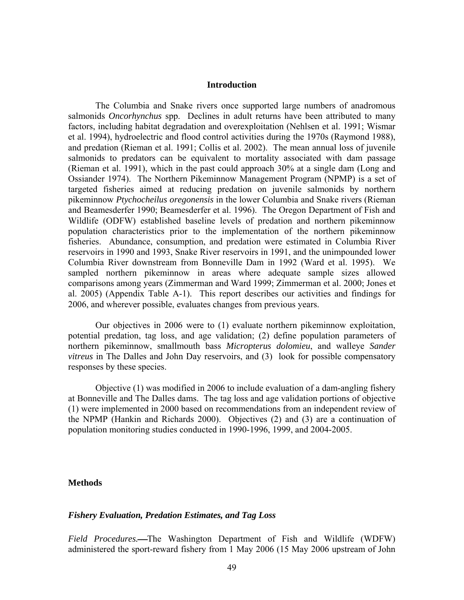#### **Introduction**

The Columbia and Snake rivers once supported large numbers of anadromous salmonids *Oncorhynchus* spp. Declines in adult returns have been attributed to many factors, including habitat degradation and overexploitation (Nehlsen et al. 1991; Wismar et al. 1994), hydroelectric and flood control activities during the 1970s (Raymond 1988), and predation (Rieman et al. 1991; Collis et al. 2002). The mean annual loss of juvenile salmonids to predators can be equivalent to mortality associated with dam passage (Rieman et al. 1991), which in the past could approach 30% at a single dam (Long and Ossiander 1974). The Northern Pikeminnow Management Program (NPMP) is a set of targeted fisheries aimed at reducing predation on juvenile salmonids by northern pikeminnow *Ptychocheilus oregonensis* in the lower Columbia and Snake rivers (Rieman and Beamesderfer 1990; Beamesderfer et al. 1996). The Oregon Department of Fish and Wildlife (ODFW) established baseline levels of predation and northern pikeminnow population characteristics prior to the implementation of the northern pikeminnow fisheries. Abundance, consumption, and predation were estimated in Columbia River reservoirs in 1990 and 1993, Snake River reservoirs in 1991, and the unimpounded lower Columbia River downstream from Bonneville Dam in 1992 (Ward et al. 1995). We sampled northern pikeminnow in areas where adequate sample sizes allowed comparisons among years (Zimmerman and Ward 1999; Zimmerman et al. 2000; Jones et al. 2005) (Appendix Table A-1). This report describes our activities and findings for 2006, and wherever possible, evaluates changes from previous years.

Our objectives in 2006 were to (1) evaluate northern pikeminnow exploitation, potential predation, tag loss, and age validation; (2) define population parameters of northern pikeminnow, smallmouth bass *Micropterus dolomieu*, and walleye *Sander vitreus* in The Dalles and John Day reservoirs, and (3) look for possible compensatory responses by these species.

Objective (1) was modified in 2006 to include evaluation of a dam-angling fishery at Bonneville and The Dalles dams. The tag loss and age validation portions of objective (1) were implemented in 2000 based on recommendations from an independent review of the NPMP (Hankin and Richards 2000). Objectives (2) and (3) are a continuation of population monitoring studies conducted in 1990-1996, 1999, and 2004-2005.

## **Methods**

## *Fishery Evaluation, Predation Estimates, and Tag Loss*

Field Procedures.—The Washington Department of Fish and Wildlife (WDFW) administered the sport-reward fishery from 1 May 2006 (15 May 2006 upstream of John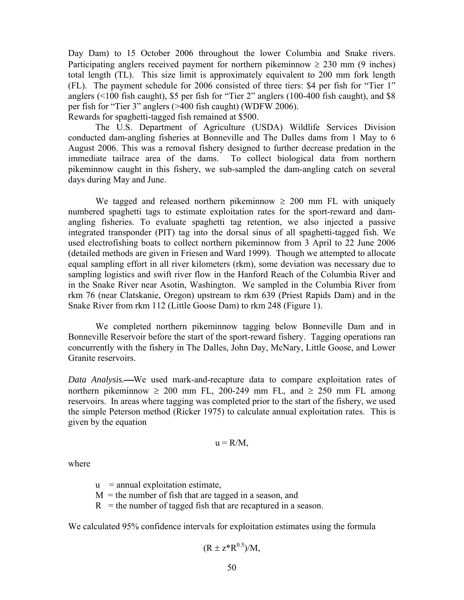Day Dam) to 15 October 2006 throughout the lower Columbia and Snake rivers. Participating anglers received payment for northern pikeminnow  $\geq 230$  mm (9 inches) total length (TL). This size limit is approximately equivalent to 200 mm fork length (FL). The payment schedule for 2006 consisted of three tiers: \$4 per fish for "Tier 1" anglers (<100 fish caught), \$5 per fish for "Tier 2" anglers (100-400 fish caught), and \$8 per fish for "Tier 3" anglers (>400 fish caught) (WDFW 2006). Rewards for spaghetti-tagged fish remained at \$500.

The U.S. Department of Agriculture (USDA) Wildlife Services Division conducted dam-angling fisheries at Bonneville and The Dalles dams from 1 May to 6 August 2006. This was a removal fishery designed to further decrease predation in the immediate tailrace area of the dams. To collect biological data from northern pikeminnow caught in this fishery, we sub-sampled the dam-angling catch on several days during May and June.

We tagged and released northern pikeminnow  $\geq 200$  mm FL with uniquely numbered spaghetti tags to estimate exploitation rates for the sport-reward and damangling fisheries. To evaluate spaghetti tag retention, we also injected a passive integrated transponder (PIT) tag into the dorsal sinus of all spaghetti-tagged fish. We used electrofishing boats to collect northern pikeminnow from 3 April to 22 June 2006 (detailed methods are given in Friesen and Ward 1999). Though we attempted to allocate equal sampling effort in all river kilometers (rkm), some deviation was necessary due to sampling logistics and swift river flow in the Hanford Reach of the Columbia River and in the Snake River near Asotin, Washington. We sampled in the Columbia River from rkm 76 (near Clatskanie, Oregon) upstream to rkm 639 (Priest Rapids Dam) and in the Snake River from rkm 112 (Little Goose Dam) to rkm 248 (Figure 1).

We completed northern pikeminnow tagging below Bonneville Dam and in Bonneville Reservoir before the start of the sport-reward fishery. Tagging operations ran concurrently with the fishery in The Dalles, John Day, McNary, Little Goose, and Lower Granite reservoirs.

*Data Analysis.*—We used mark-and-recapture data to compare exploitation rates of northern pikeminnow  $\geq 200$  mm FL, 200-249 mm FL, and  $\geq 250$  mm FL among reservoirs. In areas where tagging was completed prior to the start of the fishery, we used the simple Peterson method (Ricker 1975) to calculate annual exploitation rates. This is given by the equation

$$
u = R/M,
$$

where

 $u$  = annual exploitation estimate,

- $M =$  the number of fish that are tagged in a season, and
- $R$  = the number of tagged fish that are recaptured in a season.

We calculated 95% confidence intervals for exploitation estimates using the formula

$$
(R \pm z^* R^{0.5})/M,
$$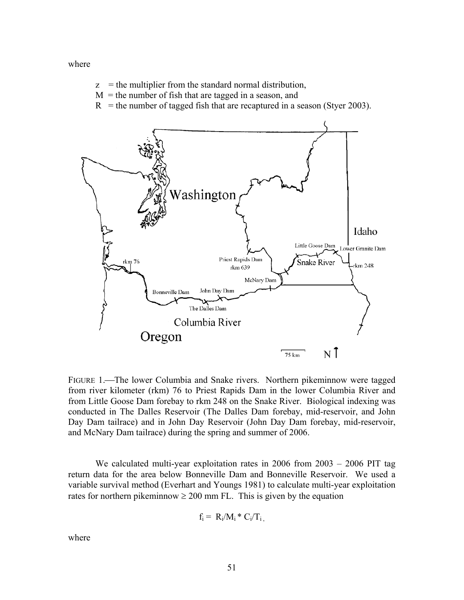where

- $z =$  the multiplier from the standard normal distribution,
- $M =$  the number of fish that are tagged in a season, and
- $R$  = the number of tagged fish that are recaptured in a season (Styer 2003).



FIGURE 1.—The lower Columbia and Snake rivers. Northern pikeminnow were tagged from river kilometer (rkm) 76 to Priest Rapids Dam in the lower Columbia River and from Little Goose Dam forebay to rkm 248 on the Snake River. Biological indexing was conducted in The Dalles Reservoir (The Dalles Dam forebay, mid-reservoir, and John Day Dam tailrace) and in John Day Reservoir (John Day Dam forebay, mid-reservoir, and McNary Dam tailrace) during the spring and summer of 2006.

We calculated multi-year exploitation rates in 2006 from 2003 – 2006 PIT tag return data for the area below Bonneville Dam and Bonneville Reservoir. We used a variable survival method (Everhart and Youngs 1981) to calculate multi-year exploitation rates for northern pikeminnow  $\geq 200$  mm FL. This is given by the equation

$$
f_i = R_i/M_i * C_i/T_i,
$$

where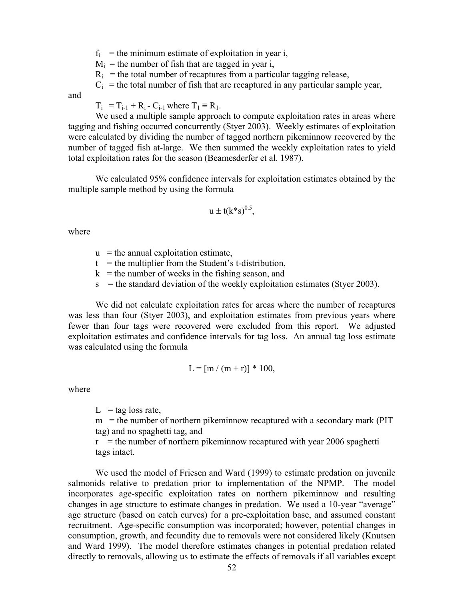$f_i$  = the minimum estimate of exploitation in year i,

 $M_i$  = the number of fish that are tagged in year i,

 $R_i$  = the total number of recaptures from a particular tagging release,

 $C_i$  = the total number of fish that are recaptured in any particular sample year,

and

 $T_i = T_{i-1} + R_i - C_{i-1}$  where  $T_1 \equiv R_1$ .

We used a multiple sample approach to compute exploitation rates in areas where tagging and fishing occurred concurrently (Styer 2003). Weekly estimates of exploitation were calculated by dividing the number of tagged northern pikeminnow recovered by the number of tagged fish at-large. We then summed the weekly exploitation rates to yield total exploitation rates for the season (Beamesderfer et al. 1987).

We calculated 95% confidence intervals for exploitation estimates obtained by the multiple sample method by using the formula

$$
u \pm t(k*s)^{0.5},
$$

where

- $u =$  the annual exploitation estimate,
- $t =$  the multiplier from the Student's t-distribution,
- $k =$  the number of weeks in the fishing season, and
- $s =$  the standard deviation of the weekly exploitation estimates (Styer 2003).

We did not calculate exploitation rates for areas where the number of recaptures was less than four (Styer 2003), and exploitation estimates from previous years where fewer than four tags were recovered were excluded from this report. We adjusted exploitation estimates and confidence intervals for tag loss. An annual tag loss estimate was calculated using the formula

$$
L = [m / (m + r)] * 100,
$$

where

 $L = \text{tag loss rate}$ 

 $m =$  the number of northern pikeminnow recaptured with a secondary mark (PIT) tag) and no spaghetti tag, and

 $r =$  the number of northern pikeminnow recaptured with year 2006 spaghetti tags intact.

We used the model of Friesen and Ward (1999) to estimate predation on juvenile salmonids relative to predation prior to implementation of the NPMP. The model incorporates age-specific exploitation rates on northern pikeminnow and resulting changes in age structure to estimate changes in predation. We used a 10-year "average" age structure (based on catch curves) for a pre-exploitation base, and assumed constant recruitment. Age-specific consumption was incorporated; however, potential changes in consumption, growth, and fecundity due to removals were not considered likely (Knutsen and Ward 1999). The model therefore estimates changes in potential predation related directly to removals, allowing us to estimate the effects of removals if all variables except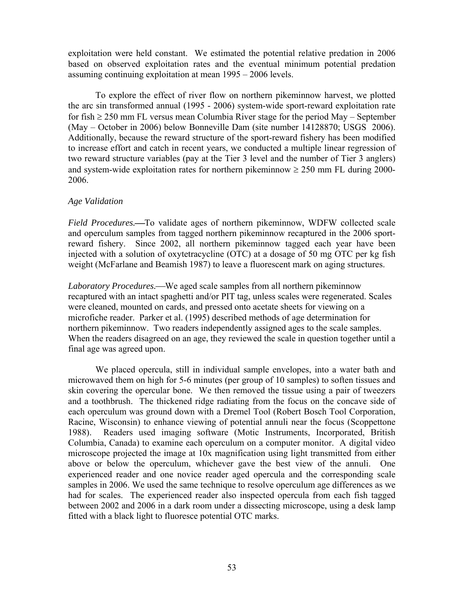exploitation were held constant. We estimated the potential relative predation in 2006 based on observed exploitation rates and the eventual minimum potential predation assuming continuing exploitation at mean 1995 – 2006 levels.

To explore the effect of river flow on northern pikeminnow harvest, we plotted the arc sin transformed annual (1995 - 2006) system-wide sport-reward exploitation rate for fish  $\geq$  250 mm FL versus mean Columbia River stage for the period May – September (May – October in 2006) below Bonneville Dam (site number 14128870; USGS 2006). Additionally, because the reward structure of the sport-reward fishery has been modified to increase effort and catch in recent years, we conducted a multiple linear regression of two reward structure variables (pay at the Tier 3 level and the number of Tier 3 anglers) and system-wide exploitation rates for northern pikeminnow  $\geq 250$  mm FL during 2000-2006.

# *Age Validation*

*Field Procedures.*—To validate ages of northern pikeminnow, WDFW collected scale and operculum samples from tagged northern pikeminnow recaptured in the 2006 sportreward fishery. Since 2002, all northern pikeminnow tagged each year have been injected with a solution of oxytetracycline (OTC) at a dosage of 50 mg OTC per kg fish weight (McFarlane and Beamish 1987) to leave a fluorescent mark on aging structures.

Laboratory Procedures.—We aged scale samples from all northern pikeminnow recaptured with an intact spaghetti and/or PIT tag, unless scales were regenerated. Scales were cleaned, mounted on cards, and pressed onto acetate sheets for viewing on a microfiche reader. Parker et al. (1995) described methods of age determination for northern pikeminnow. Two readers independently assigned ages to the scale samples. When the readers disagreed on an age, they reviewed the scale in question together until a final age was agreed upon.

We placed opercula, still in individual sample envelopes, into a water bath and microwaved them on high for 5-6 minutes (per group of 10 samples) to soften tissues and skin covering the opercular bone. We then removed the tissue using a pair of tweezers and a toothbrush. The thickened ridge radiating from the focus on the concave side of each operculum was ground down with a Dremel Tool (Robert Bosch Tool Corporation, Racine, Wisconsin) to enhance viewing of potential annuli near the focus (Scoppettone 1988). Readers used imaging software (Motic Instruments, Incorporated, British Columbia, Canada) to examine each operculum on a computer monitor. A digital video microscope projected the image at 10x magnification using light transmitted from either above or below the operculum, whichever gave the best view of the annuli. One experienced reader and one novice reader aged opercula and the corresponding scale samples in 2006. We used the same technique to resolve operculum age differences as we had for scales. The experienced reader also inspected opercula from each fish tagged between 2002 and 2006 in a dark room under a dissecting microscope, using a desk lamp fitted with a black light to fluoresce potential OTC marks.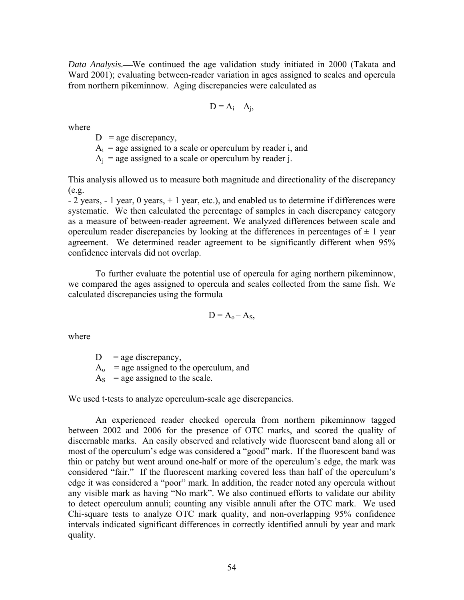*Data Analysis.*⎯We continued the age validation study initiated in 2000 (Takata and Ward 2001); evaluating between-reader variation in ages assigned to scales and opercula from northern pikeminnow. Aging discrepancies were calculated as

$$
D = A_i - A_j,
$$

where

 $D =$ age discrepancy,

 $A_i$  = age assigned to a scale or operculum by reader i, and

 $A_i$  = age assigned to a scale or operculum by reader j.

This analysis allowed us to measure both magnitude and directionality of the discrepancy  $(e.g.$ 

- 2 years, - 1 year, 0 years, + 1 year, etc.), and enabled us to determine if differences were systematic. We then calculated the percentage of samples in each discrepancy category as a measure of between-reader agreement. We analyzed differences between scale and operculum reader discrepancies by looking at the differences in percentages of  $\pm$  1 year agreement. We determined reader agreement to be significantly different when 95% confidence intervals did not overlap.

To further evaluate the potential use of opercula for aging northern pikeminnow, we compared the ages assigned to opercula and scales collected from the same fish. We calculated discrepancies using the formula

$$
D = A_0 - A_S,
$$

where

 $D = \text{age discrepancy},$  $A_0$  = age assigned to the operculum, and

 $A<sub>S</sub>$  = age assigned to the scale.

We used t-tests to analyze operculum-scale age discrepancies.

An experienced reader checked opercula from northern pikeminnow tagged between 2002 and 2006 for the presence of OTC marks, and scored the quality of discernable marks. An easily observed and relatively wide fluorescent band along all or most of the operculum's edge was considered a "good" mark. If the fluorescent band was thin or patchy but went around one-half or more of the operculum's edge, the mark was considered "fair." If the fluorescent marking covered less than half of the operculum's edge it was considered a "poor" mark. In addition, the reader noted any opercula without any visible mark as having "No mark". We also continued efforts to validate our ability to detect operculum annuli; counting any visible annuli after the OTC mark. We used Chi-square tests to analyze OTC mark quality, and non-overlapping 95% confidence intervals indicated significant differences in correctly identified annuli by year and mark quality.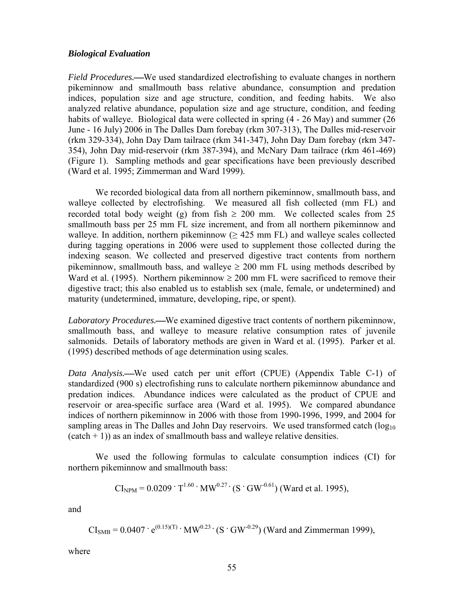## *Biological Evaluation*

*Field Procedures.*—We used standardized electrofishing to evaluate changes in northern pikeminnow and smallmouth bass relative abundance, consumption and predation indices, population size and age structure, condition, and feeding habits. We also analyzed relative abundance, population size and age structure, condition, and feeding habits of walleye. Biological data were collected in spring  $(4 - 26$  May) and summer (26) June - 16 July) 2006 in The Dalles Dam forebay (rkm 307-313), The Dalles mid-reservoir (rkm 329-334), John Day Dam tailrace (rkm 341-347), John Day Dam forebay (rkm 347- 354), John Day mid-reservoir (rkm 387-394), and McNary Dam tailrace (rkm 461-469) (Figure 1). Sampling methods and gear specifications have been previously described (Ward et al. 1995; Zimmerman and Ward 1999).

We recorded biological data from all northern pikeminnow, smallmouth bass, and walleye collected by electrofishing. We measured all fish collected (mm FL) and recorded total body weight (g) from fish  $\geq 200$  mm. We collected scales from 25 smallmouth bass per 25 mm FL size increment, and from all northern pikeminnow and walleye. In addition, northern pikeminnow  $(> 425 \text{ mm FL})$  and walleye scales collected during tagging operations in 2006 were used to supplement those collected during the indexing season. We collected and preserved digestive tract contents from northern pikeminnow, smallmouth bass, and walleye  $\geq 200$  mm FL using methods described by Ward et al. (1995). Northern pikeminnow  $\geq 200$  mm FL were sacrificed to remove their digestive tract; this also enabled us to establish sex (male, female, or undetermined) and maturity (undetermined, immature, developing, ripe, or spent).

*Laboratory Procedures.*—We examined digestive tract contents of northern pikeminnow, smallmouth bass, and walleye to measure relative consumption rates of juvenile salmonids. Details of laboratory methods are given in Ward et al. (1995). Parker et al. (1995) described methods of age determination using scales.

*Data Analysis.*—We used catch per unit effort (CPUE) (Appendix Table C-1) of standardized (900 s) electrofishing runs to calculate northern pikeminnow abundance and predation indices. Abundance indices were calculated as the product of CPUE and reservoir or area-specific surface area (Ward et al. 1995). We compared abundance indices of northern pikeminnow in 2006 with those from 1990-1996, 1999, and 2004 for sampling areas in The Dalles and John Day reservoirs. We used transformed catch  $(\log_{10}$  $(catch + 1)$ ) as an index of smallmouth bass and walleye relative densities.

 We used the following formulas to calculate consumption indices (CI) for northern pikeminnow and smallmouth bass:

$$
CI_{NPM} = 0.0209 \cdot T^{1.60} \cdot MW^{0.27} \cdot (S \cdot GW^{-0.61}) \text{ (Ward et al. 1995),}
$$

and

$$
CI_{SMB} = 0.0407 \cdot e^{(0.15)(T)} \cdot MW^{0.23} \cdot (S \cdot GW^{-0.29})
$$
 (Ward and Zimmerman 1999),

where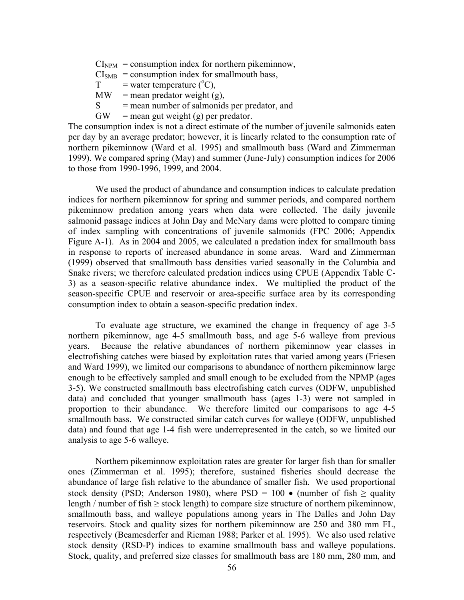$CI<sub>NPM</sub> = consumption$  index for northern pikeminnow,  $CI<sub>SMB</sub> = consumption$  index for smallmouth bass,  $T =$  water temperature ( $^{\circ}C$ ),  $MW = mean predator weight (g)$ ,  $S =$  mean number of salmonids per predator, and

 $GW =$  mean gut weight (g) per predator.

The consumption index is not a direct estimate of the number of juvenile salmonids eaten per day by an average predator; however, it is linearly related to the consumption rate of northern pikeminnow (Ward et al. 1995) and smallmouth bass (Ward and Zimmerman 1999). We compared spring (May) and summer (June-July) consumption indices for 2006 to those from 1990-1996, 1999, and 2004.

 We used the product of abundance and consumption indices to calculate predation indices for northern pikeminnow for spring and summer periods, and compared northern pikeminnow predation among years when data were collected. The daily juvenile salmonid passage indices at John Day and McNary dams were plotted to compare timing of index sampling with concentrations of juvenile salmonids (FPC 2006; Appendix Figure A-1). As in 2004 and 2005, we calculated a predation index for smallmouth bass in response to reports of increased abundance in some areas. Ward and Zimmerman (1999) observed that smallmouth bass densities varied seasonally in the Columbia and Snake rivers; we therefore calculated predation indices using CPUE (Appendix Table C-3) as a season-specific relative abundance index. We multiplied the product of the season-specific CPUE and reservoir or area-specific surface area by its corresponding consumption index to obtain a season-specific predation index.

To evaluate age structure, we examined the change in frequency of age 3-5 northern pikeminnow, age 4-5 smallmouth bass, and age 5-6 walleye from previous years. Because the relative abundances of northern pikeminnow year classes in electrofishing catches were biased by exploitation rates that varied among years (Friesen and Ward 1999), we limited our comparisons to abundance of northern pikeminnow large enough to be effectively sampled and small enough to be excluded from the NPMP (ages 3-5). We constructed smallmouth bass electrofishing catch curves (ODFW, unpublished data) and concluded that younger smallmouth bass (ages 1-3) were not sampled in proportion to their abundance. We therefore limited our comparisons to age 4-5 smallmouth bass. We constructed similar catch curves for walleye (ODFW, unpublished data) and found that age 1-4 fish were underrepresented in the catch, so we limited our analysis to age 5-6 walleye.

Northern pikeminnow exploitation rates are greater for larger fish than for smaller ones (Zimmerman et al. 1995); therefore, sustained fisheries should decrease the abundance of large fish relative to the abundance of smaller fish. We used proportional stock density (PSD; Anderson 1980), where PSD = 100 • (number of fish  $\ge$  quality length / number of fish  $\geq$  stock length) to compare size structure of northern pikeminnow, smallmouth bass, and walleye populations among years in The Dalles and John Day reservoirs. Stock and quality sizes for northern pikeminnow are 250 and 380 mm FL, respectively (Beamesderfer and Rieman 1988; Parker et al. 1995). We also used relative stock density (RSD-P) indices to examine smallmouth bass and walleye populations. Stock, quality, and preferred size classes for smallmouth bass are 180 mm, 280 mm, and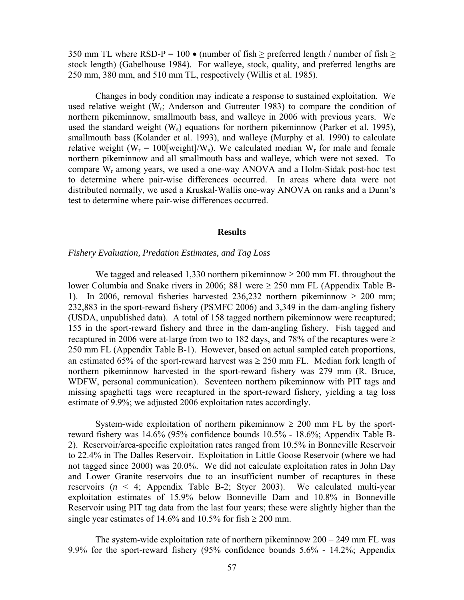350 mm TL where RSD-P = 100  $\bullet$  (number of fish  $\geq$  preferred length / number of fish  $\geq$ stock length) (Gabelhouse 1984). For walleye, stock, quality, and preferred lengths are 250 mm, 380 mm, and 510 mm TL, respectively (Willis et al. 1985).

Changes in body condition may indicate a response to sustained exploitation. We used relative weight  $(W_r;$  Anderson and Gutreuter 1983) to compare the condition of northern pikeminnow, smallmouth bass, and walleye in 2006 with previous years. We used the standard weight  $(W_s)$  equations for northern pikeminnow (Parker et al. 1995), smallmouth bass (Kolander et al. 1993), and walleye (Murphy et al. 1990) to calculate relative weight ( $W_r = 100$ [weight]/ $W_s$ ). We calculated median  $W_r$  for male and female northern pikeminnow and all smallmouth bass and walleye, which were not sexed. To compare  $W_r$  among years, we used a one-way ANOVA and a Holm-Sidak post-hoc test to determine where pair-wise differences occurred. In areas where data were not distributed normally, we used a Kruskal-Wallis one-way ANOVA on ranks and a Dunn's test to determine where pair-wise differences occurred.

#### **Results**

#### *Fishery Evaluation, Predation Estimates, and Tag Loss*

We tagged and released 1,330 northern pikeminnow  $\geq 200$  mm FL throughout the lower Columbia and Snake rivers in 2006; 881 were ≥ 250 mm FL (Appendix Table B-1). In 2006, removal fisheries harvested 236,232 northern pikeminnow  $\geq 200$  mm; 232,883 in the sport-reward fishery (PSMFC 2006) and 3,349 in the dam-angling fishery (USDA, unpublished data). A total of 158 tagged northern pikeminnow were recaptured; 155 in the sport-reward fishery and three in the dam-angling fishery. Fish tagged and recaptured in 2006 were at-large from two to 182 days, and 78% of the recaptures were  $\geq$ 250 mm FL (Appendix Table B-1). However, based on actual sampled catch proportions, an estimated 65% of the sport-reward harvest was  $\geq$  250 mm FL. Median fork length of northern pikeminnow harvested in the sport-reward fishery was 279 mm (R. Bruce, WDFW, personal communication). Seventeen northern pikeminnow with PIT tags and missing spaghetti tags were recaptured in the sport-reward fishery, yielding a tag loss estimate of 9.9%; we adjusted 2006 exploitation rates accordingly.

System-wide exploitation of northern pikeminnow  $\geq 200$  mm FL by the sportreward fishery was 14.6% (95% confidence bounds 10.5% - 18.6%; Appendix Table B-2). Reservoir/area-specific exploitation rates ranged from 10.5% in Bonneville Reservoir to 22.4% in The Dalles Reservoir. Exploitation in Little Goose Reservoir (where we had not tagged since 2000) was 20.0%. We did not calculate exploitation rates in John Day and Lower Granite reservoirs due to an insufficient number of recaptures in these reservoirs (*n* < 4; Appendix Table B-2; Styer 2003). We calculated multi-year exploitation estimates of 15.9% below Bonneville Dam and 10.8% in Bonneville Reservoir using PIT tag data from the last four years; these were slightly higher than the single year estimates of 14.6% and 10.5% for fish  $\geq 200$  mm.

The system-wide exploitation rate of northern pikeminnow  $200 - 249$  mm FL was 9.9% for the sport-reward fishery (95% confidence bounds 5.6% - 14.2%; Appendix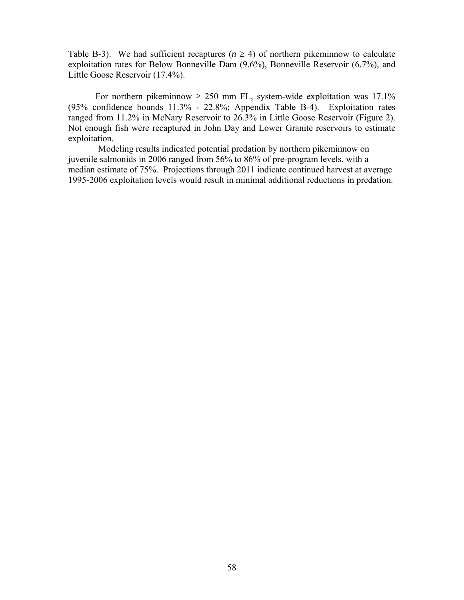Table B-3). We had sufficient recaptures ( $n \ge 4$ ) of northern pikeminnow to calculate exploitation rates for Below Bonneville Dam (9.6%), Bonneville Reservoir (6.7%), and Little Goose Reservoir (17.4%).

For northern pikeminnow  $\geq 250$  mm FL, system-wide exploitation was 17.1% (95% confidence bounds 11.3% - 22.8%; Appendix Table B-4). Exploitation rates ranged from 11.2% in McNary Reservoir to 26.3% in Little Goose Reservoir (Figure 2). Not enough fish were recaptured in John Day and Lower Granite reservoirs to estimate exploitation.

Modeling results indicated potential predation by northern pikeminnow on juvenile salmonids in 2006 ranged from 56% to 86% of pre-program levels, with a median estimate of 75%. Projections through 2011 indicate continued harvest at average 1995-2006 exploitation levels would result in minimal additional reductions in predation.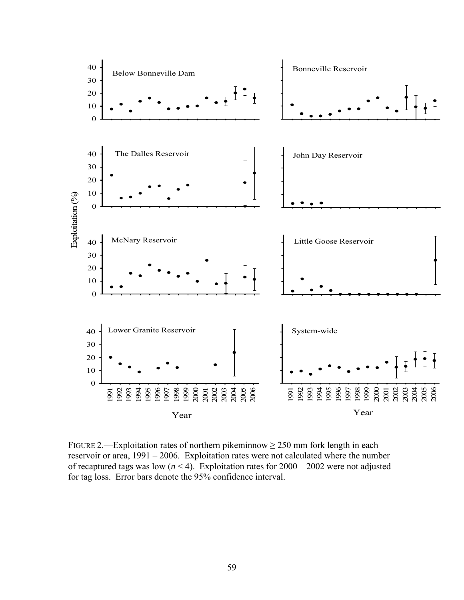

FIGURE 2.—Exploitation rates of northern pikeminnow  $\geq$  250 mm fork length in each reservoir or area, 1991 – 2006. Exploitation rates were not calculated where the number of recaptured tags was low  $(n < 4)$ . Exploitation rates for  $2000 - 2002$  were not adjusted for tag loss. Error bars denote the 95% confidence interval.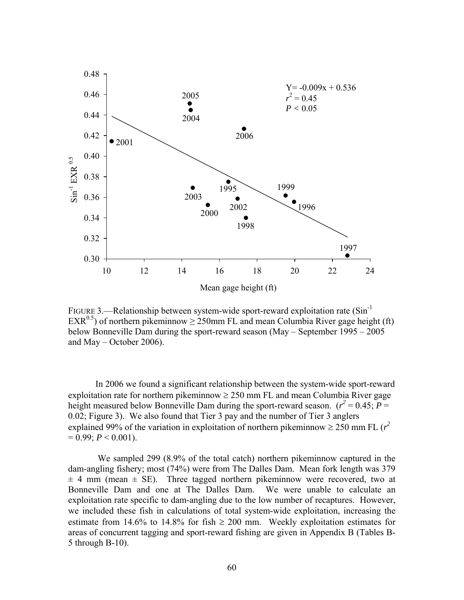

FIGURE 3.—Relationship between system-wide sport-reward exploitation rate  $(Sin^{-1})$ EXR<sup>0.5</sup>) of northern pikeminnow  $\geq$  250mm FL and mean Columbia River gage height (ft) below Bonneville Dam during the sport-reward season (May – September 1995 – 2005 and May – October 2006).

In 2006 we found a significant relationship between the system-wide sport-reward exploitation rate for northern pikeminnow  $\geq 250$  mm FL and mean Columbia River gage height measured below Bonneville Dam during the sport-reward season.  $(r^2 = 0.45; P =$ 0.02; Figure 3). We also found that Tier 3 pay and the number of Tier 3 anglers explained 99% of the variation in exploitation of northern pikeminnow  $\geq 250$  mm FL ( $r^2$ )  $= 0.99$ ;  $P < 0.001$ ).

 We sampled 299 (8.9% of the total catch) northern pikeminnow captured in the dam-angling fishery; most (74%) were from The Dalles Dam. Mean fork length was 379  $\pm$  4 mm (mean  $\pm$  SE). Three tagged northern pikeminnow were recovered, two at Bonneville Dam and one at The Dalles Dam. We were unable to calculate an exploitation rate specific to dam-angling due to the low number of recaptures. However, we included these fish in calculations of total system-wide exploitation, increasing the estimate from 14.6% to 14.8% for fish  $\geq$  200 mm. Weekly exploitation estimates for areas of concurrent tagging and sport-reward fishing are given in Appendix B (Tables B-5 through B-10).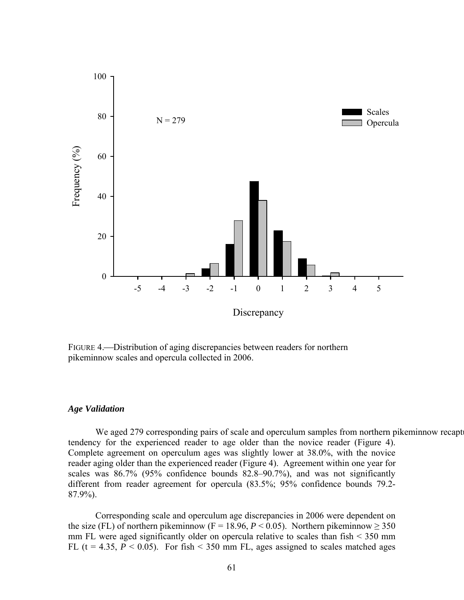

FIGURE 4.—Distribution of aging discrepancies between readers for northern pikeminnow scales and opercula collected in 2006.

## *Age Validation*

We aged 279 corresponding pairs of scale and operculum samples from northern pikeminnow recapt tendency for the experienced reader to age older than the novice reader (Figure 4). Complete agreement on operculum ages was slightly lower at 38.0%, with the novice reader aging older than the experienced reader (Figure 4). Agreement within one year for scales was 86.7% (95% confidence bounds 82.8–90.7%), and was not significantly different from reader agreement for opercula (83.5%; 95% confidence bounds 79.2- 87.9%).

Corresponding scale and operculum age discrepancies in 2006 were dependent on the size (FL) of northern pikeminnow (F = 18.96,  $P < 0.05$ ). Northern pikeminnow  $\geq 350$ mm FL were aged significantly older on opercula relative to scales than fish < 350 mm FL ( $t = 4.35$ ,  $P \le 0.05$ ). For fish  $\le 350$  mm FL, ages assigned to scales matched ages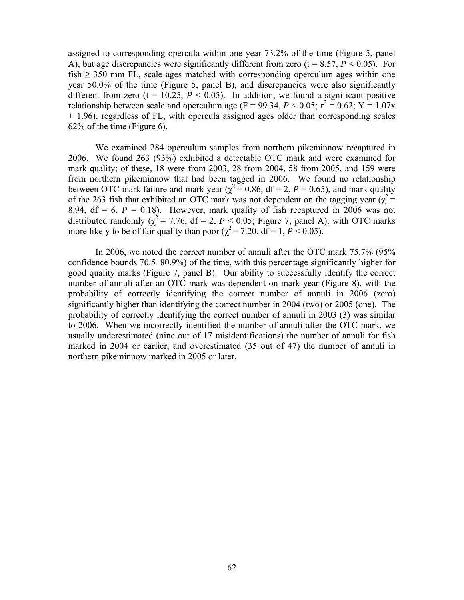assigned to corresponding opercula within one year 73.2% of the time (Figure 5, panel A), but age discrepancies were significantly different from zero  $(t = 8.57, P \le 0.05)$ . For fish  $\geq$  350 mm FL, scale ages matched with corresponding operculum ages within one year 50.0% of the time (Figure 5, panel B), and discrepancies were also significantly different from zero (t = 10.25,  $P < 0.05$ ). In addition, we found a significant positive relationship between scale and operculum age ( $F = 99.34$ ,  $P < 0.05$ ;  $r^2 = 0.62$ ;  $Y = 1.07x$ + 1.96), regardless of FL, with opercula assigned ages older than corresponding scales 62% of the time (Figure 6).

We examined 284 operculum samples from northern pikeminnow recaptured in 2006. We found 263 (93%) exhibited a detectable OTC mark and were examined for mark quality; of these, 18 were from 2003, 28 from 2004, 58 from 2005, and 159 were from northern pikeminnow that had been tagged in 2006. We found no relationship between OTC mark failure and mark year ( $\chi^2 = 0.86$ , df = 2, P = 0.65), and mark quality of the 263 fish that exhibited an OTC mark was not dependent on the tagging year ( $\chi^2$  = 8.94,  $df = 6$ ,  $P = 0.18$ ). However, mark quality of fish recaptured in 2006 was not distributed randomly ( $\chi^2$  = 7.76, df = 2, *P* < 0.05; Figure 7, panel A), with OTC marks more likely to be of fair quality than poor  $(\chi^2 = 7.20, df = 1, P < 0.05)$ .

 In 2006, we noted the correct number of annuli after the OTC mark 75.7% (95% confidence bounds 70.5–80.9%) of the time, with this percentage significantly higher for good quality marks (Figure 7, panel B). Our ability to successfully identify the correct number of annuli after an OTC mark was dependent on mark year (Figure 8), with the probability of correctly identifying the correct number of annuli in 2006 (zero) significantly higher than identifying the correct number in 2004 (two) or 2005 (one). The probability of correctly identifying the correct number of annuli in 2003 (3) was similar to 2006. When we incorrectly identified the number of annuli after the OTC mark, we usually underestimated (nine out of 17 misidentifications) the number of annuli for fish marked in 2004 or earlier, and overestimated (35 out of 47) the number of annuli in northern pikeminnow marked in 2005 or later.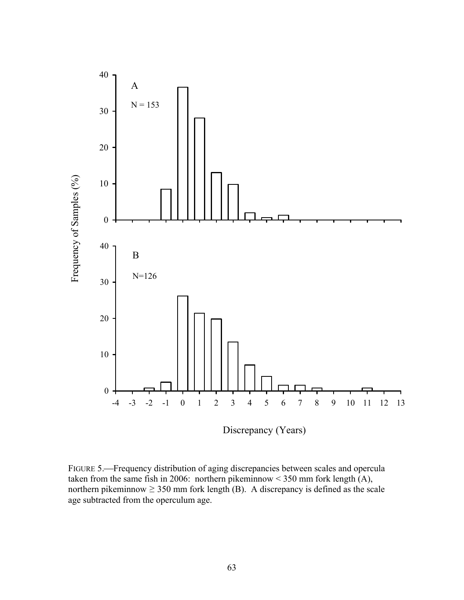

FIGURE 5.—Frequency distribution of aging discrepancies between scales and opercula taken from the same fish in 2006: northern pikeminnow  $\leq$  350 mm fork length (A), northern pikeminnow  $\geq$  350 mm fork length (B). A discrepancy is defined as the scale age subtracted from the operculum age.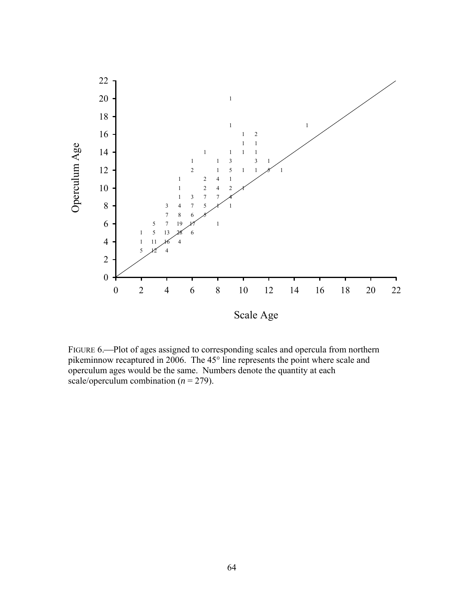

FIGURE 6.—Plot of ages assigned to corresponding scales and opercula from northern pikeminnow recaptured in 2006. The 45° line represents the point where scale and operculum ages would be the same. Numbers denote the quantity at each scale/operculum combination  $(n = 279)$ .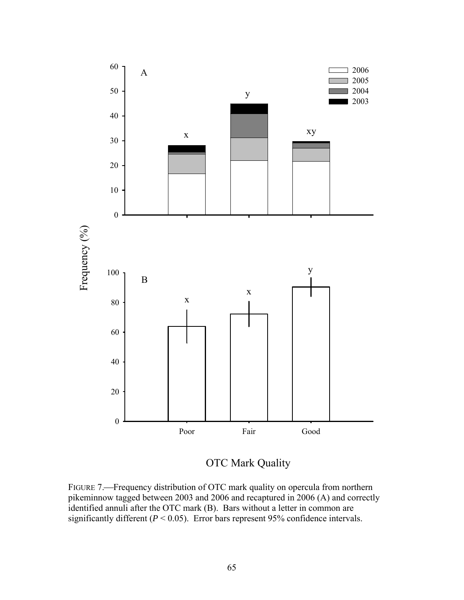

OTC Mark Quality

FIGURE 7.—Frequency distribution of OTC mark quality on opercula from northern pikeminnow tagged between 2003 and 2006 and recaptured in 2006 (A) and correctly identified annuli after the OTC mark (B). Bars without a letter in common are significantly different  $(P < 0.05)$ . Error bars represent 95% confidence intervals.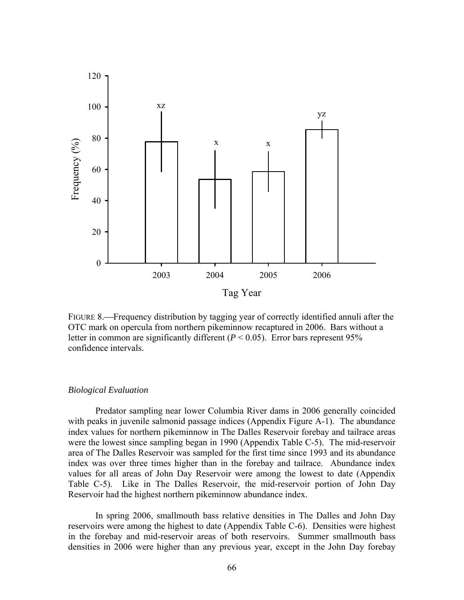

FIGURE 8.—Frequency distribution by tagging year of correctly identified annuli after the OTC mark on opercula from northern pikeminnow recaptured in 2006. Bars without a letter in common are significantly different  $(P < 0.05)$ . Error bars represent 95% confidence intervals.

#### *Biological Evaluation*

Predator sampling near lower Columbia River dams in 2006 generally coincided with peaks in juvenile salmonid passage indices (Appendix Figure A-1). The abundance index values for northern pikeminnow in The Dalles Reservoir forebay and tailrace areas were the lowest since sampling began in 1990 (Appendix Table C-5). The mid-reservoir area of The Dalles Reservoir was sampled for the first time since 1993 and its abundance index was over three times higher than in the forebay and tailrace. Abundance index values for all areas of John Day Reservoir were among the lowest to date (Appendix Table C-5). Like in The Dalles Reservoir, the mid-reservoir portion of John Day Reservoir had the highest northern pikeminnow abundance index.

In spring 2006, smallmouth bass relative densities in The Dalles and John Day reservoirs were among the highest to date (Appendix Table C-6). Densities were highest in the forebay and mid-reservoir areas of both reservoirs. Summer smallmouth bass densities in 2006 were higher than any previous year, except in the John Day forebay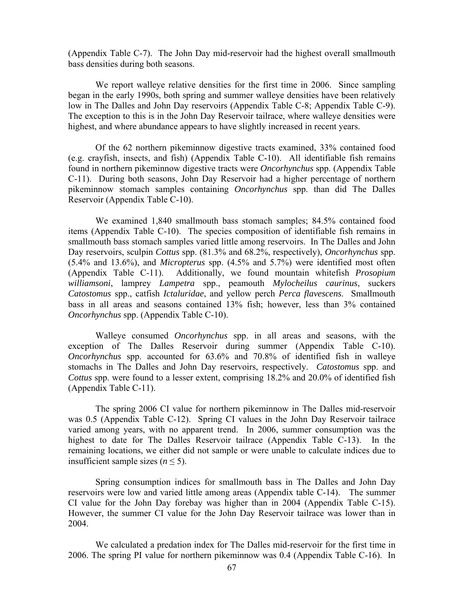(Appendix Table C-7). The John Day mid-reservoir had the highest overall smallmouth bass densities during both seasons.

We report walleye relative densities for the first time in 2006. Since sampling began in the early 1990s, both spring and summer walleye densities have been relatively low in The Dalles and John Day reservoirs (Appendix Table C-8; Appendix Table C-9). The exception to this is in the John Day Reservoir tailrace, where walleye densities were highest, and where abundance appears to have slightly increased in recent years.

 Of the 62 northern pikeminnow digestive tracts examined, 33% contained food (e.g. crayfish, insects, and fish) (Appendix Table C-10). All identifiable fish remains found in northern pikeminnow digestive tracts were *Oncorhynchus* spp. (Appendix Table C-11). During both seasons, John Day Reservoir had a higher percentage of northern pikeminnow stomach samples containing *Oncorhynchus* spp. than did The Dalles Reservoir (Appendix Table C-10).

 We examined 1,840 smallmouth bass stomach samples; 84.5% contained food items (Appendix Table C-10). The species composition of identifiable fish remains in smallmouth bass stomach samples varied little among reservoirs. In The Dalles and John Day reservoirs, sculpin *Cottus* spp. (81.3% and 68.2%, respectively), *Oncorhynchus* spp. (5.4% and 13.6%), and *Micropterus* spp. (4.5% and 5.7%) were identified most often (Appendix Table C-11). Additionally, we found mountain whitefish *Prosopium williamsoni*, lamprey *Lampetra* spp., peamouth *Mylocheilus caurinus*, suckers *Catostomus* spp., catfish *Ictaluridae*, and yellow perch *Perca flavescens*. Smallmouth bass in all areas and seasons contained 13% fish; however, less than 3% contained *Oncorhynchus* spp. (Appendix Table C-10).

Walleye consumed *Oncorhynchus* spp. in all areas and seasons, with the exception of The Dalles Reservoir during summer (Appendix Table C-10). *Oncorhynchus* spp. accounted for 63.6% and 70.8% of identified fish in walleye stomachs in The Dalles and John Day reservoirs, respectively. *Catostomus* spp. and *Cottus* spp. were found to a lesser extent, comprising 18.2% and 20.0% of identified fish (Appendix Table C-11).

The spring 2006 CI value for northern pikeminnow in The Dalles mid-reservoir was 0.5 (Appendix Table C-12). Spring CI values in the John Day Reservoir tailrace varied among years, with no apparent trend. In 2006, summer consumption was the highest to date for The Dalles Reservoir tailrace (Appendix Table C-13). In the remaining locations, we either did not sample or were unable to calculate indices due to insufficient sample sizes ( $n \leq 5$ ).

Spring consumption indices for smallmouth bass in The Dalles and John Day reservoirs were low and varied little among areas (Appendix table C-14). The summer CI value for the John Day forebay was higher than in 2004 (Appendix Table C-15). However, the summer CI value for the John Day Reservoir tailrace was lower than in 2004.

We calculated a predation index for The Dalles mid-reservoir for the first time in 2006. The spring PI value for northern pikeminnow was 0.4 (Appendix Table C-16). In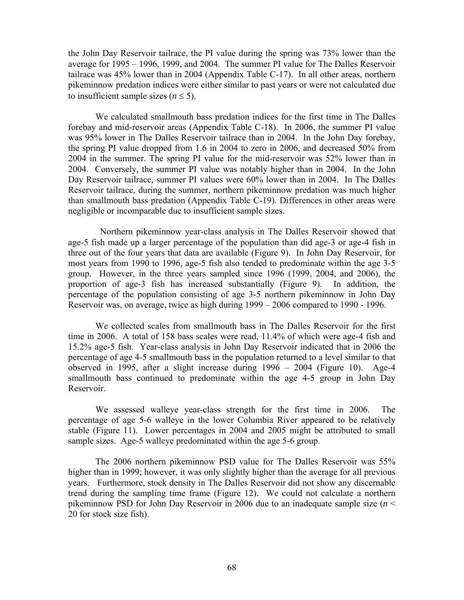the John Day Reservoir tailrace, the PI value during the spring was 73% lower than the average for 1995 – 1996, 1999, and 2004. The summer PI value for The Dalles Reservoir tailrace was 45% lower than in 2004 (Appendix Table C-17). In all other areas, northern pikeminnow predation indices were either similar to past years or were not calculated due to insufficient sample sizes ( $n \leq 5$ ).

 We calculated smallmouth bass predation indices for the first time in The Dalles forebay and mid-reservoir areas (Appendix Table C-18). In 2006, the summer PI value was 95% lower in The Dalles Reservoir tailrace than in 2004. In the John Day forebay, the spring PI value dropped from 1.6 in 2004 to zero in 2006, and decreased 50% from 2004 in the summer. The spring PI value for the mid-reservoir was 52% lower than in 2004. Conversely, the summer PI value was notably higher than in 2004. In the John Day Reservoir tailrace, summer PI values were 60% lower than in 2004. In The Dalles Reservoir tailrace, during the summer, northern pikeminnow predation was much higher than smallmouth bass predation (Appendix Table C-19). Differences in other areas were negligible or incomparable due to insufficient sample sizes.

 Northern pikeminnow year-class analysis in The Dalles Reservoir showed that age-5 fish made up a larger percentage of the population than did age-3 or age-4 fish in three out of the four years that data are available (Figure 9). In John Day Reservoir, for most years from 1990 to 1996, age-5 fish also tended to predominate within the age 3-5 group. However, in the three years sampled since 1996 (1999, 2004, and 2006), the proportion of age-3 fish has increased substantially (Figure 9). In addition, the percentage of the population consisting of age 3-5 northern pikeminnow in John Day Reservoir was, on average, twice as high during 1999 – 2006 compared to 1990 - 1996.

We collected scales from smallmouth bass in The Dalles Reservoir for the first time in 2006. A total of 158 bass scales were read, 11.4% of which were age-4 fish and 15.2% age-5 fish. Year-class analysis in John Day Reservoir indicated that in 2006 the percentage of age 4-5 smallmouth bass in the population returned to a level similar to that observed in 1995, after a slight increase during 1996 – 2004 (Figure 10). Age-4 smallmouth bass continued to predominate within the age 4-5 group in John Day Reservoir.

We assessed walleye year-class strength for the first time in 2006. The percentage of age 5-6 walleye in the lower Columbia River appeared to be relatively stable (Figure 11). Lower percentages in 2004 and 2005 might be attributed to small sample sizes. Age-5 walleye predominated within the age 5-6 group.

 The 2006 northern pikeminnow PSD value for The Dalles Reservoir was 55% higher than in 1999; however, it was only slightly higher than the average for all previous years. Furthermore, stock density in The Dalles Reservoir did not show any discernable trend during the sampling time frame (Figure 12). We could not calculate a northern pikeminnow PSD for John Day Reservoir in 2006 due to an inadequate sample size (*n* < 20 for stock size fish).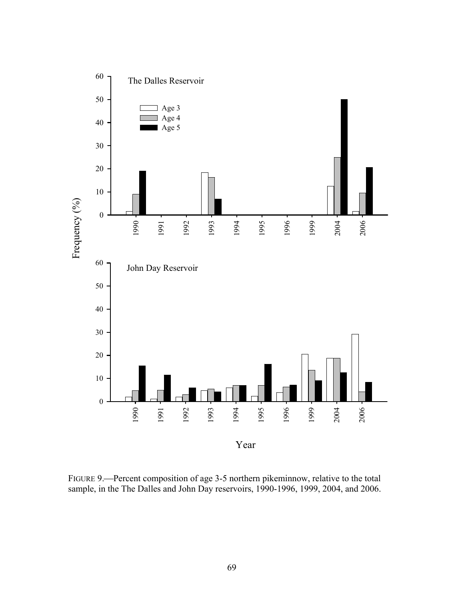

FIGURE 9.—Percent composition of age 3-5 northern pikeminnow, relative to the total sample, in the The Dalles and John Day reservoirs, 1990-1996, 1999, 2004, and 2006.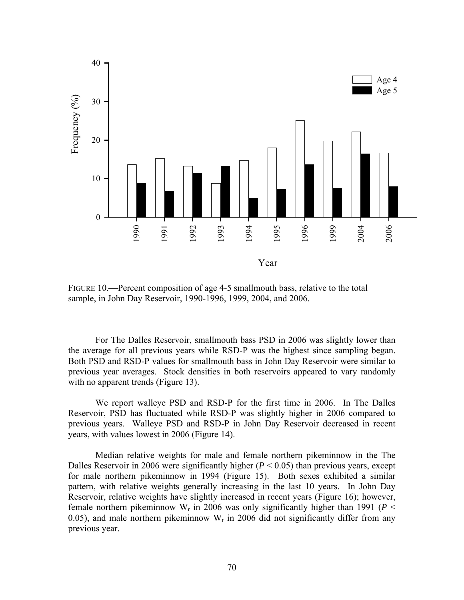

FIGURE 10.—Percent composition of age 4-5 smallmouth bass, relative to the total sample, in John Day Reservoir, 1990-1996, 1999, 2004, and 2006.

For The Dalles Reservoir, smallmouth bass PSD in 2006 was slightly lower than the average for all previous years while RSD-P was the highest since sampling began. Both PSD and RSD-P values for smallmouth bass in John Day Reservoir were similar to previous year averages. Stock densities in both reservoirs appeared to vary randomly with no apparent trends (Figure 13).

 We report walleye PSD and RSD-P for the first time in 2006. In The Dalles Reservoir, PSD has fluctuated while RSD-P was slightly higher in 2006 compared to previous years. Walleye PSD and RSD-P in John Day Reservoir decreased in recent years, with values lowest in 2006 (Figure 14).

Median relative weights for male and female northern pikeminnow in the The Dalles Reservoir in 2006 were significantly higher  $(P < 0.05)$  than previous years, except for male northern pikeminnow in 1994 (Figure 15). Both sexes exhibited a similar pattern, with relative weights generally increasing in the last 10 years. In John Day Reservoir, relative weights have slightly increased in recent years (Figure 16); however, female northern pikeminnow  $W_r$  in 2006 was only significantly higher than 1991 ( $P <$ 0.05), and male northern pikeminnow  $W_r$  in 2006 did not significantly differ from any previous year.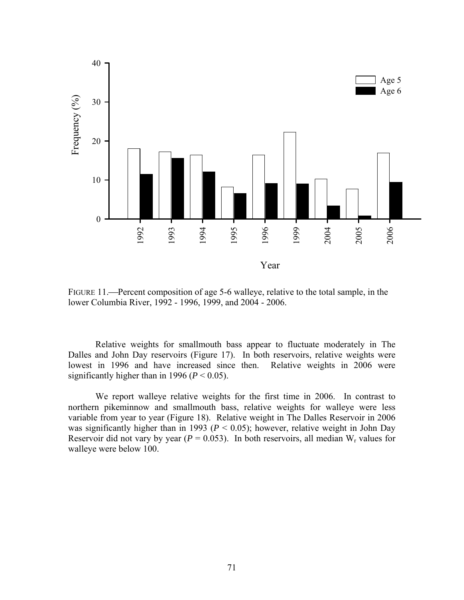

FIGURE 11.—Percent composition of age 5-6 walleye, relative to the total sample, in the lower Columbia River, 1992 - 1996, 1999, and 2004 - 2006.

Relative weights for smallmouth bass appear to fluctuate moderately in The Dalles and John Day reservoirs (Figure 17). In both reservoirs, relative weights were lowest in 1996 and have increased since then. Relative weights in 2006 were significantly higher than in 1996 ( $P < 0.05$ ).

We report walleye relative weights for the first time in 2006. In contrast to northern pikeminnow and smallmouth bass, relative weights for walleye were less variable from year to year (Figure 18). Relative weight in The Dalles Reservoir in 2006 was significantly higher than in 1993 ( $P < 0.05$ ); however, relative weight in John Day Reservoir did not vary by year ( $P = 0.053$ ). In both reservoirs, all median W<sub>r</sub> values for walleye were below 100.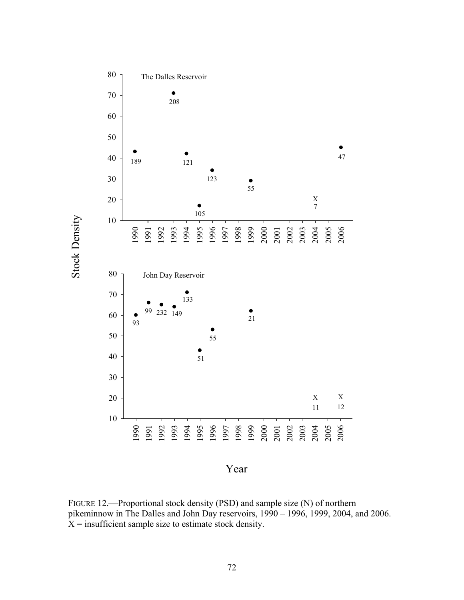

FIGURE 12.—Proportional stock density (PSD) and sample size (N) of northern pikeminnow in The Dalles and John Day reservoirs, 1990 – 1996, 1999, 2004, and 2006.  $X =$  insufficient sample size to estimate stock density.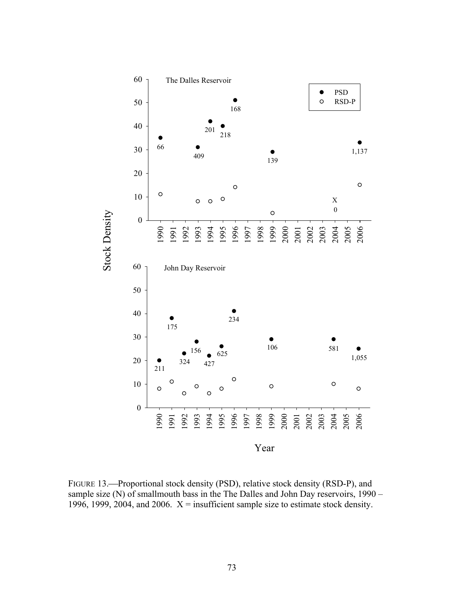

FIGURE 13.—Proportional stock density (PSD), relative stock density (RSD-P), and sample size (N) of smallmouth bass in the The Dalles and John Day reservoirs, 1990 – 1996, 1999, 2004, and 2006.  $X =$  insufficient sample size to estimate stock density.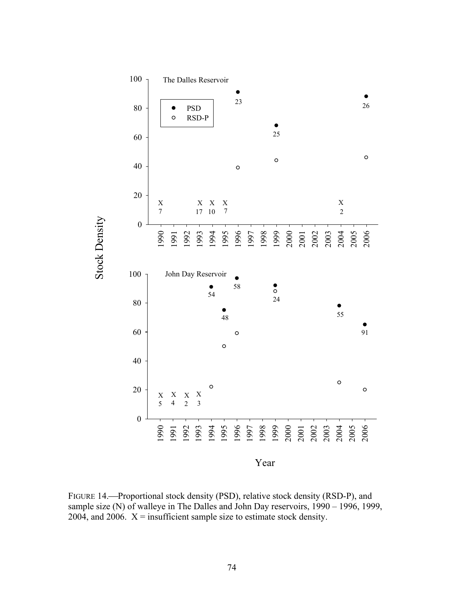

FIGURE 14.—Proportional stock density (PSD), relative stock density (RSD-P), and sample size (N) of walleye in The Dalles and John Day reservoirs, 1990 – 1996, 1999, 2004, and 2006.  $X =$  insufficient sample size to estimate stock density.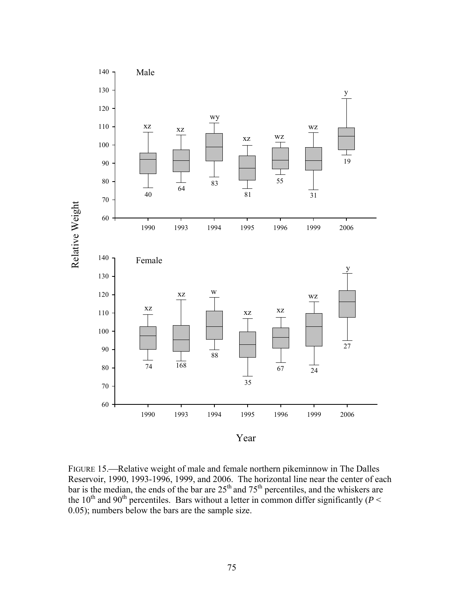

FIGURE 15.—Relative weight of male and female northern pikeminnow in The Dalles Reservoir, 1990, 1993-1996, 1999, and 2006. The horizontal line near the center of each bar is the median, the ends of the bar are  $25<sup>th</sup>$  and  $75<sup>th</sup>$  percentiles, and the whiskers are the 10<sup>th</sup> and 90<sup>th</sup> percentiles. Bars without a letter in common differ significantly ( $P <$ 0.05); numbers below the bars are the sample size.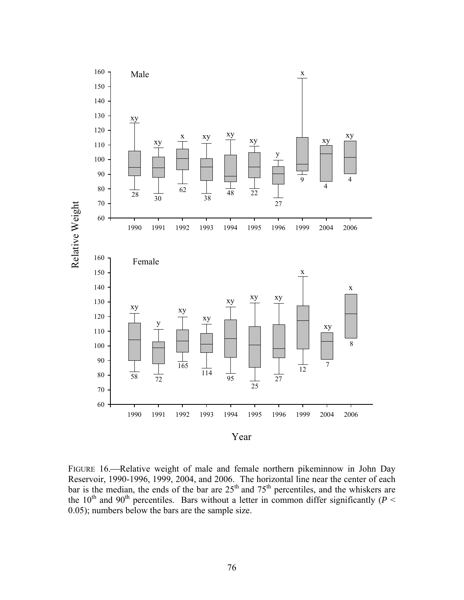

FIGURE 16.—Relative weight of male and female northern pikeminnow in John Day Reservoir, 1990-1996, 1999, 2004, and 2006. The horizontal line near the center of each bar is the median, the ends of the bar are  $25<sup>th</sup>$  and  $75<sup>th</sup>$  percentiles, and the whiskers are the 10<sup>th</sup> and 90<sup>th</sup> percentiles. Bars without a letter in common differ significantly ( $P <$ 0.05); numbers below the bars are the sample size.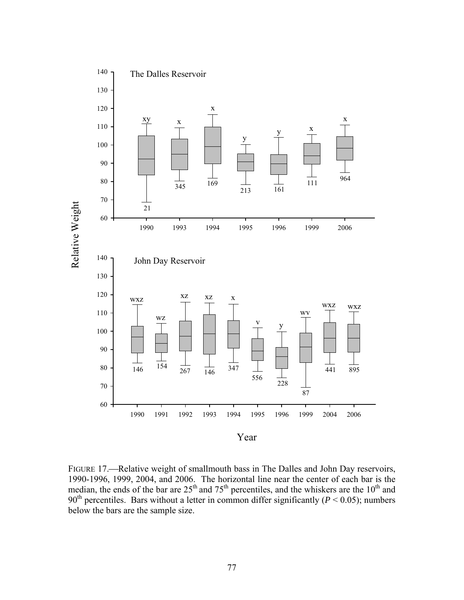

FIGURE 17.—Relative weight of smallmouth bass in The Dalles and John Day reservoirs, 1990-1996, 1999, 2004, and 2006. The horizontal line near the center of each bar is the median, the ends of the bar are  $25<sup>th</sup>$  and  $75<sup>th</sup>$  percentiles, and the whiskers are the  $10<sup>th</sup>$  and 90<sup>th</sup> percentiles. Bars without a letter in common differ significantly ( $P < 0.05$ ); numbers below the bars are the sample size.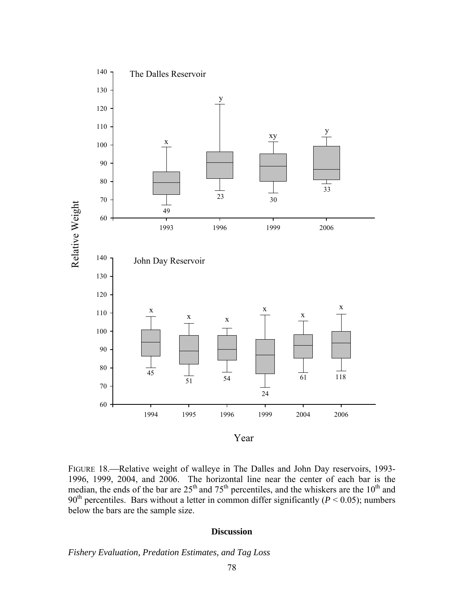

FIGURE 18.—Relative weight of walleye in The Dalles and John Day reservoirs, 1993-1996, 1999, 2004, and 2006. The horizontal line near the center of each bar is the median, the ends of the bar are  $25<sup>th</sup>$  and  $75<sup>th</sup>$  percentiles, and the whiskers are the  $10<sup>th</sup>$  and 90<sup>th</sup> percentiles. Bars without a letter in common differ significantly ( $P < 0.05$ ); numbers below the bars are the sample size.

#### **Discussion**

*Fishery Evaluation, Predation Estimates, and Tag Loss*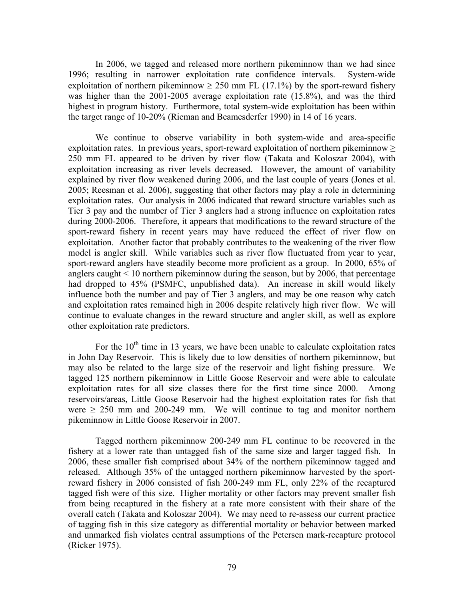In 2006, we tagged and released more northern pikeminnow than we had since 1996; resulting in narrower exploitation rate confidence intervals. System-wide exploitation of northern pikeminnow  $\geq 250$  mm FL (17.1%) by the sport-reward fishery was higher than the 2001-2005 average exploitation rate (15.8%), and was the third highest in program history. Furthermore, total system-wide exploitation has been within the target range of 10-20% (Rieman and Beamesderfer 1990) in 14 of 16 years.

We continue to observe variability in both system-wide and area-specific exploitation rates. In previous years, sport-reward exploitation of northern pikeminnow  $\geq$ 250 mm FL appeared to be driven by river flow (Takata and Koloszar 2004), with exploitation increasing as river levels decreased. However, the amount of variability explained by river flow weakened during 2006, and the last couple of years (Jones et al. 2005; Reesman et al. 2006), suggesting that other factors may play a role in determining exploitation rates. Our analysis in 2006 indicated that reward structure variables such as Tier 3 pay and the number of Tier 3 anglers had a strong influence on exploitation rates during 2000-2006. Therefore, it appears that modifications to the reward structure of the sport-reward fishery in recent years may have reduced the effect of river flow on exploitation. Another factor that probably contributes to the weakening of the river flow model is angler skill. While variables such as river flow fluctuated from year to year, sport-reward anglers have steadily become more proficient as a group. In 2000, 65% of anglers caught  $\leq 10$  northern pikeminnow during the season, but by 2006, that percentage had dropped to 45% (PSMFC, unpublished data). An increase in skill would likely influence both the number and pay of Tier 3 anglers, and may be one reason why catch and exploitation rates remained high in 2006 despite relatively high river flow. We will continue to evaluate changes in the reward structure and angler skill, as well as explore other exploitation rate predictors.

For the  $10<sup>th</sup>$  time in 13 years, we have been unable to calculate exploitation rates in John Day Reservoir. This is likely due to low densities of northern pikeminnow, but may also be related to the large size of the reservoir and light fishing pressure. We tagged 125 northern pikeminnow in Little Goose Reservoir and were able to calculate exploitation rates for all size classes there for the first time since 2000. Among reservoirs/areas, Little Goose Reservoir had the highest exploitation rates for fish that were  $\geq$  250 mm and 200-249 mm. We will continue to tag and monitor northern pikeminnow in Little Goose Reservoir in 2007.

Tagged northern pikeminnow 200-249 mm FL continue to be recovered in the fishery at a lower rate than untagged fish of the same size and larger tagged fish. In 2006, these smaller fish comprised about 34% of the northern pikeminnow tagged and released. Although 35% of the untagged northern pikeminnow harvested by the sportreward fishery in 2006 consisted of fish 200-249 mm FL, only 22% of the recaptured tagged fish were of this size. Higher mortality or other factors may prevent smaller fish from being recaptured in the fishery at a rate more consistent with their share of the overall catch (Takata and Koloszar 2004). We may need to re-assess our current practice of tagging fish in this size category as differential mortality or behavior between marked and unmarked fish violates central assumptions of the Petersen mark-recapture protocol (Ricker 1975).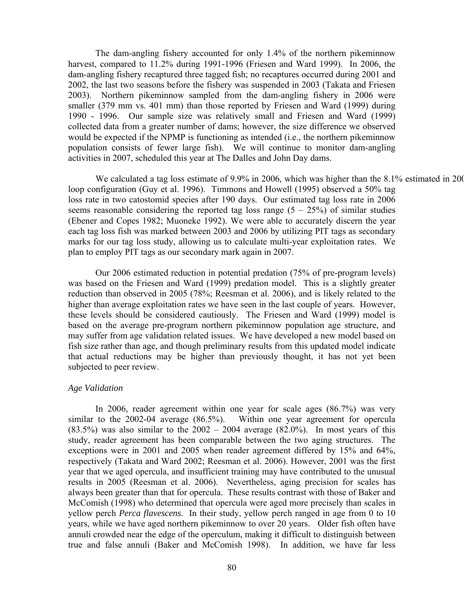The dam-angling fishery accounted for only 1.4% of the northern pikeminnow harvest, compared to 11.2% during 1991-1996 (Friesen and Ward 1999). In 2006, the dam-angling fishery recaptured three tagged fish; no recaptures occurred during 2001 and 2002, the last two seasons before the fishery was suspended in 2003 (Takata and Friesen 2003). Northern pikeminnow sampled from the dam-angling fishery in 2006 were smaller (379 mm vs. 401 mm) than those reported by Friesen and Ward (1999) during 1990 - 1996. Our sample size was relatively small and Friesen and Ward (1999) collected data from a greater number of dams; however, the size difference we observed would be expected if the NPMP is functioning as intended (i.e., the northern pikeminnow population consists of fewer large fish). We will continue to monitor dam-angling activities in 2007, scheduled this year at The Dalles and John Day dams.

We calculated a tag loss estimate of 9.9% in 2006, which was higher than the 8.1% estimated in 200 loop configuration (Guy et al. 1996). Timmons and Howell (1995) observed a 50% tag loss rate in two catostomid species after 190 days. Our estimated tag loss rate in 2006 seems reasonable considering the reported tag loss range  $(5 - 25\%)$  of similar studies (Ebener and Copes 1982; Muoneke 1992). We were able to accurately discern the year each tag loss fish was marked between 2003 and 2006 by utilizing PIT tags as secondary marks for our tag loss study, allowing us to calculate multi-year exploitation rates. We plan to employ PIT tags as our secondary mark again in 2007.

Our 2006 estimated reduction in potential predation (75% of pre-program levels) was based on the Friesen and Ward (1999) predation model. This is a slightly greater reduction than observed in 2005 (78%; Reesman et al. 2006), and is likely related to the higher than average exploitation rates we have seen in the last couple of years. However, these levels should be considered cautiously. The Friesen and Ward (1999) model is based on the average pre-program northern pikeminnow population age structure, and may suffer from age validation related issues. We have developed a new model based on fish size rather than age, and though preliminary results from this updated model indicate that actual reductions may be higher than previously thought, it has not yet been subjected to peer review.

## *Age Validation*

In 2006, reader agreement within one year for scale ages (86.7%) was very similar to the 2002-04 average (86.5%). Within one year agreement for opercula  $(83.5%)$  was also similar to the  $2002 - 2004$  average  $(82.0%)$ . In most years of this study, reader agreement has been comparable between the two aging structures. The exceptions were in 2001 and 2005 when reader agreement differed by 15% and 64%, respectively (Takata and Ward 2002; Reesman et al. 2006). However, 2001 was the first year that we aged opercula, and insufficient training may have contributed to the unusual results in 2005 (Reesman et al. 2006). Nevertheless, aging precision for scales has always been greater than that for opercula. These results contrast with those of Baker and McComish (1998) who determined that opercula were aged more precisely than scales in yellow perch *Perca flavescens*. In their study, yellow perch ranged in age from 0 to 10 years, while we have aged northern pikeminnow to over 20 years. Older fish often have annuli crowded near the edge of the operculum, making it difficult to distinguish between true and false annuli (Baker and McComish 1998). In addition, we have far less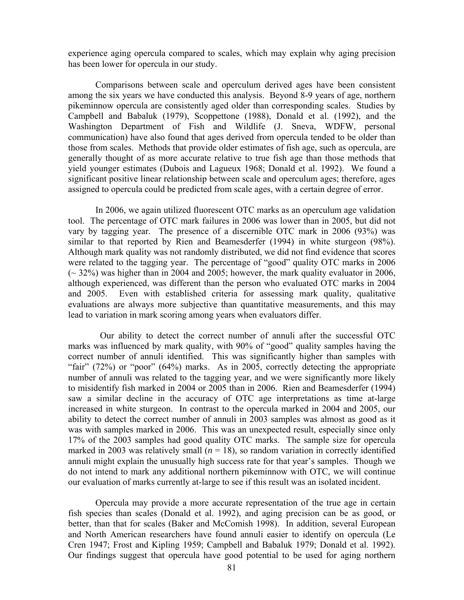experience aging opercula compared to scales, which may explain why aging precision has been lower for opercula in our study.

Comparisons between scale and operculum derived ages have been consistent among the six years we have conducted this analysis. Beyond 8-9 years of age, northern pikeminnow opercula are consistently aged older than corresponding scales. Studies by Campbell and Babaluk (1979), Scoppettone (1988), Donald et al. (1992), and the Washington Department of Fish and Wildlife (J. Sneva, WDFW, personal communication) have also found that ages derived from opercula tended to be older than those from scales. Methods that provide older estimates of fish age, such as opercula, are generally thought of as more accurate relative to true fish age than those methods that yield younger estimates (Dubois and Lagueux 1968; Donald et al. 1992). We found a significant positive linear relationship between scale and operculum ages; therefore, ages assigned to opercula could be predicted from scale ages, with a certain degree of error.

In 2006, we again utilized fluorescent OTC marks as an operculum age validation tool. The percentage of OTC mark failures in 2006 was lower than in 2005, but did not vary by tagging year. The presence of a discernible OTC mark in 2006 (93%) was similar to that reported by Rien and Beamesderfer (1994) in white sturgeon (98%). Although mark quality was not randomly distributed, we did not find evidence that scores were related to the tagging year. The percentage of "good" quality OTC marks in 2006  $\sim$  32%) was higher than in 2004 and 2005; however, the mark quality evaluator in 2006, although experienced, was different than the person who evaluated OTC marks in 2004 and 2005. Even with established criteria for assessing mark quality, qualitative evaluations are always more subjective than quantitative measurements, and this may lead to variation in mark scoring among years when evaluators differ.

 Our ability to detect the correct number of annuli after the successful OTC marks was influenced by mark quality, with 90% of "good" quality samples having the correct number of annuli identified. This was significantly higher than samples with "fair" (72%) or "poor" (64%) marks. As in 2005, correctly detecting the appropriate number of annuli was related to the tagging year, and we were significantly more likely to misidentify fish marked in 2004 or 2005 than in 2006. Rien and Beamesderfer (1994) saw a similar decline in the accuracy of OTC age interpretations as time at-large increased in white sturgeon. In contrast to the opercula marked in 2004 and 2005, our ability to detect the correct number of annuli in 2003 samples was almost as good as it was with samples marked in 2006. This was an unexpected result, especially since only 17% of the 2003 samples had good quality OTC marks. The sample size for opercula marked in 2003 was relatively small  $(n = 18)$ , so random variation in correctly identified annuli might explain the unusually high success rate for that year's samples. Though we do not intend to mark any additional northern pikeminnow with OTC, we will continue our evaluation of marks currently at-large to see if this result was an isolated incident.

Opercula may provide a more accurate representation of the true age in certain fish species than scales (Donald et al. 1992), and aging precision can be as good, or better, than that for scales (Baker and McComish 1998). In addition, several European and North American researchers have found annuli easier to identify on opercula (Le Cren 1947; Frost and Kipling 1959; Campbell and Babaluk 1979; Donald et al. 1992). Our findings suggest that opercula have good potential to be used for aging northern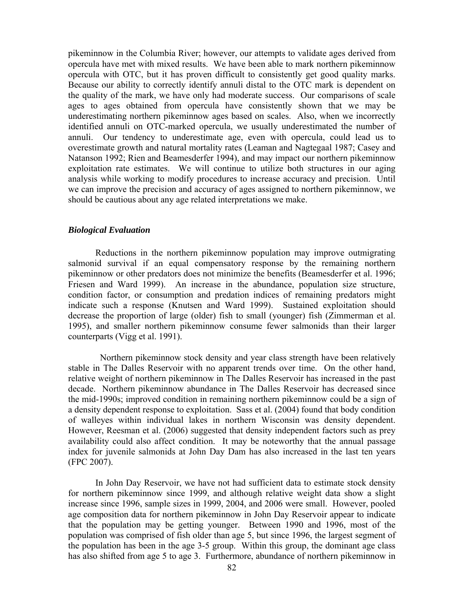pikeminnow in the Columbia River; however, our attempts to validate ages derived from opercula have met with mixed results. We have been able to mark northern pikeminnow opercula with OTC, but it has proven difficult to consistently get good quality marks. Because our ability to correctly identify annuli distal to the OTC mark is dependent on the quality of the mark, we have only had moderate success. Our comparisons of scale ages to ages obtained from opercula have consistently shown that we may be underestimating northern pikeminnow ages based on scales. Also, when we incorrectly identified annuli on OTC-marked opercula, we usually underestimated the number of annuli. Our tendency to underestimate age, even with opercula, could lead us to overestimate growth and natural mortality rates (Leaman and Nagtegaal 1987; Casey and Natanson 1992; Rien and Beamesderfer 1994), and may impact our northern pikeminnow exploitation rate estimates. We will continue to utilize both structures in our aging analysis while working to modify procedures to increase accuracy and precision. Until we can improve the precision and accuracy of ages assigned to northern pikeminnow, we should be cautious about any age related interpretations we make.

### *Biological Evaluation*

Reductions in the northern pikeminnow population may improve outmigrating salmonid survival if an equal compensatory response by the remaining northern pikeminnow or other predators does not minimize the benefits (Beamesderfer et al. 1996; Friesen and Ward 1999).An increase in the abundance, population size structure, condition factor, or consumption and predation indices of remaining predators might indicate such a response (Knutsen and Ward 1999). Sustained exploitation should decrease the proportion of large (older) fish to small (younger) fish (Zimmerman et al. 1995), and smaller northern pikeminnow consume fewer salmonids than their larger counterparts (Vigg et al. 1991).

 Northern pikeminnow stock density and year class strength have been relatively stable in The Dalles Reservoir with no apparent trends over time. On the other hand, relative weight of northern pikeminnow in The Dalles Reservoir has increased in the past decade. Northern pikeminnow abundance in The Dalles Reservoir has decreased since the mid-1990s; improved condition in remaining northern pikeminnow could be a sign of a density dependent response to exploitation. Sass et al. (2004) found that body condition of walleyes within individual lakes in northern Wisconsin was density dependent. However, Reesman et al. (2006) suggested that density independent factors such as prey availability could also affect condition. It may be noteworthy that the annual passage index for juvenile salmonids at John Day Dam has also increased in the last ten years (FPC 2007).

 In John Day Reservoir, we have not had sufficient data to estimate stock density for northern pikeminnow since 1999, and although relative weight data show a slight increase since 1996, sample sizes in 1999, 2004, and 2006 were small. However, pooled age composition data for northern pikeminnow in John Day Reservoir appear to indicate that the population may be getting younger. Between 1990 and 1996, most of the population was comprised of fish older than age 5, but since 1996, the largest segment of the population has been in the age 3-5 group. Within this group, the dominant age class has also shifted from age 5 to age 3. Furthermore, abundance of northern pikeminnow in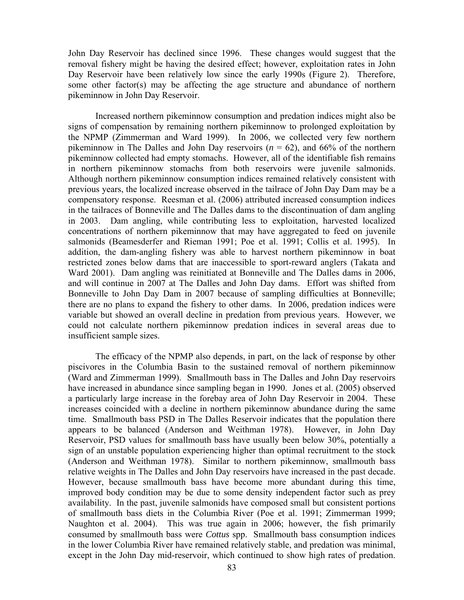John Day Reservoir has declined since 1996. These changes would suggest that the removal fishery might be having the desired effect; however, exploitation rates in John Day Reservoir have been relatively low since the early 1990s (Figure 2). Therefore, some other factor(s) may be affecting the age structure and abundance of northern pikeminnow in John Day Reservoir.

Increased northern pikeminnow consumption and predation indices might also be signs of compensation by remaining northern pikeminnow to prolonged exploitation by the NPMP (Zimmerman and Ward 1999). In 2006, we collected very few northern pikeminnow in The Dalles and John Day reservoirs  $(n = 62)$ , and 66% of the northern pikeminnow collected had empty stomachs. However, all of the identifiable fish remains in northern pikeminnow stomachs from both reservoirs were juvenile salmonids. Although northern pikeminnow consumption indices remained relatively consistent with previous years, the localized increase observed in the tailrace of John Day Dam may be a compensatory response. Reesman et al. (2006) attributed increased consumption indices in the tailraces of Bonneville and The Dalles dams to the discontinuation of dam angling in 2003. Dam angling, while contributing less to exploitation, harvested localized concentrations of northern pikeminnow that may have aggregated to feed on juvenile salmonids (Beamesderfer and Rieman 1991; Poe et al. 1991; Collis et al. 1995). In addition, the dam-angling fishery was able to harvest northern pikeminnow in boat restricted zones below dams that are inaccessible to sport-reward anglers (Takata and Ward 2001). Dam angling was reinitiated at Bonneville and The Dalles dams in 2006, and will continue in 2007 at The Dalles and John Day dams. Effort was shifted from Bonneville to John Day Dam in 2007 because of sampling difficulties at Bonneville; there are no plans to expand the fishery to other dams. In 2006, predation indices were variable but showed an overall decline in predation from previous years. However, we could not calculate northern pikeminnow predation indices in several areas due to insufficient sample sizes.

The efficacy of the NPMP also depends, in part, on the lack of response by other piscivores in the Columbia Basin to the sustained removal of northern pikeminnow (Ward and Zimmerman 1999). Smallmouth bass in The Dalles and John Day reservoirs have increased in abundance since sampling began in 1990. Jones et al. (2005) observed a particularly large increase in the forebay area of John Day Reservoir in 2004. These increases coincided with a decline in northern pikeminnow abundance during the same time. Smallmouth bass PSD in The Dalles Reservoir indicates that the population there appears to be balanced (Anderson and Weithman 1978). However, in John Day Reservoir, PSD values for smallmouth bass have usually been below 30%, potentially a sign of an unstable population experiencing higher than optimal recruitment to the stock (Anderson and Weithman 1978). Similar to northern pikeminnow, smallmouth bass relative weights in The Dalles and John Day reservoirs have increased in the past decade. However, because smallmouth bass have become more abundant during this time, improved body condition may be due to some density independent factor such as prey availability. In the past, juvenile salmonids have composed small but consistent portions of smallmouth bass diets in the Columbia River (Poe et al. 1991; Zimmerman 1999; Naughton et al. 2004). This was true again in 2006; however, the fish primarily consumed by smallmouth bass were *Cottus* spp. Smallmouth bass consumption indices in the lower Columbia River have remained relatively stable, and predation was minimal, except in the John Day mid-reservoir, which continued to show high rates of predation.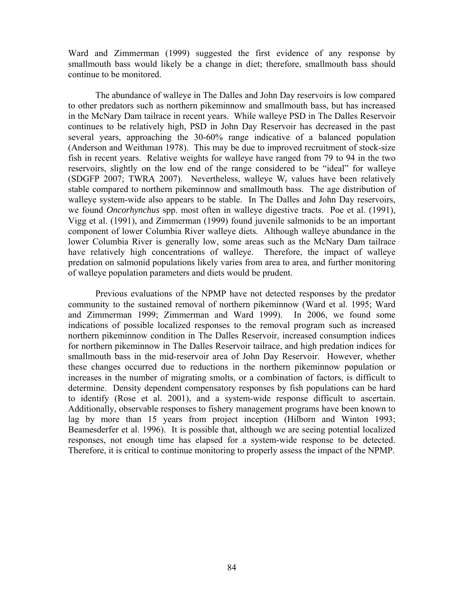Ward and Zimmerman (1999) suggested the first evidence of any response by smallmouth bass would likely be a change in diet; therefore, smallmouth bass should continue to be monitored.

 The abundance of walleye in The Dalles and John Day reservoirs is low compared to other predators such as northern pikeminnow and smallmouth bass, but has increased in the McNary Dam tailrace in recent years. While walleye PSD in The Dalles Reservoir continues to be relatively high, PSD in John Day Reservoir has decreased in the past several years, approaching the 30-60% range indicative of a balanced population (Anderson and Weithman 1978). This may be due to improved recruitment of stock-size fish in recent years. Relative weights for walleye have ranged from 79 to 94 in the two reservoirs, slightly on the low end of the range considered to be "ideal" for walleye (SDGFP 2007; TWRA 2007). Nevertheless, walleye  $W_r$  values have been relatively stable compared to northern pikeminnow and smallmouth bass. The age distribution of walleye system-wide also appears to be stable. In The Dalles and John Day reservoirs, we found *Oncorhynchus* spp. most often in walleye digestive tracts. Poe et al. (1991), Vigg et al. (1991), and Zimmerman (1999) found juvenile salmonids to be an important component of lower Columbia River walleye diets. Although walleye abundance in the lower Columbia River is generally low, some areas such as the McNary Dam tailrace have relatively high concentrations of walleye. Therefore, the impact of walleye predation on salmonid populations likely varies from area to area, and further monitoring of walleye population parameters and diets would be prudent.

Previous evaluations of the NPMP have not detected responses by the predator community to the sustained removal of northern pikeminnow (Ward et al. 1995; Ward and Zimmerman 1999; Zimmerman and Ward 1999). In 2006, we found some indications of possible localized responses to the removal program such as increased northern pikeminnow condition in The Dalles Reservoir, increased consumption indices for northern pikeminnow in The Dalles Reservoir tailrace, and high predation indices for smallmouth bass in the mid-reservoir area of John Day Reservoir. However, whether these changes occurred due to reductions in the northern pikeminnow population or increases in the number of migrating smolts, or a combination of factors, is difficult to determine. Density dependent compensatory responses by fish populations can be hard to identify (Rose et al. 2001), and a system-wide response difficult to ascertain. Additionally, observable responses to fishery management programs have been known to lag by more than 15 years from project inception (Hilborn and Winton 1993; Beamesderfer et al. 1996). It is possible that, although we are seeing potential localized responses, not enough time has elapsed for a system-wide response to be detected. Therefore, it is critical to continue monitoring to properly assess the impact of the NPMP.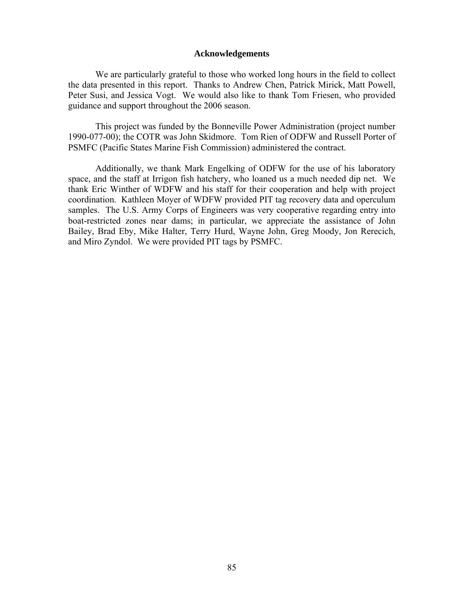### **Acknowledgements**

We are particularly grateful to those who worked long hours in the field to collect the data presented in this report. Thanks to Andrew Chen, Patrick Mirick, Matt Powell, Peter Susi, and Jessica Vogt. We would also like to thank Tom Friesen, who provided guidance and support throughout the 2006 season.

This project was funded by the Bonneville Power Administration (project number 1990-077-00); the COTR was John Skidmore. Tom Rien of ODFW and Russell Porter of PSMFC (Pacific States Marine Fish Commission) administered the contract.

Additionally, we thank Mark Engelking of ODFW for the use of his laboratory space, and the staff at Irrigon fish hatchery, who loaned us a much needed dip net. We thank Eric Winther of WDFW and his staff for their cooperation and help with project coordination. Kathleen Moyer of WDFW provided PIT tag recovery data and operculum samples. The U.S. Army Corps of Engineers was very cooperative regarding entry into boat-restricted zones near dams; in particular, we appreciate the assistance of John Bailey, Brad Eby, Mike Halter, Terry Hurd, Wayne John, Greg Moody, Jon Rerecich, and Miro Zyndol. We were provided PIT tags by PSMFC.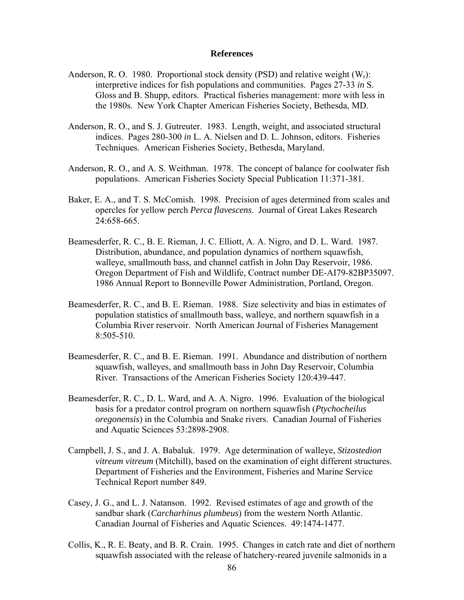#### **References**

- Anderson, R. O. 1980. Proportional stock density (PSD) and relative weight  $(W_r)$ : interpretive indices for fish populations and communities. Pages 27-33 *in* S. Gloss and B. Shupp, editors. Practical fisheries management: more with less in the 1980s. New York Chapter American Fisheries Society, Bethesda, MD.
- Anderson, R. O., and S. J. Gutreuter. 1983. Length, weight, and associated structural indices. Pages 280-300 *in* L. A. Nielsen and D. L. Johnson, editors. Fisheries Techniques. American Fisheries Society, Bethesda, Maryland.
- Anderson, R. O., and A. S. Weithman. 1978. The concept of balance for coolwater fish populations. American Fisheries Society Special Publication 11:371-381.
- Baker, E. A., and T. S. McComish. 1998. Precision of ages determined from scales and opercles for yellow perch *Perca flavescens*. Journal of Great Lakes Research 24:658-665.
- Beamesderfer, R. C., B. E. Rieman, J. C. Elliott, A. A. Nigro, and D. L. Ward. 1987. Distribution, abundance, and population dynamics of northern squawfish, walleye, smallmouth bass, and channel catfish in John Day Reservoir, 1986. Oregon Department of Fish and Wildlife, Contract number DE-AI79-82BP35097. 1986 Annual Report to Bonneville Power Administration, Portland, Oregon.
- Beamesderfer, R. C., and B. E. Rieman. 1988. Size selectivity and bias in estimates of population statistics of smallmouth bass, walleye, and northern squawfish in a Columbia River reservoir. North American Journal of Fisheries Management 8:505-510.
- Beamesderfer, R. C., and B. E. Rieman. 1991. Abundance and distribution of northern squawfish, walleyes, and smallmouth bass in John Day Reservoir, Columbia River. Transactions of the American Fisheries Society 120:439-447.
- Beamesderfer, R. C., D. L. Ward, and A. A. Nigro. 1996. Evaluation of the biological basis for a predator control program on northern squawfish (*Ptychocheilus oregonensis*) in the Columbia and Snake rivers. Canadian Journal of Fisheries and Aquatic Sciences 53:2898-2908.
- Campbell, J. S., and J. A. Babaluk. 1979. Age determination of walleye, *Stizostedion vitreum vitreum* (Mitchill), based on the examination of eight different structures. Department of Fisheries and the Environment, Fisheries and Marine Service Technical Report number 849.
- Casey, J. G., and L. J. Natanson. 1992. Revised estimates of age and growth of the sandbar shark (*Carcharhinus plumbeus*) from the western North Atlantic. Canadian Journal of Fisheries and Aquatic Sciences. 49:1474-1477.
- Collis, K., R. E. Beaty, and B. R. Crain. 1995. Changes in catch rate and diet of northern squawfish associated with the release of hatchery-reared juvenile salmonids in a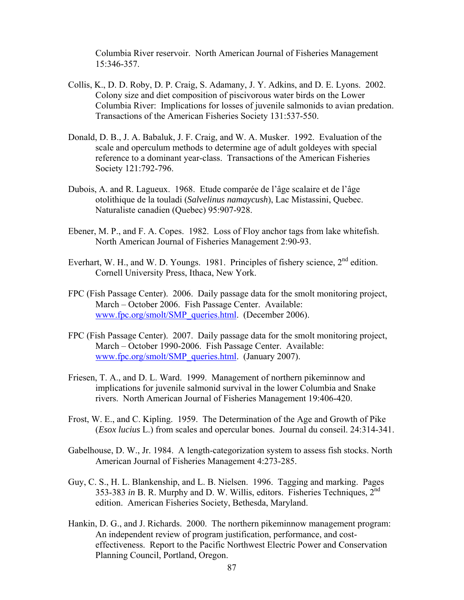Columbia River reservoir. North American Journal of Fisheries Management 15:346-357.

- Collis, K., D. D. Roby, D. P. Craig, S. Adamany, J. Y. Adkins, and D. E. Lyons. 2002. Colony size and diet composition of piscivorous water birds on the Lower Columbia River: Implications for losses of juvenile salmonids to avian predation. Transactions of the American Fisheries Society 131:537-550.
- Donald, D. B., J. A. Babaluk, J. F. Craig, and W. A. Musker. 1992. Evaluation of the scale and operculum methods to determine age of adult goldeyes with special reference to a dominant year-class. Transactions of the American Fisheries Society 121:792-796.
- Dubois, A. and R. Lagueux. 1968. Etude comparée de l'âge scalaire et de l'âge otolithique de la touladi (*Salvelinus namaycush*), Lac Mistassini, Quebec. Naturaliste canadien (Quebec) 95:907-928.
- Ebener, M. P., and F. A. Copes. 1982. Loss of Floy anchor tags from lake whitefish. North American Journal of Fisheries Management 2:90-93.
- Everhart, W. H., and W. D. Youngs. 1981. Principles of fishery science, 2<sup>nd</sup> edition. Cornell University Press, Ithaca, New York.
- FPC (Fish Passage Center). 2006. Daily passage data for the smolt monitoring project, March – October 2006. Fish Passage Center. Available: www.fpc.org/smolt/SMP\_queries.html. (December 2006).
- FPC (Fish Passage Center). 2007. Daily passage data for the smolt monitoring project, March – October 1990-2006. Fish Passage Center. Available: www.fpc.org/smolt/SMP\_queries.html. (January 2007).
- Friesen, T. A., and D. L. Ward. 1999. Management of northern pikeminnow and implications for juvenile salmonid survival in the lower Columbia and Snake rivers. North American Journal of Fisheries Management 19:406-420.
- Frost, W. E., and C. Kipling. 1959. The Determination of the Age and Growth of Pike (*Esox lucius* L.) from scales and opercular bones. Journal du conseil. 24:314-341.
- Gabelhouse, D. W., Jr. 1984. A length-categorization system to assess fish stocks. North American Journal of Fisheries Management 4:273-285.
- Guy, C. S., H. L. Blankenship, and L. B. Nielsen. 1996. Tagging and marking. Pages 353-383 *in* B. R. Murphy and D. W. Willis, editors. Fisheries Techniques,  $2^{nd}$ edition. American Fisheries Society, Bethesda, Maryland.
- Hankin, D. G., and J. Richards. 2000. The northern pikeminnow management program: An independent review of program justification, performance, and costeffectiveness. Report to the Pacific Northwest Electric Power and Conservation Planning Council, Portland, Oregon.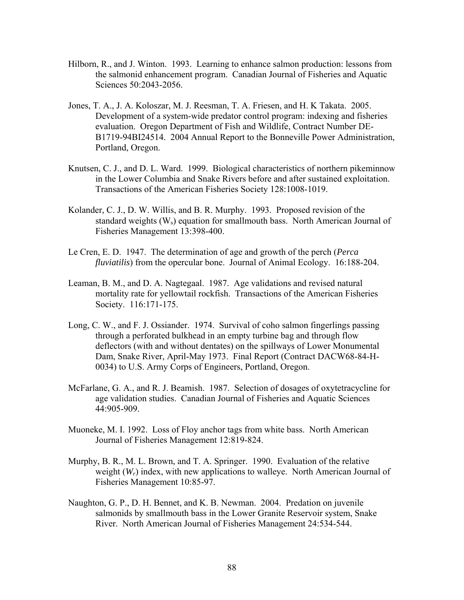- Hilborn, R., and J. Winton. 1993. Learning to enhance salmon production: lessons from the salmonid enhancement program. Canadian Journal of Fisheries and Aquatic Sciences 50:2043-2056.
- Jones, T. A., J. A. Koloszar, M. J. Reesman, T. A. Friesen, and H. K Takata. 2005. Development of a system-wide predator control program: indexing and fisheries evaluation. Oregon Department of Fish and Wildlife, Contract Number DE-B1719-94BI24514. 2004 Annual Report to the Bonneville Power Administration, Portland, Oregon.
- Knutsen, C. J., and D. L. Ward. 1999. Biological characteristics of northern pikeminnow in the Lower Columbia and Snake Rivers before and after sustained exploitation. Transactions of the American Fisheries Society 128:1008-1019.
- Kolander, C. J., D. W. Willis, and B. R. Murphy. 1993. Proposed revision of the standard weights  $(W_s)$  equation for smallmouth bass. North American Journal of Fisheries Management 13:398-400.
- Le Cren, E. D. 1947. The determination of age and growth of the perch (*Perca fluviatilis*) from the opercular bone. Journal of Animal Ecology. 16:188-204.
- Leaman, B. M., and D. A. Nagtegaal. 1987. Age validations and revised natural mortality rate for yellowtail rockfish. Transactions of the American Fisheries Society. 116:171-175.
- Long, C. W., and F. J. Ossiander. 1974. Survival of coho salmon fingerlings passing through a perforated bulkhead in an empty turbine bag and through flow deflectors (with and without dentates) on the spillways of Lower Monumental Dam, Snake River, April-May 1973. Final Report (Contract DACW68-84-H-0034) to U.S. Army Corps of Engineers, Portland, Oregon.
- McFarlane, G. A., and R. J. Beamish. 1987. Selection of dosages of oxytetracycline for age validation studies. Canadian Journal of Fisheries and Aquatic Sciences 44:905-909.
- Muoneke, M. I. 1992. Loss of Floy anchor tags from white bass. North American Journal of Fisheries Management 12:819-824.
- Murphy, B. R., M. L. Brown, and T. A. Springer. 1990. Evaluation of the relative weight (*W<sub>r</sub>*) index, with new applications to walleye. North American Journal of Fisheries Management 10:85-97.
- Naughton, G. P., D. H. Bennet, and K. B. Newman. 2004. Predation on juvenile salmonids by smallmouth bass in the Lower Granite Reservoir system, Snake River. North American Journal of Fisheries Management 24:534-544.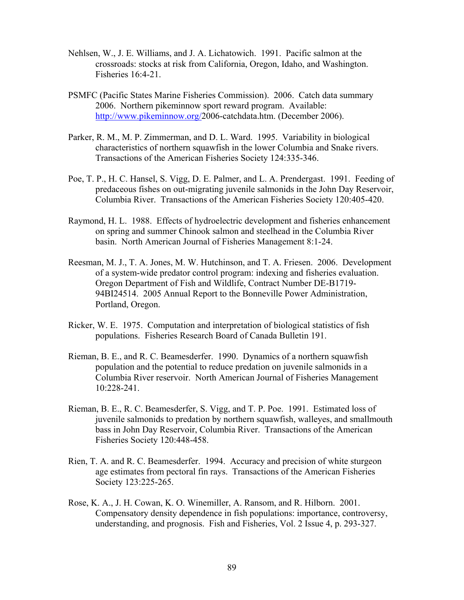- Nehlsen, W., J. E. Williams, and J. A. Lichatowich. 1991. Pacific salmon at the crossroads: stocks at risk from California, Oregon, Idaho, and Washington. Fisheries 16:4-21.
- PSMFC (Pacific States Marine Fisheries Commission). 2006. Catch data summary 2006. Northern pikeminnow sport reward program. Available: http://www.pikeminnow.org/2006-catchdata.htm. (December 2006).
- Parker, R. M., M. P. Zimmerman, and D. L. Ward. 1995. Variability in biological characteristics of northern squawfish in the lower Columbia and Snake rivers. Transactions of the American Fisheries Society 124:335-346.
- Poe, T. P., H. C. Hansel, S. Vigg, D. E. Palmer, and L. A. Prendergast. 1991. Feeding of predaceous fishes on out-migrating juvenile salmonids in the John Day Reservoir, Columbia River. Transactions of the American Fisheries Society 120:405-420.
- Raymond, H. L. 1988. Effects of hydroelectric development and fisheries enhancement on spring and summer Chinook salmon and steelhead in the Columbia River basin. North American Journal of Fisheries Management 8:1-24.
- Reesman, M. J., T. A. Jones, M. W. Hutchinson, and T. A. Friesen. 2006. Development of a system-wide predator control program: indexing and fisheries evaluation. Oregon Department of Fish and Wildlife, Contract Number DE-B1719- 94BI24514. 2005 Annual Report to the Bonneville Power Administration, Portland, Oregon.
- Ricker, W. E. 1975. Computation and interpretation of biological statistics of fish populations. Fisheries Research Board of Canada Bulletin 191.
- Rieman, B. E., and R. C. Beamesderfer. 1990. Dynamics of a northern squawfish population and the potential to reduce predation on juvenile salmonids in a Columbia River reservoir. North American Journal of Fisheries Management 10:228-241.
- Rieman, B. E., R. C. Beamesderfer, S. Vigg, and T. P. Poe. 1991. Estimated loss of juvenile salmonids to predation by northern squawfish, walleyes, and smallmouth bass in John Day Reservoir, Columbia River. Transactions of the American Fisheries Society 120:448-458.
- Rien, T. A. and R. C. Beamesderfer. 1994. Accuracy and precision of white sturgeon age estimates from pectoral fin rays. Transactions of the American Fisheries Society 123:225-265.
- Rose, K. A., J. H. Cowan, K. O. Winemiller, A. Ransom, and R. Hilborn. 2001. Compensatory density dependence in fish populations: importance, controversy, understanding, and prognosis. Fish and Fisheries, Vol. 2 Issue 4, p. 293-327.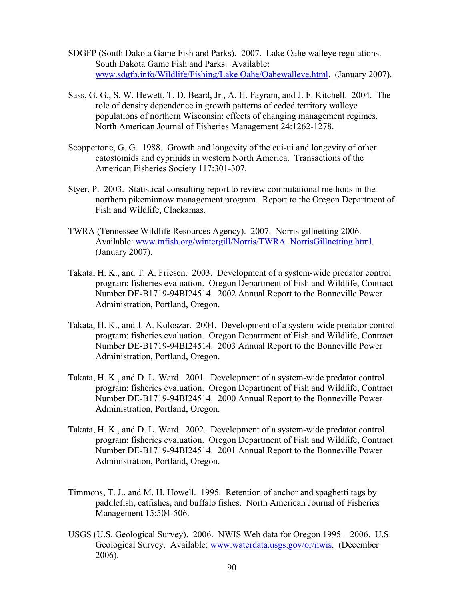- SDGFP (South Dakota Game Fish and Parks). 2007. Lake Oahe walleye regulations. South Dakota Game Fish and Parks. Available: www.sdgfp.info/Wildlife/Fishing/Lake Oahe/Oahewalleye.html. (January 2007).
- Sass, G. G., S. W. Hewett, T. D. Beard, Jr., A. H. Fayram, and J. F. Kitchell. 2004. The role of density dependence in growth patterns of ceded territory walleye populations of northern Wisconsin: effects of changing management regimes. North American Journal of Fisheries Management 24:1262-1278.
- Scoppettone, G. G. 1988. Growth and longevity of the cui-ui and longevity of other catostomids and cyprinids in western North America. Transactions of the American Fisheries Society 117:301-307.
- Styer, P. 2003. Statistical consulting report to review computational methods in the northern pikeminnow management program. Report to the Oregon Department of Fish and Wildlife, Clackamas.
- TWRA (Tennessee Wildlife Resources Agency). 2007. Norris gillnetting 2006. Available: www.tnfish.org/wintergill/Norris/TWRA\_NorrisGillnetting.html. (January 2007).
- Takata, H. K., and T. A. Friesen. 2003. Development of a system-wide predator control program: fisheries evaluation. Oregon Department of Fish and Wildlife, Contract Number DE-B1719-94BI24514. 2002 Annual Report to the Bonneville Power Administration, Portland, Oregon.
- Takata, H. K., and J. A. Koloszar. 2004. Development of a system-wide predator control program: fisheries evaluation. Oregon Department of Fish and Wildlife, Contract Number DE-B1719-94BI24514. 2003 Annual Report to the Bonneville Power Administration, Portland, Oregon.
- Takata, H. K., and D. L. Ward. 2001. Development of a system-wide predator control program: fisheries evaluation. Oregon Department of Fish and Wildlife, Contract Number DE-B1719-94BI24514. 2000 Annual Report to the Bonneville Power Administration, Portland, Oregon.
- Takata, H. K., and D. L. Ward. 2002. Development of a system-wide predator control program: fisheries evaluation. Oregon Department of Fish and Wildlife, Contract Number DE-B1719-94BI24514. 2001 Annual Report to the Bonneville Power Administration, Portland, Oregon.
- Timmons, T. J., and M. H. Howell. 1995. Retention of anchor and spaghetti tags by paddlefish, catfishes, and buffalo fishes. North American Journal of Fisheries Management 15:504-506.
- USGS (U.S. Geological Survey). 2006. NWIS Web data for Oregon 1995 2006. U.S. Geological Survey. Available: www.waterdata.usgs.gov/or/nwis. (December 2006).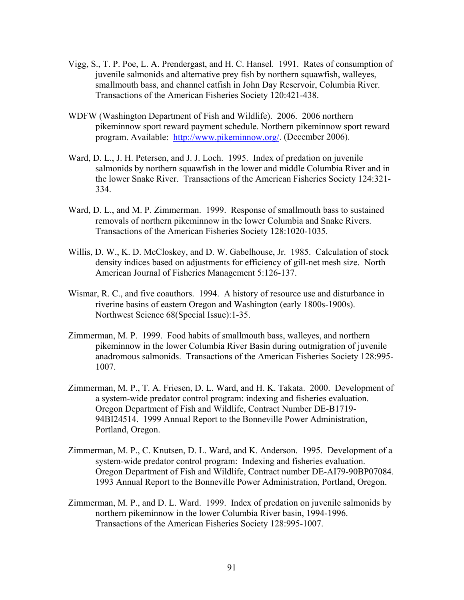- Vigg, S., T. P. Poe, L. A. Prendergast, and H. C. Hansel. 1991. Rates of consumption of juvenile salmonids and alternative prey fish by northern squawfish, walleyes, smallmouth bass, and channel catfish in John Day Reservoir, Columbia River. Transactions of the American Fisheries Society 120:421-438.
- WDFW (Washington Department of Fish and Wildlife). 2006. 2006 northern pikeminnow sport reward payment schedule. Northern pikeminnow sport reward program. Available: http://www.pikeminnow.org/. (December 2006).
- Ward, D. L., J. H. Petersen, and J. J. Loch. 1995. Index of predation on juvenile salmonids by northern squawfish in the lower and middle Columbia River and in the lower Snake River. Transactions of the American Fisheries Society 124:321- 334.
- Ward, D. L., and M. P. Zimmerman. 1999. Response of smallmouth bass to sustained removals of northern pikeminnow in the lower Columbia and Snake Rivers. Transactions of the American Fisheries Society 128:1020-1035.
- Willis, D. W., K. D. McCloskey, and D. W. Gabelhouse, Jr. 1985. Calculation of stock density indices based on adjustments for efficiency of gill-net mesh size. North American Journal of Fisheries Management 5:126-137.
- Wismar, R. C., and five coauthors. 1994. A history of resource use and disturbance in riverine basins of eastern Oregon and Washington (early 1800s-1900s). Northwest Science 68(Special Issue):1-35.
- Zimmerman, M. P. 1999. Food habits of smallmouth bass, walleyes, and northern pikeminnow in the lower Columbia River Basin during outmigration of juvenile anadromous salmonids. Transactions of the American Fisheries Society 128:995- 1007.
- Zimmerman, M. P., T. A. Friesen, D. L. Ward, and H. K. Takata. 2000. Development of a system-wide predator control program: indexing and fisheries evaluation. Oregon Department of Fish and Wildlife, Contract Number DE-B1719- 94BI24514. 1999 Annual Report to the Bonneville Power Administration, Portland, Oregon.
- Zimmerman, M. P., C. Knutsen, D. L. Ward, and K. Anderson. 1995. Development of a system-wide predator control program: Indexing and fisheries evaluation. Oregon Department of Fish and Wildlife, Contract number DE-AI79-90BP07084. 1993 Annual Report to the Bonneville Power Administration, Portland, Oregon.
- Zimmerman, M. P., and D. L. Ward. 1999. Index of predation on juvenile salmonids by northern pikeminnow in the lower Columbia River basin, 1994-1996. Transactions of the American Fisheries Society 128:995-1007.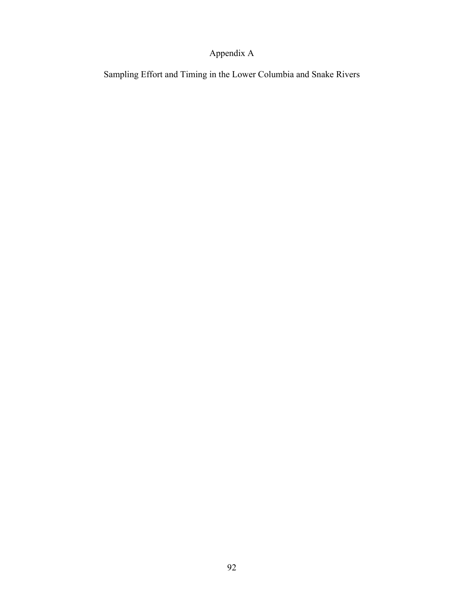# Appendix A

Sampling Effort and Timing in the Lower Columbia and Snake Rivers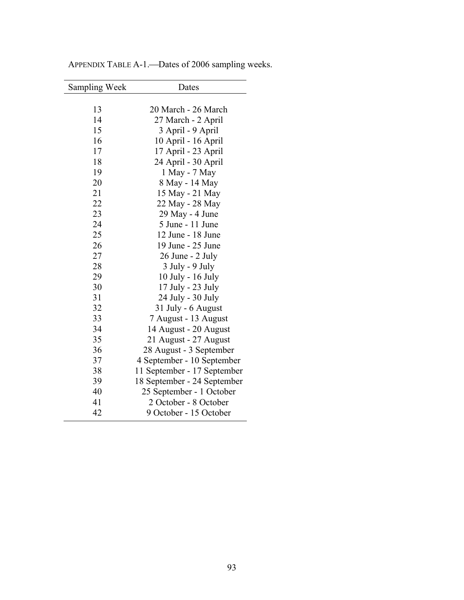| <b>Sampling Week</b> | Dates                       |
|----------------------|-----------------------------|
|                      |                             |
| 13                   | 20 March - 26 March         |
| 14                   | 27 March - 2 April          |
| 15                   | 3 April - 9 April           |
| 16                   | 10 April - 16 April         |
| 17                   | 17 April - 23 April         |
| 18                   | 24 April - 30 April         |
| 19                   | 1 May - 7 May               |
| 20                   | 8 May - 14 May              |
| 21                   | 15 May - 21 May             |
| 22                   | 22 May - 28 May             |
| 23                   | 29 May - 4 June             |
| 24                   | 5 June - 11 June            |
| 25                   | 12 June - 18 June           |
| 26                   | 19 June - 25 June           |
| 27                   | 26 June - 2 July            |
| 28                   | 3 July - 9 July             |
| 29                   | 10 July - 16 July           |
| 30                   | 17 July - 23 July           |
| 31                   | 24 July - 30 July           |
| 32                   | 31 July - 6 August          |
| 33                   | 7 August - 13 August        |
| 34                   | 14 August - 20 August       |
| 35                   | 21 August - 27 August       |
| 36                   | 28 August - 3 September     |
| 37                   | 4 September - 10 September  |
| 38                   | 11 September - 17 September |
| 39                   | 18 September - 24 September |
| 40                   | 25 September - 1 October    |
| 41                   | 2 October - 8 October       |
| 42                   | 9 October - 15 October      |

APPENDIX TABLE A-1.<sup>---</sup>Dates of 2006 sampling weeks.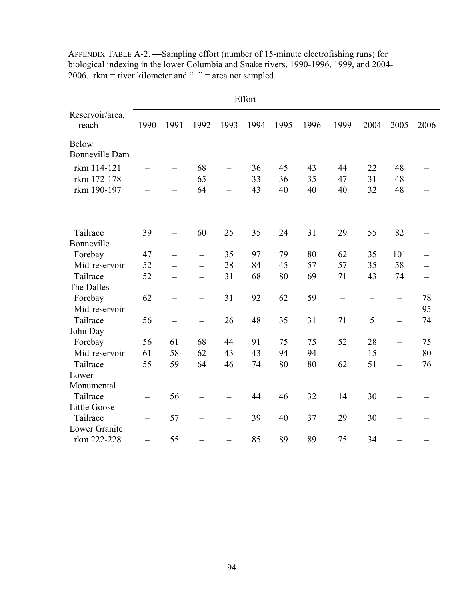|                              | Effort                   |                          |                          |                          |                          |      |                   |                   |                          |                          |      |
|------------------------------|--------------------------|--------------------------|--------------------------|--------------------------|--------------------------|------|-------------------|-------------------|--------------------------|--------------------------|------|
| Reservoir/area,<br>reach     | 1990                     | 1991                     | 1992                     | 1993                     | 1994                     | 1995 | 1996              | 1999              | 2004                     | 2005                     | 2006 |
| <b>Below</b>                 |                          |                          |                          |                          |                          |      |                   |                   |                          |                          |      |
| <b>Bonneville Dam</b>        |                          |                          |                          |                          |                          |      |                   |                   |                          |                          |      |
| rkm 114-121                  |                          | $\qquad \qquad -$        | 68                       |                          | 36                       | 45   | 43                | 44                | 22                       | 48                       |      |
| rkm 172-178                  |                          | $\equiv$                 | 65                       | $\equiv$                 | 33                       | 36   | 35                | 47                | 31                       | 48                       |      |
| rkm 190-197                  |                          |                          | 64                       |                          | 43                       | 40   | 40                | 40                | 32                       | 48                       |      |
|                              |                          |                          |                          |                          |                          |      |                   |                   |                          |                          |      |
| Tailrace                     | 39                       |                          | 60                       | 25                       | 35                       | 24   | 31                | 29                | 55                       | 82                       |      |
| Bonneville                   |                          |                          |                          |                          |                          |      |                   |                   |                          |                          |      |
| Forebay                      | 47                       |                          | $\qquad \qquad -$        | 35                       | 97                       | 79   | 80                | 62                | 35                       | 101                      |      |
| Mid-reservoir                | 52                       |                          | $\equiv$                 | 28                       | 84                       | 45   | 57                | 57                | 35                       | 58                       |      |
| Tailrace                     | 52                       |                          | $\overline{\phantom{0}}$ | 31                       | 68                       | 80   | 69                | 71                | 43                       | 74                       |      |
| The Dalles                   |                          |                          |                          |                          |                          |      |                   |                   |                          |                          |      |
| Forebay                      | 62                       | $\overline{\phantom{0}}$ | —                        | 31                       | 92                       | 62   | 59                | $\qquad \qquad -$ | $\overline{\phantom{m}}$ | $\qquad \qquad -$        | 78   |
| Mid-reservoir                | $\overline{\phantom{0}}$ |                          |                          |                          | $\overline{\phantom{0}}$ |      | $\qquad \qquad -$ |                   |                          | $\equiv$                 | 95   |
| Tailrace                     | 56                       |                          | $\overline{\phantom{0}}$ | 26                       | 48                       | 35   | 31                | 71                | 5                        | $\overline{\phantom{0}}$ | 74   |
| John Day                     |                          |                          |                          |                          |                          |      |                   |                   |                          |                          |      |
| Forebay                      | 56                       | 61                       | 68                       | 44                       | 91                       | 75   | 75                | 52                | 28                       | $\overline{\phantom{0}}$ | 75   |
| Mid-reservoir                | 61                       | 58                       | 62                       | 43                       | 43                       | 94   | 94                | $\equiv$          | 15                       | $\overline{a}$           | 80   |
| Tailrace                     | 55                       | 59                       | 64                       | 46                       | 74                       | 80   | 80                | 62                | 51                       |                          | 76   |
| Lower                        |                          |                          |                          |                          |                          |      |                   |                   |                          |                          |      |
| Monumental                   |                          |                          |                          |                          |                          |      |                   |                   |                          |                          |      |
| Tailrace                     | $\equiv$                 | 56                       |                          |                          | 44                       | 46   | 32                | 14                | 30                       |                          |      |
| <b>Little Goose</b>          |                          |                          |                          |                          |                          |      |                   |                   |                          |                          |      |
| Tailrace                     | $\overline{\phantom{0}}$ | 57                       | $\overline{\phantom{0}}$ | $\overline{\phantom{0}}$ | 39                       | 40   | 37                | 29                | 30                       | $\equiv$                 |      |
| Lower Granite<br>rkm 222-228 | $\overline{\phantom{a}}$ | 55                       |                          |                          | 85                       | 89   | 89                | 75                | 34                       |                          |      |

APPENDIX TABLE A-2. —Sampling effort (number of 15-minute electrofishing runs) for biological indexing in the lower Columbia and Snake rivers, 1990-1996, 1999, and 2004- 2006. rkm = river kilometer and "−" = area not sampled.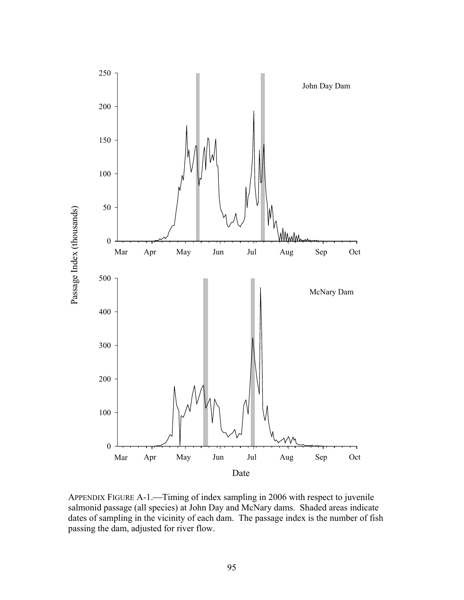

APPENDIX FIGURE A-1.—Timing of index sampling in 2006 with respect to juvenile salmonid passage (all species) at John Day and McNary dams. Shaded areas indicate dates of sampling in the vicinity of each dam. The passage index is the number of fish passing the dam, adjusted for river flow.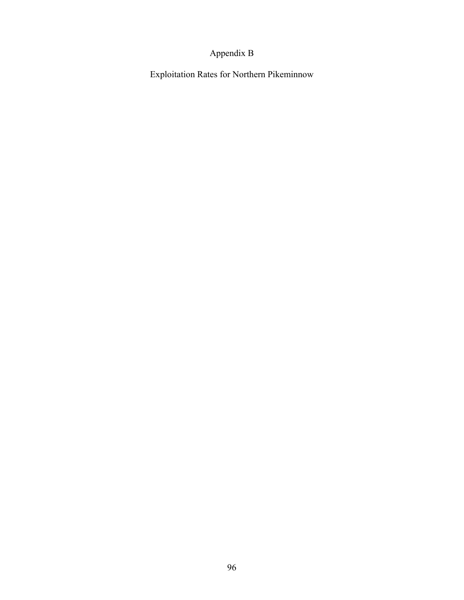# Appendix B

Exploitation Rates for Northern Pikeminnow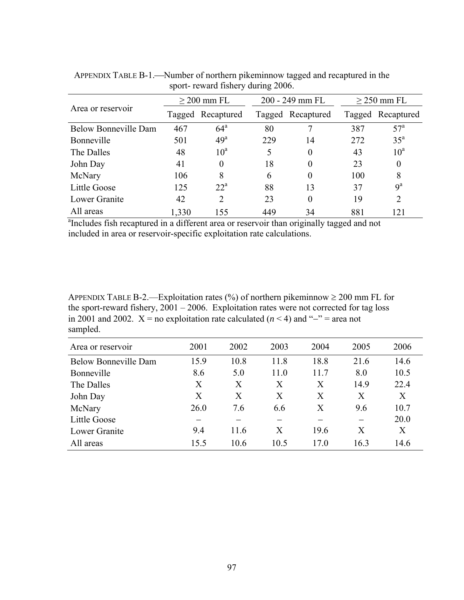|                                                                                                       | $\geq$ 200 mm FL |                   |     | 200 - 249 mm FL   |     | $\geq$ 250 mm FL  |  |
|-------------------------------------------------------------------------------------------------------|------------------|-------------------|-----|-------------------|-----|-------------------|--|
| Area or reservoir                                                                                     |                  | Tagged Recaptured |     | Tagged Recaptured |     | Tagged Recaptured |  |
| <b>Below Bonneville Dam</b>                                                                           | 467              | $64^{\circ}$      | 80  |                   | 387 | 57 <sup>a</sup>   |  |
| Bonneville                                                                                            | 501              | 49 <sup>a</sup>   | 229 | 14                | 272 | 35 <sup>a</sup>   |  |
| The Dalles                                                                                            | 48               | 10 <sup>a</sup>   | 5   | $\theta$          | 43  | 10 <sup>a</sup>   |  |
| John Day                                                                                              | 41               | $\theta$          | 18  | $\Omega$          | 23  | $\theta$          |  |
| McNary                                                                                                | 106              | 8                 | 6   | $\Omega$          | 100 | 8                 |  |
| Little Goose                                                                                          | 125              | $22^{\rm a}$      | 88  | 13                | 37  | $9^a$             |  |
| Lower Granite                                                                                         | 42               | $\overline{2}$    | 23  | $\Omega$          | 19  | 2                 |  |
| All areas                                                                                             | 1,330            | 155               | 449 | 34                | 881 | 121               |  |
| <sup>a</sup> Includes fish recaptured in a different area or reservoir than originally tagged and not |                  |                   |     |                   |     |                   |  |

APPENDIX TABLE B-1.—Number of northern pikeminnow tagged and recaptured in the sport- reward fishery during 2006.

included in area or reservoir-specific exploitation rate calculations.

APPENDIX TABLE B-2.—Exploitation rates  $(\%)$  of northern pikeminnow  $\geq 200$  mm FL for the sport-reward fishery,  $2001 - 2006$ . Exploitation rates were not corrected for tag loss in 2001 and 2002. X = no exploitation rate calculated ( $n < 4$ ) and "−" = area not sampled.

| Area or reservoir           | 2001 | 2002 | 2003 | 2004 | 2005 | 2006 |
|-----------------------------|------|------|------|------|------|------|
| <b>Below Bonneville Dam</b> | 15.9 | 10.8 | 11.8 | 18.8 | 21.6 | 14.6 |
| Bonneville                  | 8.6  | 5.0  | 11.0 | 11.7 | 8.0  | 10.5 |
| The Dalles                  | X    | X    | X    | X    | 14.9 | 22.4 |
| John Day                    | X    | X    | X    | X    | X    | X    |
| McNary                      | 26.0 | 7.6  | 6.6  | X    | 9.6  | 10.7 |
| Little Goose                |      |      |      |      |      | 20.0 |
| Lower Granite               | 9.4  | 11.6 | Χ    | 19.6 | X    | X    |
| All areas                   | 15.5 | 10.6 | 10.5 | 17.0 | 16.3 | 14.6 |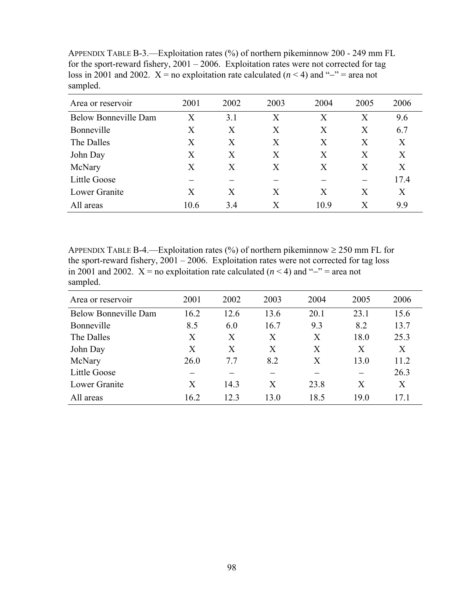| $\mathbf{r}$                |                   |      |                   |      |      |      |
|-----------------------------|-------------------|------|-------------------|------|------|------|
| Area or reservoir           | 2001              | 2002 | 2003              | 2004 | 2005 | 2006 |
| <b>Below Bonneville Dam</b> | $\rm\overline{X}$ | 3.1  | $\rm\overline{X}$ | X    | X    | 9.6  |
| Bonneville                  | X                 | X    | X                 | X    | X    | 6.7  |
| The Dalles                  | X                 | X    | X                 | X    | X    | X    |
| John Day                    | X                 | X    | X                 | X    | X    | X    |
| McNary                      | Χ                 | X    | X                 | X    | X    | X    |
| Little Goose                |                   |      |                   |      |      | 17.4 |
| Lower Granite               | Χ                 | X    | Χ                 | X    | X    | X    |
| All areas                   | 10.6              | 3.4  | $\rm X$           | 10.9 | Х    | 9.9  |
|                             |                   |      |                   |      |      |      |

APPENDIX TABLE B-3.—Exploitation rates (%) of northern pikeminnow 200 - 249 mm FL for the sport-reward fishery,  $2001 - 2006$ . Exploitation rates were not corrected for tag loss in 2001 and 2002. X = no exploitation rate calculated ( $n < 4$ ) and "−" = area not sampled.

APPENDIX TABLE B-4.—Exploitation rates (%) of northern pikeminnow  $\geq 250$  mm FL for the sport-reward fishery,  $2001 - 2006$ . Exploitation rates were not corrected for tag loss in 2001 and 2002. X = no exploitation rate calculated ( $n < 4$ ) and "−" = area not sampled.

| Area or reservoir           | 2001 | 2002 | 2003 | 2004 | 2005 | 2006 |
|-----------------------------|------|------|------|------|------|------|
| <b>Below Bonneville Dam</b> | 16.2 | 12.6 | 13.6 | 20.1 | 23.1 | 15.6 |
| Bonneville                  | 8.5  | 6.0  | 16.7 | 9.3  | 8.2  | 13.7 |
| The Dalles                  | X    | X    | X    | X    | 18.0 | 25.3 |
| John Day                    | X    | X    | X    | X    | X    | X    |
| McNary                      | 26.0 | 7.7  | 8.2  | X    | 13.0 | 11.2 |
| Little Goose                |      |      |      |      |      | 26.3 |
| Lower Granite               | X    | 14.3 | X    | 23.8 | X    | X    |
| All areas                   | 16.2 | 12.3 | 13.0 | 18.5 | 19.0 | 17.1 |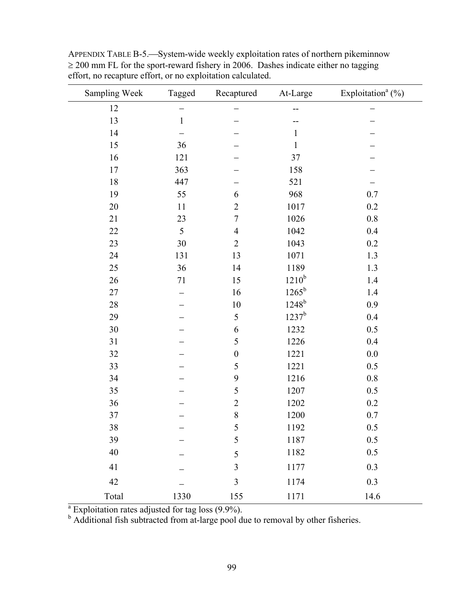| Sampling Week                                                                                                                                                  | Tagged       | Recaptured       | At-Large       | Exploitation <sup>a</sup> $(\%)$ |
|----------------------------------------------------------------------------------------------------------------------------------------------------------------|--------------|------------------|----------------|----------------------------------|
| 12                                                                                                                                                             |              |                  |                |                                  |
| 13                                                                                                                                                             | $\mathbf{1}$ |                  |                |                                  |
| 14                                                                                                                                                             |              |                  | $\mathbf{1}$   |                                  |
| 15                                                                                                                                                             | 36           |                  | $\mathbf{1}$   |                                  |
| 16                                                                                                                                                             | 121          |                  | 37             |                                  |
| 17                                                                                                                                                             | 363          |                  | 158            |                                  |
| 18                                                                                                                                                             | 447          |                  | 521            |                                  |
| 19                                                                                                                                                             | 55           | 6                | 968            | 0.7                              |
| 20                                                                                                                                                             | 11           | $\overline{2}$   | 1017           | 0.2                              |
| 21                                                                                                                                                             | 23           | $\overline{7}$   | 1026           | 0.8                              |
| 22                                                                                                                                                             | 5            | $\overline{4}$   | 1042           | 0.4                              |
| 23                                                                                                                                                             | 30           | $\overline{2}$   | 1043           | 0.2                              |
| 24                                                                                                                                                             | 131          | 13               | 1071           | 1.3                              |
| 25                                                                                                                                                             | 36           | 14               | 1189           | 1.3                              |
| 26                                                                                                                                                             | 71           | 15               | $1210^{b}$     | 1.4                              |
| 27                                                                                                                                                             |              | 16               | $1265^{\rm b}$ | 1.4                              |
| 28                                                                                                                                                             |              | $10\,$           | $1248^{b}$     | 0.9                              |
| 29                                                                                                                                                             |              | 5                | $1237^b$       | 0.4                              |
| 30                                                                                                                                                             |              | 6                | 1232           | 0.5                              |
| 31                                                                                                                                                             |              | 5                | 1226           | 0.4                              |
| 32                                                                                                                                                             |              | $\boldsymbol{0}$ | 1221           | 0.0                              |
| 33                                                                                                                                                             |              | 5                | 1221           | 0.5                              |
| 34                                                                                                                                                             |              | 9                | 1216           | $0.8\,$                          |
| 35                                                                                                                                                             |              | 5                | 1207           | 0.5                              |
| 36                                                                                                                                                             |              | $\overline{2}$   | 1202           | 0.2                              |
| 37                                                                                                                                                             |              | $\, 8$           | 1200           | 0.7                              |
| 38                                                                                                                                                             |              | 5                | 1192           | $0.5\,$                          |
| 39                                                                                                                                                             |              | 5                | 1187           | 0.5                              |
| 40                                                                                                                                                             |              | 5                | 1182           | 0.5                              |
| 41                                                                                                                                                             |              | 3                | 1177           | 0.3                              |
| 42                                                                                                                                                             |              | 3                | 1174           | 0.3                              |
| Total                                                                                                                                                          | 1330         | 155              | 1171           | 14.6                             |
| <sup>a</sup> Exploitation rates adjusted for tag loss (9.9%).<br><sup>b</sup> Additional fish subtracted from at-large pool due to removal by other fisheries. |              |                  |                |                                  |

APPENDIX TABLE B-5.—System-wide weekly exploitation rates of northern pikeminnow  $\geq$  200 mm FL for the sport-reward fishery in 2006. Dashes indicate either no tagging effort, no recapture effort, or no exploitation calculated.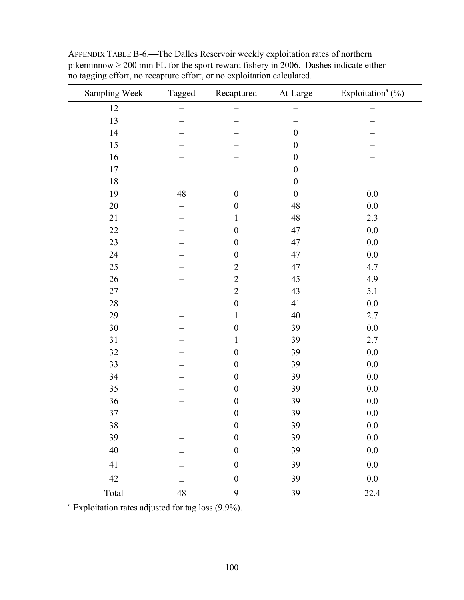| Sampling Week | Tagged | Recaptured       | At-Large         | Exploitation <sup>a</sup> (%) |
|---------------|--------|------------------|------------------|-------------------------------|
| 12            |        |                  |                  |                               |
| 13            |        |                  |                  |                               |
| 14            |        |                  | $\boldsymbol{0}$ |                               |
| 15            |        |                  | $\boldsymbol{0}$ |                               |
| 16            |        |                  | $\boldsymbol{0}$ |                               |
| $17\,$        |        |                  | $\boldsymbol{0}$ |                               |
| $18\,$        |        |                  | $\boldsymbol{0}$ |                               |
| 19            | 48     | $\boldsymbol{0}$ | $\boldsymbol{0}$ | 0.0                           |
| $20\,$        |        | $\boldsymbol{0}$ | 48               | 0.0                           |
| 21            |        | $\mathbf{1}$     | 48               | 2.3                           |
| 22            |        | $\boldsymbol{0}$ | 47               | $0.0\,$                       |
| 23            |        | $\boldsymbol{0}$ | 47               | $0.0\,$                       |
| 24            |        | $\boldsymbol{0}$ | 47               | 0.0                           |
| 25            |        | $\sqrt{2}$       | 47               | 4.7                           |
| 26            |        | $\overline{2}$   | 45               | 4.9                           |
| $27\,$        |        | $\sqrt{2}$       | 43               | 5.1                           |
| $28\,$        |        | $\boldsymbol{0}$ | 41               | $0.0\,$                       |
| 29            |        | $\mathbf{1}$     | 40               | 2.7                           |
| $30\,$        |        | $\boldsymbol{0}$ | 39               | 0.0                           |
| 31            |        | $\mathbf{1}$     | 39               | 2.7                           |
| 32            |        | $\boldsymbol{0}$ | 39               | 0.0                           |
| 33            |        | $\boldsymbol{0}$ | 39               | 0.0                           |
| 34            |        | $\boldsymbol{0}$ | 39               | $0.0\,$                       |
| 35            |        | $\boldsymbol{0}$ | 39               | 0.0                           |
| 36            |        | $\boldsymbol{0}$ | 39               | 0.0                           |
| 37            |        | $\boldsymbol{0}$ | 39               | $0.0\,$                       |
| $38\,$        |        | $\boldsymbol{0}$ | 39               | $0.0\,$                       |
| 39            |        | $\boldsymbol{0}$ | 39               | $0.0\,$                       |
| 40            |        | $\boldsymbol{0}$ | 39               | $0.0\,$                       |
| 41            |        | $\boldsymbol{0}$ | 39               | $0.0\,$                       |
| 42            |        | $\boldsymbol{0}$ | 39               | $0.0\,$                       |
| Total         | 48     | $\mathbf{9}$     | 39               | 22.4                          |

APPENDIX TABLE B-6.<sup>-The Dalles</sup> Reservoir weekly exploitation rates of northern pikeminnow  $\geq 200$  mm FL for the sport-reward fishery in 2006. Dashes indicate either no tagging effort, no recapture effort, or no exploitation calculated.

 $a^a$  Exploitation rates adjusted for tag loss (9.9%).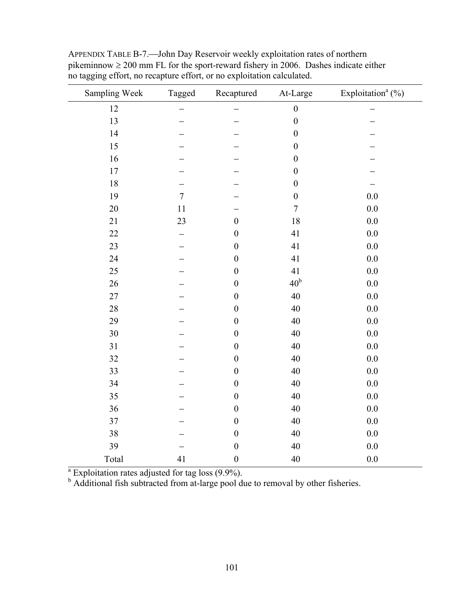| Sampling Week | Tagged         | Recaptured       | At-Large         | Exploitation <sup>a</sup> (%) |
|---------------|----------------|------------------|------------------|-------------------------------|
| 12            |                |                  | $\boldsymbol{0}$ |                               |
| 13            |                |                  | $\boldsymbol{0}$ |                               |
| 14            |                |                  | $\boldsymbol{0}$ |                               |
| 15            |                |                  | $\boldsymbol{0}$ |                               |
| 16            |                |                  | $\boldsymbol{0}$ |                               |
| 17            |                |                  | $\boldsymbol{0}$ |                               |
| 18            |                |                  | $\boldsymbol{0}$ |                               |
| 19            | $\overline{7}$ |                  | $\boldsymbol{0}$ | 0.0                           |
| 20            | 11             |                  | $\overline{7}$   | 0.0                           |
| 21            | 23             | $\boldsymbol{0}$ | 18               | 0.0                           |
| 22            | —              | $\boldsymbol{0}$ | 41               | 0.0                           |
| 23            |                | $\boldsymbol{0}$ | 41               | 0.0                           |
| 24            |                | $\boldsymbol{0}$ | 41               | 0.0                           |
| 25            |                | $\boldsymbol{0}$ | 41               | 0.0                           |
| 26            |                | $\boldsymbol{0}$ | $40b$            | 0.0                           |
| 27            |                | $\boldsymbol{0}$ | 40               | 0.0                           |
| 28            |                | $\boldsymbol{0}$ | 40               | 0.0                           |
| 29            |                | $\boldsymbol{0}$ | 40               | 0.0                           |
| 30            |                | $\boldsymbol{0}$ | 40               | 0.0                           |
| 31            |                | $\boldsymbol{0}$ | 40               | 0.0                           |
| 32            |                | $\boldsymbol{0}$ | 40               | 0.0                           |
| 33            |                | $\boldsymbol{0}$ | 40               | 0.0                           |
| 34            |                | $\boldsymbol{0}$ | 40               | 0.0                           |
| 35            |                | $\boldsymbol{0}$ | 40               | $0.0\,$                       |
| 36            |                | $\boldsymbol{0}$ | 40               | 0.0                           |
| 37            |                | $\boldsymbol{0}$ | 40               | 0.0                           |
| 38            |                | $\boldsymbol{0}$ | 40               | 0.0                           |
| 39            |                | $\boldsymbol{0}$ | 40               | $0.0\,$                       |
| Total         | 41             | $\boldsymbol{0}$ | 40               | 0.0                           |

APPENDIX TABLE B-7.—John Day Reservoir weekly exploitation rates of northern pikeminnow  $\geq 200$  mm FL for the sport-reward fishery in 2006. Dashes indicate either no tagging effort, no recapture effort, or no exploitation calculated.

<sup>a</sup> Exploitation rates adjusted for tag loss  $(9.9\%)$ .<br><sup>b</sup> Additional fish subtracted from at-large pool due to removal by other fisheries.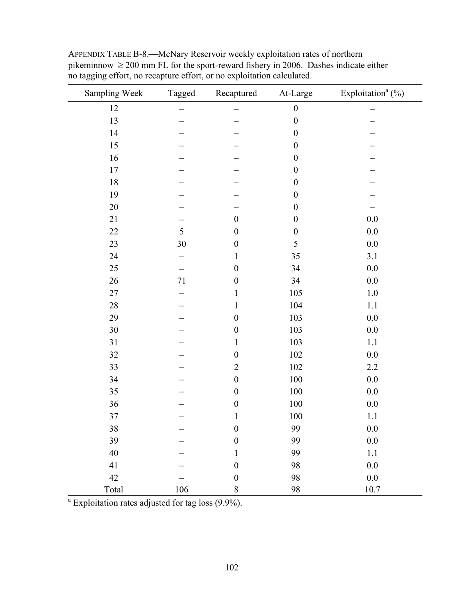| Sampling Week | Tagged | Recaptured       | At-Large         | Exploitation <sup>a</sup> $(\%)$ |
|---------------|--------|------------------|------------------|----------------------------------|
| 12            |        |                  | $\boldsymbol{0}$ |                                  |
| 13            |        |                  | $\boldsymbol{0}$ |                                  |
| 14            |        |                  | $\boldsymbol{0}$ |                                  |
| 15            |        |                  | $\boldsymbol{0}$ |                                  |
| 16            |        |                  | $\boldsymbol{0}$ |                                  |
| 17            |        |                  | $\boldsymbol{0}$ |                                  |
| $18\,$        |        |                  | $\boldsymbol{0}$ |                                  |
| 19            |        |                  | $\boldsymbol{0}$ |                                  |
| $20\,$        |        |                  | $\boldsymbol{0}$ |                                  |
| 21            |        | $\boldsymbol{0}$ | $\boldsymbol{0}$ | $0.0\,$                          |
| 22            | 5      | $\boldsymbol{0}$ | $\boldsymbol{0}$ | $0.0\,$                          |
| 23            | 30     | $\boldsymbol{0}$ | 5                | $0.0\,$                          |
| 24            |        | 1                | 35               | 3.1                              |
| 25            |        | $\boldsymbol{0}$ | 34               | 0.0                              |
| 26            | 71     | $\boldsymbol{0}$ | 34               | $0.0\,$                          |
| 27            |        | 1                | 105              | $1.0\,$                          |
| $28\,$        |        | 1                | 104              | 1.1                              |
| 29            |        | $\boldsymbol{0}$ | 103              | $0.0\,$                          |
| 30            |        | $\boldsymbol{0}$ | 103              | $0.0\,$                          |
| 31            |        | 1                | 103              | 1.1                              |
| 32            |        | $\boldsymbol{0}$ | 102              | 0.0                              |
| 33            |        | $\overline{2}$   | 102              | $2.2\,$                          |
| 34            |        | $\boldsymbol{0}$ | 100              | 0.0                              |
| 35            |        | $\boldsymbol{0}$ | 100              | $0.0\,$                          |
| 36            |        | $\boldsymbol{0}$ | $100\,$          | $0.0\,$                          |
| $37\,$        |        | $\mathbf{1}$     | 100              | $1.1\,$                          |
| 38            |        | $\boldsymbol{0}$ | 99               | 0.0                              |
| 39            |        | $\boldsymbol{0}$ | 99               | $0.0\,$                          |
| $40\,$        |        | $\mathbf{1}$     | 99               | $1.1\,$                          |
| 41            |        | $\boldsymbol{0}$ | 98               | $0.0\,$                          |
| 42            |        | $\boldsymbol{0}$ | 98               | $0.0\,$                          |
| Total         | 106    | $8\,$            | 98               | $10.7\,$                         |

APPENDIX TABLE B-8.—McNary Reservoir weekly exploitation rates of northern pikeminnow  $\geq 200$  mm FL for the sport-reward fishery in 2006. Dashes indicate either no tagging effort, no recapture effort, or no exploitation calculated.

<sup>a</sup> Exploitation rates adjusted for tag loss (9.9%).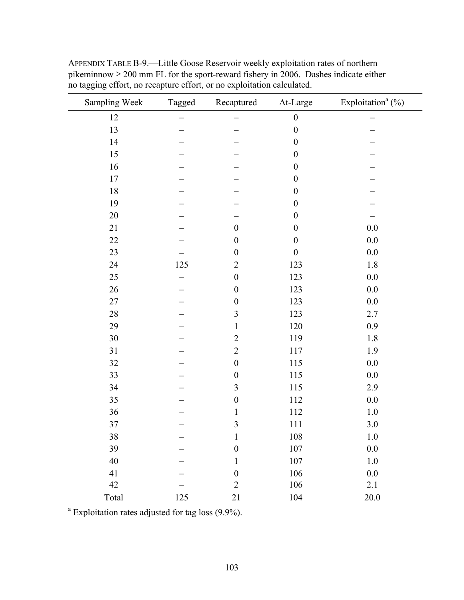| Sampling Week | Tagged | Recaptured       | At-Large         | Exploitation <sup>a</sup> $(\%)$ |
|---------------|--------|------------------|------------------|----------------------------------|
| 12            |        |                  | $\boldsymbol{0}$ |                                  |
| 13            |        |                  | $\boldsymbol{0}$ |                                  |
| 14            |        |                  | $\boldsymbol{0}$ |                                  |
| 15            |        |                  | $\boldsymbol{0}$ |                                  |
| 16            |        |                  | $\boldsymbol{0}$ |                                  |
| $17\,$        |        |                  | $\boldsymbol{0}$ |                                  |
| $18\,$        |        |                  | $\boldsymbol{0}$ |                                  |
| 19            |        |                  | $\boldsymbol{0}$ |                                  |
| 20            |        |                  | $\boldsymbol{0}$ |                                  |
| 21            |        | $\boldsymbol{0}$ | $\boldsymbol{0}$ | 0.0                              |
| 22            |        | $\boldsymbol{0}$ | $\boldsymbol{0}$ | $0.0\,$                          |
| 23            |        | $\boldsymbol{0}$ | $\boldsymbol{0}$ | 0.0                              |
| 24            | 125    | $\overline{2}$   | 123              | 1.8                              |
| 25            |        | $\boldsymbol{0}$ | 123              | 0.0                              |
| 26            |        | $\boldsymbol{0}$ | 123              | $0.0\,$                          |
| 27            |        | $\boldsymbol{0}$ | 123              | 0.0                              |
| 28            |        | $\mathfrak{Z}$   | 123              | 2.7                              |
| 29            |        | $\mathbf{1}$     | 120              | 0.9                              |
| 30            |        | $\overline{2}$   | 119              | $1.8\,$                          |
| 31            |        | $\overline{2}$   | 117              | 1.9                              |
| 32            |        | $\boldsymbol{0}$ | 115              | 0.0                              |
| 33            |        | $\boldsymbol{0}$ | 115              | $0.0\,$                          |
| 34            |        | 3                | 115              | 2.9                              |
| 35            |        | $\boldsymbol{0}$ | 112              | 0.0                              |
| 36            |        | $\mathbf{1}$     | 112              | $1.0\,$                          |
| 37            |        | $\mathfrak{Z}$   | 111              | $3.0\,$                          |
| 38            |        | $\mathbf{1}$     | $108\,$          | $1.0\,$                          |
| 39            |        | $\boldsymbol{0}$ | $107\,$          | $0.0\,$                          |
| $40\,$        |        | $\mathbf{1}$     | $107\,$          | $1.0\,$                          |
| 41            |        | $\boldsymbol{0}$ | 106              | 0.0                              |
| 42            |        | $\sqrt{2}$       | 106              | 2.1                              |
| Total         | 125    | 21               | 104              | $20.0\,$                         |

APPENDIX TABLE B-9.—Little Goose Reservoir weekly exploitation rates of northern pikeminnow  $\geq 200$  mm FL for the sport-reward fishery in 2006. Dashes indicate either no tagging effort, no recapture effort, or no exploitation calculated.

 $a$  Exploitation rates adjusted for tag loss  $(9.9\%)$ .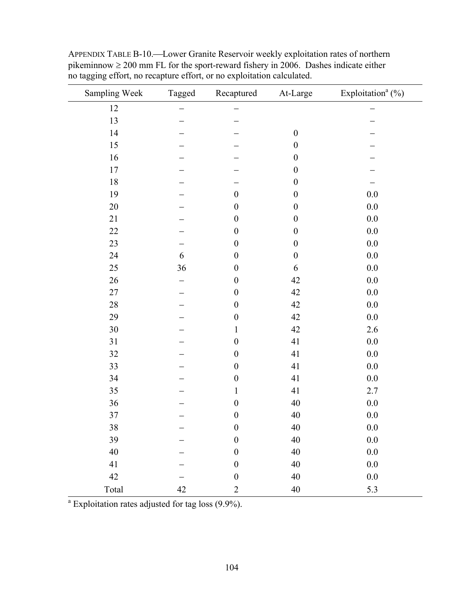| Sampling Week | Tagged | Recaptured       | At-Large         | Exploitation <sup>a</sup> $(\%)$ |
|---------------|--------|------------------|------------------|----------------------------------|
| 12            |        |                  |                  |                                  |
| 13            |        |                  |                  |                                  |
| 14            |        |                  | $\boldsymbol{0}$ |                                  |
| 15            |        |                  | $\boldsymbol{0}$ |                                  |
| 16            |        |                  | $\boldsymbol{0}$ |                                  |
| 17            |        |                  | $\boldsymbol{0}$ |                                  |
| 18            |        |                  | $\boldsymbol{0}$ |                                  |
| 19            |        | $\boldsymbol{0}$ | $\boldsymbol{0}$ | $0.0\,$                          |
| 20            |        | $\boldsymbol{0}$ | $\boldsymbol{0}$ | $0.0\,$                          |
| 21            |        | $\boldsymbol{0}$ | $\boldsymbol{0}$ | 0.0                              |
| $22\,$        |        | $\boldsymbol{0}$ | $\boldsymbol{0}$ | $0.0\,$                          |
| 23            |        | $\boldsymbol{0}$ | $\boldsymbol{0}$ | $0.0\,$                          |
| 24            | 6      | $\boldsymbol{0}$ | $\boldsymbol{0}$ | 0.0                              |
| 25            | 36     | $\boldsymbol{0}$ | 6                | $0.0\,$                          |
| 26            |        | $\boldsymbol{0}$ | 42               | $0.0\,$                          |
| 27            |        | $\boldsymbol{0}$ | 42               | $0.0\,$                          |
| $28\,$        |        | $\boldsymbol{0}$ | 42               | $0.0\,$                          |
| 29            |        | $\boldsymbol{0}$ | 42               | $0.0\,$                          |
| 30            |        | $\mathbf{1}$     | 42               | 2.6                              |
| 31            |        | $\boldsymbol{0}$ | 41               | $0.0\,$                          |
| 32            |        | $\boldsymbol{0}$ | 41               | $0.0\,$                          |
| 33            |        | $\boldsymbol{0}$ | 41               | $0.0\,$                          |
| 34            |        | $\boldsymbol{0}$ | 41               | $0.0\,$                          |
| 35            |        | $\mathbf{1}$     | 41               | 2.7                              |
| 36            |        | $\boldsymbol{0}$ | 40               | $0.0\,$                          |
| 37            |        | $\boldsymbol{0}$ | 40               | $0.0\,$                          |
| 38            |        | $\boldsymbol{0}$ | $40\,$           | $0.0\,$                          |
| 39            |        | $\boldsymbol{0}$ | $40\,$           | $0.0\,$                          |
| 40            |        | $\boldsymbol{0}$ | $40\,$           | $0.0\,$                          |
| 41            |        | $\boldsymbol{0}$ | 40               | $0.0\,$                          |
| 42            |        | $\boldsymbol{0}$ | 40               | $0.0\,$                          |
| Total         | 42     | $\sqrt{2}$       | $40\,$           | 5.3                              |

APPENDIX TABLE B-10.—Lower Granite Reservoir weekly exploitation rates of northern pikeminnow  $\geq 200$  mm FL for the sport-reward fishery in 2006. Dashes indicate either no tagging effort, no recapture effort, or no exploitation calculated.

 $a^a$  Exploitation rates adjusted for tag loss (9.9%).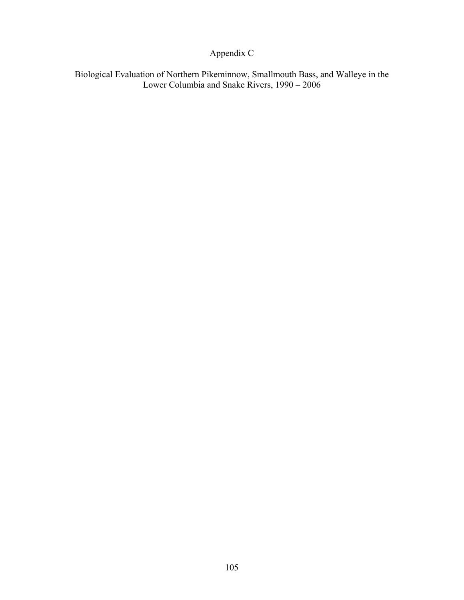# Appendix C

Biological Evaluation of Northern Pikeminnow, Smallmouth Bass, and Walleye in the Lower Columbia and Snake Rivers, 1990 – 2006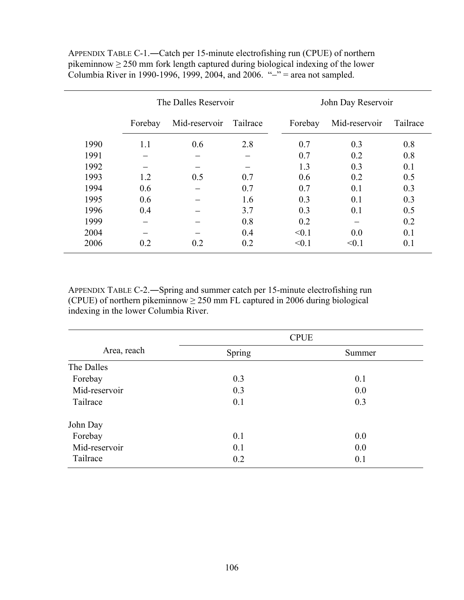|      | The Dalles Reservoir |               |          | John Day Reservoir |               |          |  |
|------|----------------------|---------------|----------|--------------------|---------------|----------|--|
|      | Forebay              | Mid-reservoir | Tailrace | Forebay            | Mid-reservoir | Tailrace |  |
| 1990 | 1.1                  | 0.6           | 2.8      | 0.7                | 0.3           | 0.8      |  |
| 1991 |                      |               |          | 0.7                | 0.2           | 0.8      |  |
| 1992 |                      |               |          | 1.3                | 0.3           | 0.1      |  |
| 1993 | 1.2                  | 0.5           | 0.7      | 0.6                | 0.2           | 0.5      |  |
| 1994 | 0.6                  |               | 0.7      | 0.7                | 0.1           | 0.3      |  |
| 1995 | 0.6                  |               | 1.6      | 0.3                | 0.1           | 0.3      |  |
| 1996 | 0.4                  |               | 3.7      | 0.3                | 0.1           | 0.5      |  |
| 1999 |                      |               | 0.8      | 0.2                |               | 0.2      |  |
| 2004 |                      |               | 0.4      | < 0.1              | 0.0           | 0.1      |  |
| 2006 | 0.2                  | 0.2           | 0.2      | < 0.1              | < 0.1         | 0.1      |  |

APPENDIX TABLE C-1.―Catch per 15-minute electrofishing run (CPUE) of northern pikeminnow  $\geq$  250 mm fork length captured during biological indexing of the lower Columbia River in 1990-1996, 1999, 2004, and 2006. "−" = area not sampled.

APPENDIX TABLE C-2.―Spring and summer catch per 15-minute electrofishing run (CPUE) of northern pikeminnow  $\geq$  250 mm FL captured in 2006 during biological indexing in the lower Columbia River.

|               | <b>CPUE</b> |        |  |  |  |
|---------------|-------------|--------|--|--|--|
| Area, reach   | Spring      | Summer |  |  |  |
| The Dalles    |             |        |  |  |  |
| Forebay       | 0.3         | 0.1    |  |  |  |
| Mid-reservoir | 0.3         | 0.0    |  |  |  |
| Tailrace      | 0.1         | 0.3    |  |  |  |
| John Day      |             |        |  |  |  |
| Forebay       | 0.1         | 0.0    |  |  |  |
| Mid-reservoir | 0.1         | 0.0    |  |  |  |
| Tailrace      | 0.2         | 0.1    |  |  |  |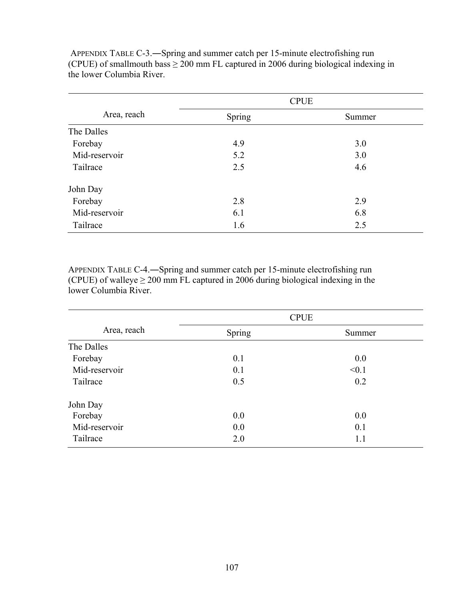|               | <b>CPUE</b> |        |  |  |  |
|---------------|-------------|--------|--|--|--|
| Area, reach   | Spring      | Summer |  |  |  |
| The Dalles    |             |        |  |  |  |
| Forebay       | 4.9         | 3.0    |  |  |  |
| Mid-reservoir | 5.2         | 3.0    |  |  |  |
| Tailrace      | 2.5         | 4.6    |  |  |  |
| John Day      |             |        |  |  |  |
| Forebay       | 2.8         | 2.9    |  |  |  |
| Mid-reservoir | 6.1         | 6.8    |  |  |  |
| Tailrace      | 1.6         | 2.5    |  |  |  |

 APPENDIX TABLE C-3.―Spring and summer catch per 15-minute electrofishing run (CPUE) of smallmouth bass  $\geq 200$  mm FL captured in 2006 during biological indexing in the lower Columbia River.

APPENDIX TABLE C-4.―Spring and summer catch per 15-minute electrofishing run (CPUE) of walleye  $\geq 200$  mm FL captured in 2006 during biological indexing in the lower Columbia River.

|               | <b>CPUE</b> |        |  |  |  |
|---------------|-------------|--------|--|--|--|
| Area, reach   | Spring      | Summer |  |  |  |
| The Dalles    |             |        |  |  |  |
| Forebay       | 0.1         | 0.0    |  |  |  |
| Mid-reservoir | 0.1         | < 0.1  |  |  |  |
| Tailrace      | 0.5         | 0.2    |  |  |  |
| John Day      |             |        |  |  |  |
| Forebay       | 0.0         | 0.0    |  |  |  |
| Mid-reservoir | 0.0         | 0.1    |  |  |  |
| Tailrace      | 2.0         | 1.1    |  |  |  |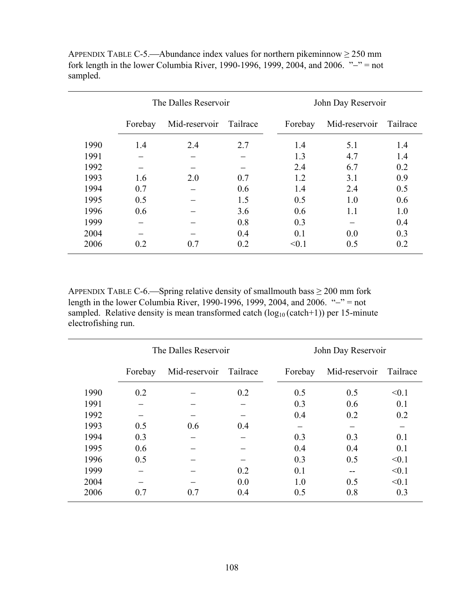|      | The Dalles Reservoir |               |          | John Day Reservoir |               |          |  |
|------|----------------------|---------------|----------|--------------------|---------------|----------|--|
|      | Forebay              | Mid-reservoir | Tailrace | Forebay            | Mid-reservoir | Tailrace |  |
| 1990 | 1.4                  | 2.4           | 2.7      | 1.4                | 5.1           | 1.4      |  |
| 1991 |                      |               |          | 1.3                | 4.7           | 1.4      |  |
| 1992 |                      |               |          | 2.4                | 6.7           | 0.2      |  |
| 1993 | 1.6                  | 2.0           | 0.7      | 1.2                | 3.1           | 0.9      |  |
| 1994 | 0.7                  |               | 0.6      | 1.4                | 2.4           | 0.5      |  |
| 1995 | 0.5                  |               | 1.5      | 0.5                | 1.0           | 0.6      |  |
| 1996 | 0.6                  |               | 3.6      | 0.6                | 1.1           | 1.0      |  |
| 1999 |                      |               | 0.8      | 0.3                |               | 0.4      |  |
| 2004 |                      |               | 0.4      | 0.1                | 0.0           | 0.3      |  |
| 2006 | 0.2                  | 0.7           | 0.2      | < 0.1              | 0.5           | 0.2      |  |

APPENDIX TABLE C-5.—Abundance index values for northern pikeminnow  $\geq 250$  mm fork length in the lower Columbia River, 1990-1996, 1999, 2004, and 2006. " $-$ " = not sampled.

APPENDIX TABLE C-6.—Spring relative density of smallmouth bass  $\geq 200$  mm fork length in the lower Columbia River, 1990-1996, 1999, 2004, and 2006. "−" = not sampled. Relative density is mean transformed catch  $(log_{10} (catch+1))$  per 15-minute electrofishing run.

|      | The Dalles Reservoir |               |          |         | John Day Reservoir |          |  |  |
|------|----------------------|---------------|----------|---------|--------------------|----------|--|--|
|      | Forebay              | Mid-reservoir | Tailrace | Forebay | Mid-reservoir      | Tailrace |  |  |
| 1990 | 0.2                  |               | 0.2      | 0.5     | 0.5                | < 0.1    |  |  |
| 1991 |                      |               |          | 0.3     | 0.6                | 0.1      |  |  |
| 1992 |                      |               |          | 0.4     | 0.2                | 0.2      |  |  |
| 1993 | 0.5                  | 0.6           | 0.4      |         |                    |          |  |  |
| 1994 | 0.3                  |               |          | 0.3     | 0.3                | 0.1      |  |  |
| 1995 | 0.6                  |               |          | 0.4     | 0.4                | 0.1      |  |  |
| 1996 | 0.5                  |               |          | 0.3     | 0.5                | < 0.1    |  |  |
| 1999 |                      |               | 0.2      | 0.1     |                    | < 0.1    |  |  |
| 2004 |                      |               | 0.0      | 1.0     | 0.5                | < 0.1    |  |  |
| 2006 | 0.7                  | 0.7           | 0.4      | 0.5     | 0.8                | 0.3      |  |  |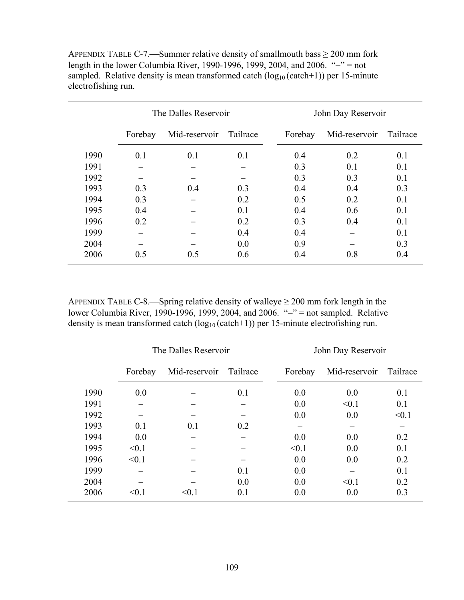|      |         | The Dalles Reservoir |          | John Day Reservoir |               |          |  |
|------|---------|----------------------|----------|--------------------|---------------|----------|--|
|      | Forebay | Mid-reservoir        | Tailrace | Forebay            | Mid-reservoir | Tailrace |  |
| 1990 | 0.1     | 0.1                  | 0.1      | 0.4                | 0.2           | 0.1      |  |
| 1991 |         |                      |          | 0.3                | 0.1           | 0.1      |  |
| 1992 |         |                      |          | 0.3                | 0.3           | 0.1      |  |
| 1993 | 0.3     | 0.4                  | 0.3      | 0.4                | 0.4           | 0.3      |  |
| 1994 | 0.3     |                      | 0.2      | 0.5                | 0.2           | 0.1      |  |
| 1995 | 0.4     |                      | 0.1      | 0.4                | 0.6           | 0.1      |  |
| 1996 | 0.2     |                      | 0.2      | 0.3                | 0.4           | 0.1      |  |
| 1999 |         |                      | 0.4      | 0.4                |               | 0.1      |  |
| 2004 |         |                      | 0.0      | 0.9                |               | 0.3      |  |
| 2006 | 0.5     | 0.5                  | 0.6      | 0.4                | 0.8           | 0.4      |  |

APPENDIX TABLE C-7.—Summer relative density of smallmouth bass  $\geq 200$  mm fork length in the lower Columbia River, 1990-1996, 1999, 2004, and 2006. "−" = not sampled. Relative density is mean transformed catch  $(log_{10} (catch+1))$  per 15-minute electrofishing run.

APPENDIX TABLE C-8.—Spring relative density of walleye  $\geq 200$  mm fork length in the lower Columbia River, 1990-1996, 1999, 2004, and 2006. "−" = not sampled. Relative density is mean transformed catch  $(\log_{10}(\text{catch+1}))$  per 15-minute electrofishing run.

|      |         | The Dalles Reservoir |          | John Day Reservoir |               |          |  |
|------|---------|----------------------|----------|--------------------|---------------|----------|--|
|      | Forebay | Mid-reservoir        | Tailrace | Forebay            | Mid-reservoir | Tailrace |  |
| 1990 | 0.0     |                      | 0.1      | 0.0                | 0.0           | 0.1      |  |
| 1991 |         |                      |          | 0.0                | < 0.1         | 0.1      |  |
| 1992 |         |                      |          | 0.0                | 0.0           | < 0.1    |  |
| 1993 | 0.1     | 0.1                  | 0.2      |                    |               |          |  |
| 1994 | 0.0     |                      |          | 0.0                | 0.0           | 0.2      |  |
| 1995 | < 0.1   |                      |          | < 0.1              | 0.0           | 0.1      |  |
| 1996 | < 0.1   |                      |          | 0.0                | 0.0           | 0.2      |  |
| 1999 |         |                      | 0.1      | 0.0                |               | 0.1      |  |
| 2004 |         |                      | 0.0      | 0.0                | < 0.1         | 0.2      |  |
| 2006 | < 0.1   | $\leq 0.1$           | 0.1      | 0.0                | 0.0           | 0.3      |  |

÷,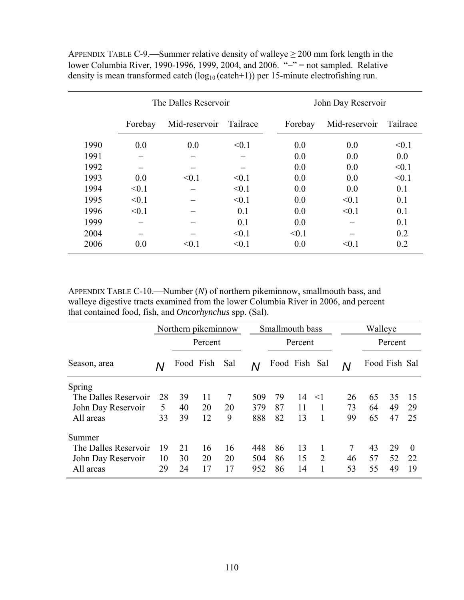APPENDIX TABLE C-9.—Summer relative density of walleye  $\geq 200$  mm fork length in the lower Columbia River, 1990-1996, 1999, 2004, and 2006. "−" = not sampled. Relative density is mean transformed catch  $(\log_{10}(\text{catch+1}))$  per 15-minute electrofishing run.

|      |         | The Dalles Reservoir |          | John Day Reservoir |               |          |  |
|------|---------|----------------------|----------|--------------------|---------------|----------|--|
|      | Forebay | Mid-reservoir        | Tailrace | Forebay            | Mid-reservoir | Tailrace |  |
| 1990 | 0.0     | 0.0                  | < 0.1    | 0.0                | 0.0           | < 0.1    |  |
| 1991 |         |                      |          | 0.0                | 0.0           | 0.0      |  |
| 1992 |         |                      |          | 0.0                | 0.0           | < 0.1    |  |
| 1993 | 0.0     | < 0.1                | < 0.1    | 0.0                | 0.0           | < 0.1    |  |
| 1994 | < 0.1   |                      | < 0.1    | 0.0                | 0.0           | 0.1      |  |
| 1995 | < 0.1   |                      | < 0.1    | 0.0                | < 0.1         | 0.1      |  |
| 1996 | < 0.1   |                      | 0.1      | 0.0                | < 0.1         | 0.1      |  |
| 1999 |         |                      | 0.1      | 0.0                |               | 0.1      |  |
| 2004 |         |                      | < 0.1    | < 0.1              |               | 0.2      |  |
| 2006 | 0.0     | $\leq 0.1$           | < 0.1    | 0.0                | < 0.1         | 0.2      |  |

APPENDIX TABLE C-10.—Number (*N*) of northern pikeminnow, smallmouth bass, and walleye digestive tracts examined from the lower Columbia River in 2006, and percent that contained food, fish, and *Oncorhynchus* spp. (Sal).

|                      | Northern pikeminnow |           |         |     | Smallmouth bass |               |         |                | Walleye |               |    |          |
|----------------------|---------------------|-----------|---------|-----|-----------------|---------------|---------|----------------|---------|---------------|----|----------|
|                      |                     |           | Percent |     |                 |               | Percent |                |         | Percent       |    |          |
| Season, area         |                     | Food Fish |         | Sal | Ν               | Food Fish Sal |         |                | Ν       | Food Fish Sal |    |          |
| Spring               |                     |           |         |     |                 |               |         |                |         |               |    |          |
| The Dalles Reservoir | 28                  | 39        | 11      | 7   | 509             | 79            | 14      | $<$ 1          | 26      | 65            | 35 | 15       |
| John Day Reservoir   | 5                   | 40        | 20      | 20  | 379             | 87            | 11      |                | 73      | 64            | 49 | 29       |
| All areas            | 33                  | 39        | 12      | 9   | 888             | 82            | 13      |                | 99      | 65            | 47 | 25       |
| Summer               |                     |           |         |     |                 |               |         |                |         |               |    |          |
| The Dalles Reservoir | 19                  | 21        | 16      | 16  | 448             | 86            | 13      |                |         | 43            | 29 | $\Omega$ |
| John Day Reservoir   | 10                  | 30        | 20      | 20  | 504             | 86            | 15      | $\overline{2}$ | 46      | 57            | 52 | 22       |
| All areas            | 29                  | 24        | 17      | 17  | 952             | 86            | 14      |                | 53      | 55            | 49 | 19       |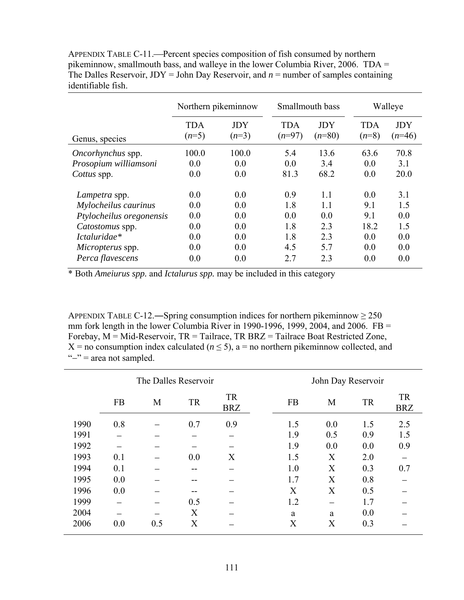APPENDIX TABLE C-11.—Percent species composition of fish consumed by northern pikeminnow, smallmouth bass, and walleye in the lower Columbia River, 2006. TDA = The Dalles Reservoir,  $JDY = John Day Reserveor$ , and  $n = number of samples containing$ identifiable fish.

|                          | Northern pikeminnow   |                       | Smallmouth bass        |                        |                       | Walleye                |  |
|--------------------------|-----------------------|-----------------------|------------------------|------------------------|-----------------------|------------------------|--|
| Genus, species           | <b>TDA</b><br>$(n=5)$ | <b>JDY</b><br>$(n=3)$ | <b>TDA</b><br>$(n=97)$ | <b>JDY</b><br>$(n=80)$ | <b>TDA</b><br>$(n=8)$ | <b>JDY</b><br>$(n=46)$ |  |
| <i>Oncorhynchus</i> spp. | 100.0                 | 100.0                 | 5.4                    | 13.6                   | 63.6                  | 70.8                   |  |
| Prosopium williamsoni    | 0.0                   | 0.0                   | 0.0                    | 3.4                    | 0.0                   | 3.1                    |  |
| Cottus spp.              | 0.0                   | 0.0                   | 81.3                   | 68.2                   | 0.0                   | 20.0                   |  |
| Lampetra spp.            | 0.0                   | 0.0                   | 0.9                    | 1.1                    | 0.0                   | 3.1                    |  |
| Mylocheilus caurinus     | 0.0                   | 0.0                   | 1.8                    | 1.1                    | 9.1                   | 1.5                    |  |
| Ptylocheilus oregonensis | 0.0                   | 0.0                   | 0.0                    | 0.0                    | 9.1                   | 0.0                    |  |
| Catostomus spp.          | 0.0                   | 0.0                   | 1.8                    | 2.3                    | 18.2                  | 1.5                    |  |
| Ictaluridae*             | 0.0                   | 0.0                   | 1.8                    | 2.3                    | 0.0                   | 0.0                    |  |
| <i>Micropterus</i> spp.  | 0.0                   | 0.0                   | 4.5                    | 5.7                    | 0.0                   | 0.0                    |  |
| Perca flavescens         | 0.0                   | 0.0                   | 2.7                    | 2.3                    | 0.0                   | 0.0                    |  |

\* Both *Ameiurus spp.* and *Ictalurus spp.* may be included in this category

APPENDIX TABLE C-12.—Spring consumption indices for northern pikeminnow  $\geq 250$ mm fork length in the lower Columbia River in 1990-1996, 1999, 2004, and 2006.  $FB =$ Forebay, M = Mid-Reservoir, TR = Tailrace, TR BRZ = Tailrace Boat Restricted Zone,  $X =$  no consumption index calculated ( $n \le 5$ ), a = no northern pikeminnow collected, and "−" = area not sampled.

|      |           | The Dalles Reservoir |           |                         |           | John Day Reservoir |           |                         |
|------|-----------|----------------------|-----------|-------------------------|-----------|--------------------|-----------|-------------------------|
|      | <b>FB</b> | M                    | <b>TR</b> | <b>TR</b><br><b>BRZ</b> | <b>FB</b> | M                  | <b>TR</b> | <b>TR</b><br><b>BRZ</b> |
| 1990 | 0.8       |                      | 0.7       | 0.9                     | 1.5       | 0.0                | 1.5       | 2.5                     |
| 1991 |           |                      |           |                         | 1.9       | 0.5                | 0.9       | 1.5                     |
| 1992 |           |                      |           |                         | 1.9       | 0.0                | 0.0       | 0.9                     |
| 1993 | 0.1       |                      | 0.0       | X                       | 1.5       | X                  | 2.0       |                         |
| 1994 | 0.1       |                      |           |                         | 1.0       | X                  | 0.3       | 0.7                     |
| 1995 | 0.0       |                      |           |                         | 1.7       | X                  | 0.8       |                         |
| 1996 | 0.0       |                      |           |                         | X         | X                  | 0.5       |                         |
| 1999 |           |                      | 0.5       |                         | 1.2       |                    | 1.7       |                         |
| 2004 |           |                      | X         |                         | a         | a                  | 0.0       |                         |
| 2006 | 0.0       | 0.5                  | X         |                         | X         | X                  | 0.3       |                         |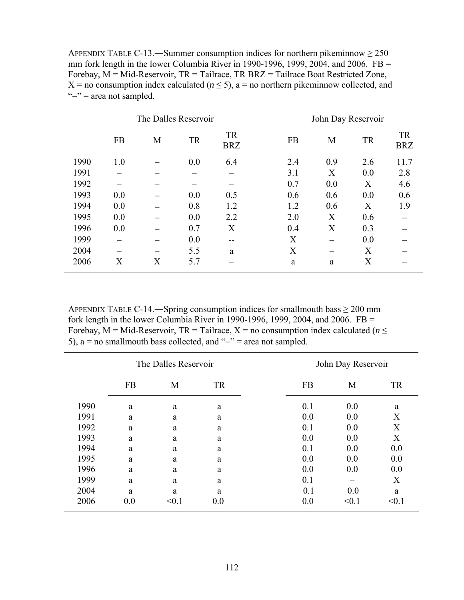| APPENDIX TABLE C-13.—Summer consumption indices for northern pikeminnow $\geq 250$           |
|----------------------------------------------------------------------------------------------|
| mm fork length in the lower Columbia River in 1990-1996, 1999, 2004, and 2006. $FB =$        |
| Forebay, $M = Mid-Reservoir$ , $TR = Tailrace$ , $TR B R Z = Tailrace$ Boat Restricted Zone, |
| X = no consumption index calculated ( $n \le 5$ ), a = no northern pikeminnow collected, and |
| " $-$ " = area not sampled.                                                                  |

|      | The Dalles Reservoir |   |           |                         |  | John Day Reservoir |     |           |                         |
|------|----------------------|---|-----------|-------------------------|--|--------------------|-----|-----------|-------------------------|
|      | <b>FB</b>            | M | <b>TR</b> | <b>TR</b><br><b>BRZ</b> |  | <b>FB</b>          | M   | <b>TR</b> | <b>TR</b><br><b>BRZ</b> |
| 1990 | 1.0                  |   | 0.0       | 6.4                     |  | 2.4                | 0.9 | 2.6       | 11.7                    |
| 1991 |                      |   |           |                         |  | 3.1                | X   | 0.0       | 2.8                     |
| 1992 |                      |   |           |                         |  | 0.7                | 0.0 | X         | 4.6                     |
| 1993 | 0.0                  |   | 0.0       | 0.5                     |  | 0.6                | 0.6 | 0.0       | 0.6                     |
| 1994 | 0.0                  |   | 0.8       | 1.2                     |  | 1.2                | 0.6 | X         | 1.9                     |
| 1995 | 0.0                  |   | 0.0       | 2.2                     |  | 2.0                | X   | 0.6       |                         |
| 1996 | 0.0                  |   | 0.7       | X                       |  | 0.4                | X   | 0.3       |                         |
| 1999 |                      |   | 0.0       | $- -$                   |  | X                  |     | 0.0       |                         |
| 2004 |                      |   | 5.5       | a                       |  | X                  |     | X         |                         |
| 2006 | Х                    | X | 5.7       |                         |  | a                  | a   | X         |                         |

APPENDIX TABLE C-14.—Spring consumption indices for smallmouth bass  $\geq 200$  mm fork length in the lower Columbia River in 1990-1996, 1999, 2004, and 2006. FB = Forebay, M = Mid-Reservoir, TR = Tailrace, X = no consumption index calculated ( $n \leq$ 5),  $a = no$  smallmouth bass collected, and "−" = area not sampled.

|      |           | The Dalles Reservoir |           |           | John Day Reservoir |           |  |  |
|------|-----------|----------------------|-----------|-----------|--------------------|-----------|--|--|
|      | <b>FB</b> | M                    | <b>TR</b> | <b>FB</b> | M                  | <b>TR</b> |  |  |
| 1990 | a         | a                    | a         | 0.1       | 0.0                | a         |  |  |
| 1991 | a         | a                    | a         | 0.0       | 0.0                | X         |  |  |
| 1992 | a         | a                    | a         | 0.1       | 0.0                | X         |  |  |
| 1993 | a         | a                    | a         | 0.0       | 0.0                | X         |  |  |
| 1994 | a         | a                    | a         | 0.1       | 0.0                | 0.0       |  |  |
| 1995 | a         | a                    | a         | 0.0       | 0.0                | 0.0       |  |  |
| 1996 | a         | a                    | a         | 0.0       | 0.0                | 0.0       |  |  |
| 1999 | a         | a                    | a         | 0.1       |                    | X         |  |  |
| 2004 | a         | a                    | a         | 0.1       | 0.0                | a         |  |  |
| 2006 | 0.0       | < 0.1                | 0.0       | 0.0       | < 0.1              | < 0.1     |  |  |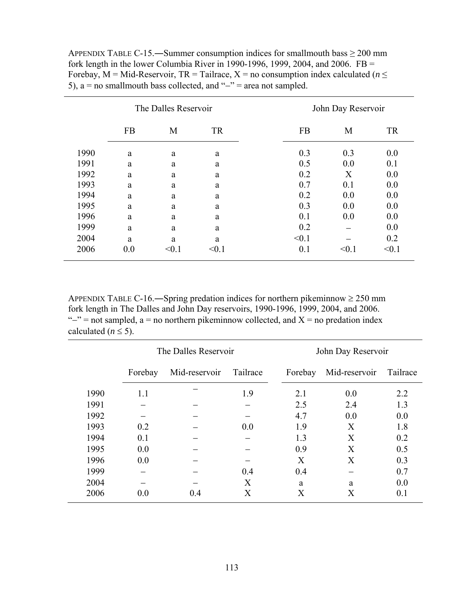| APPENDIX TABLE C-15.—Summer consumption indices for small mouth bass $\geq 200$ mm        |
|-------------------------------------------------------------------------------------------|
| fork length in the lower Columbia River in 1990-1996, 1999, 2004, and 2006. $FB =$        |
| Forebay, M = Mid-Reservoir, TR = Tailrace, X = no consumption index calculated ( $n \leq$ |
| 5), $a = no$ smallmouth bass collected, and " $-$ " = area not sampled.                   |

|      | The Dalles Reservoir |       |           |           | John Day Reservoir |           |  |  |
|------|----------------------|-------|-----------|-----------|--------------------|-----------|--|--|
|      | <b>FB</b>            | M     | <b>TR</b> | <b>FB</b> | M                  | <b>TR</b> |  |  |
| 1990 | a                    | a     | a         | 0.3       | 0.3                | 0.0       |  |  |
| 1991 | a                    | a     | a         | 0.5       | 0.0                | 0.1       |  |  |
| 1992 | a                    | a     | a         | 0.2       | X                  | 0.0       |  |  |
| 1993 | a                    | a     | a         | 0.7       | 0.1                | 0.0       |  |  |
| 1994 | a                    | a     | a         | 0.2       | 0.0                | 0.0       |  |  |
| 1995 | a                    | a     | a         | 0.3       | 0.0                | 0.0       |  |  |
| 1996 | a                    | a     | a         | 0.1       | 0.0                | 0.0       |  |  |
| 1999 | a                    | a     | a         | 0.2       |                    | 0.0       |  |  |
| 2004 | a                    | a     | a         | < 0.1     |                    | 0.2       |  |  |
| 2006 | 0.0                  | < 0.1 | $<$ 0.1   | 0.1       | < 0.1              | < 0.1     |  |  |

APPENDIX TABLE C-16.—Spring predation indices for northern pikeminnow  $\geq 250$  mm fork length in The Dalles and John Day reservoirs, 1990-1996, 1999, 2004, and 2006. " $-$ " = not sampled, a = no northern pikeminnow collected, and X = no predation index calculated  $(n \leq 5)$ .

|      |         | The Dalles Reservoir |          |         | John Day Reservoir |          |  |  |
|------|---------|----------------------|----------|---------|--------------------|----------|--|--|
|      | Forebay | Mid-reservoir        | Tailrace | Forebay | Mid-reservoir      | Tailrace |  |  |
| 1990 | 1.1     |                      | 1.9      | 2.1     | 0.0                | 2.2      |  |  |
| 1991 |         |                      |          | 2.5     | 2.4                | 1.3      |  |  |
| 1992 |         |                      |          | 4.7     | 0.0                | 0.0      |  |  |
| 1993 | 0.2     |                      | 0.0      | 1.9     | X                  | 1.8      |  |  |
| 1994 | 0.1     |                      |          | 1.3     | X                  | 0.2      |  |  |
| 1995 | 0.0     |                      |          | 0.9     | X                  | 0.5      |  |  |
| 1996 | 0.0     |                      |          | X       | X                  | 0.3      |  |  |
| 1999 |         |                      | 0.4      | 0.4     |                    | 0.7      |  |  |
| 2004 |         |                      | X        | a       | a                  | 0.0      |  |  |
| 2006 | 0.0     | 0.4                  | X        | X       | X                  | 0.1      |  |  |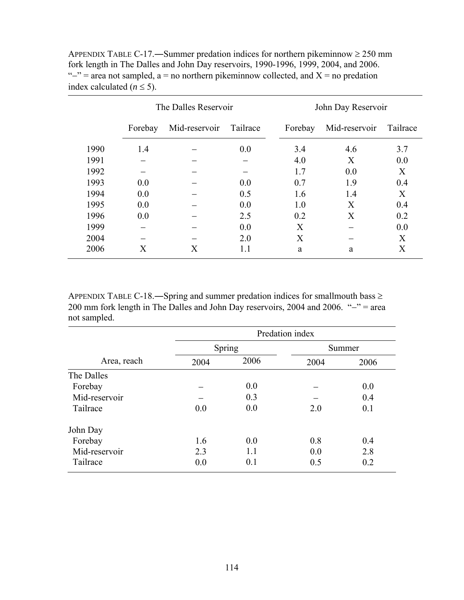|      | The Dalles Reservoir |               |          | John Day Reservoir |               |          |  |
|------|----------------------|---------------|----------|--------------------|---------------|----------|--|
|      | Forebay              | Mid-reservoir | Tailrace | Forebay            | Mid-reservoir | Tailrace |  |
| 1990 | 1.4                  |               | 0.0      | 3.4                | 4.6           | 3.7      |  |
| 1991 |                      |               |          | 4.0                | X             | 0.0      |  |
| 1992 |                      |               |          | 1.7                | 0.0           | X        |  |
| 1993 | 0.0                  |               | 0.0      | 0.7                | 1.9           | 0.4      |  |
| 1994 | 0.0                  |               | 0.5      | 1.6                | 1.4           | X        |  |
| 1995 | 0.0                  |               | 0.0      | 1.0                | X             | 0.4      |  |
| 1996 | 0.0                  |               | 2.5      | 0.2                | X             | 0.2      |  |
| 1999 |                      |               | 0.0      | X                  |               | 0.0      |  |
| 2004 |                      |               | 2.0      | X                  |               | X        |  |
| 2006 | X                    | X             | 1.1      | a                  | a             | X        |  |

APPENDIX TABLE C-17.—Summer predation indices for northern pikeminnow  $\geq 250$  mm fork length in The Dalles and John Day reservoirs, 1990-1996, 1999, 2004, and 2006. " $-$ " = area not sampled, a = no northern pikeminnow collected, and X = no predation index calculated  $(n \leq 5)$ .

APPENDIX TABLE C-18.―Spring and summer predation indices for smallmouth bass ≥ 200 mm fork length in The Dalles and John Day reservoirs, 2004 and 2006. "−" = area not sampled.

|               | Predation index |        |        |      |  |  |
|---------------|-----------------|--------|--------|------|--|--|
|               |                 | Spring | Summer |      |  |  |
| Area, reach   | 2004            | 2006   | 2004   | 2006 |  |  |
| The Dalles    |                 |        |        |      |  |  |
| Forebay       |                 | 0.0    |        | 0.0  |  |  |
| Mid-reservoir |                 | 0.3    |        | 0.4  |  |  |
| Tailrace      | 0.0             | 0.0    | 2.0    | 0.1  |  |  |
| John Day      |                 |        |        |      |  |  |
| Forebay       | 1.6             | 0.0    | 0.8    | 0.4  |  |  |
| Mid-reservoir | 2.3             | 1.1    | 0.0    | 2.8  |  |  |
| Tailrace      | 0.0             | 0.1    | 0.5    | 0.2  |  |  |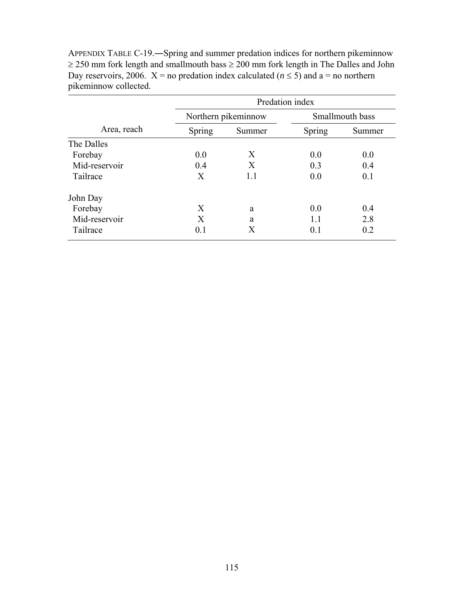|               | Predation index |                     |                 |        |  |  |
|---------------|-----------------|---------------------|-----------------|--------|--|--|
|               |                 | Northern pikeminnow | Smallmouth bass |        |  |  |
| Area, reach   | Spring          | Summer              | Spring          | Summer |  |  |
| The Dalles    |                 |                     |                 |        |  |  |
| Forebay       | 0.0             | X                   | 0.0             | 0.0    |  |  |
| Mid-reservoir | 0.4             | X                   | 0.3             | 0.4    |  |  |
| Tailrace      | X               | 1.1                 | 0.0             | 0.1    |  |  |
| John Day      |                 |                     |                 |        |  |  |
| Forebay       | X               | a                   | 0.0             | 0.4    |  |  |
| Mid-reservoir | X               | a                   | 1.1             | 2.8    |  |  |
| Tailrace      | 0.1             | Χ                   | 0.1             | 0.2    |  |  |

APPENDIX TABLE C-19.―Spring and summer predation indices for northern pikeminnow  $\geq$  250 mm fork length and smallmouth bass  $\geq$  200 mm fork length in The Dalles and John Day reservoirs, 2006.  $X = no$  predation index calculated ( $n \le 5$ ) and a = no northern pikeminnow collected.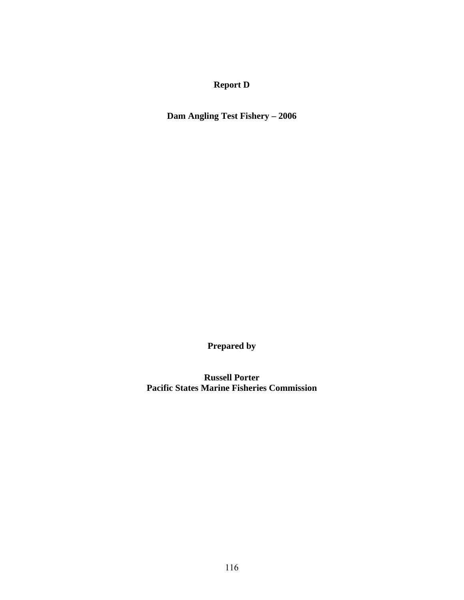# **Report D**

**Dam Angling Test Fishery – 2006** 

**Prepared by** 

**Russell Porter Pacific States Marine Fisheries Commission**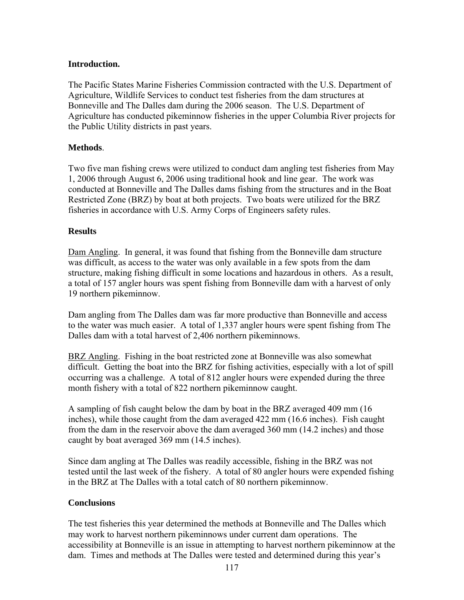# **Introduction.**

The Pacific States Marine Fisheries Commission contracted with the U.S. Department of Agriculture, Wildlife Services to conduct test fisheries from the dam structures at Bonneville and The Dalles dam during the 2006 season. The U.S. Department of Agriculture has conducted pikeminnow fisheries in the upper Columbia River projects for the Public Utility districts in past years.

# **Methods**.

Two five man fishing crews were utilized to conduct dam angling test fisheries from May 1, 2006 through August 6, 2006 using traditional hook and line gear. The work was conducted at Bonneville and The Dalles dams fishing from the structures and in the Boat Restricted Zone (BRZ) by boat at both projects. Two boats were utilized for the BRZ fisheries in accordance with U.S. Army Corps of Engineers safety rules.

### **Results**

Dam Angling. In general, it was found that fishing from the Bonneville dam structure was difficult, as access to the water was only available in a few spots from the dam structure, making fishing difficult in some locations and hazardous in others. As a result, a total of 157 angler hours was spent fishing from Bonneville dam with a harvest of only 19 northern pikeminnow.

Dam angling from The Dalles dam was far more productive than Bonneville and access to the water was much easier. A total of 1,337 angler hours were spent fishing from The Dalles dam with a total harvest of 2,406 northern pikeminnows.

BRZ Angling. Fishing in the boat restricted zone at Bonneville was also somewhat difficult. Getting the boat into the BRZ for fishing activities, especially with a lot of spill occurring was a challenge. A total of 812 angler hours were expended during the three month fishery with a total of 822 northern pikeminnow caught.

A sampling of fish caught below the dam by boat in the BRZ averaged 409 mm (16 inches), while those caught from the dam averaged 422 mm (16.6 inches). Fish caught from the dam in the reservoir above the dam averaged 360 mm (14.2 inches) and those caught by boat averaged 369 mm (14.5 inches).

Since dam angling at The Dalles was readily accessible, fishing in the BRZ was not tested until the last week of the fishery. A total of 80 angler hours were expended fishing in the BRZ at The Dalles with a total catch of 80 northern pikeminnow.

### **Conclusions**

The test fisheries this year determined the methods at Bonneville and The Dalles which may work to harvest northern pikeminnows under current dam operations. The accessibility at Bonneville is an issue in attempting to harvest northern pikeminnow at the dam. Times and methods at The Dalles were tested and determined during this year's